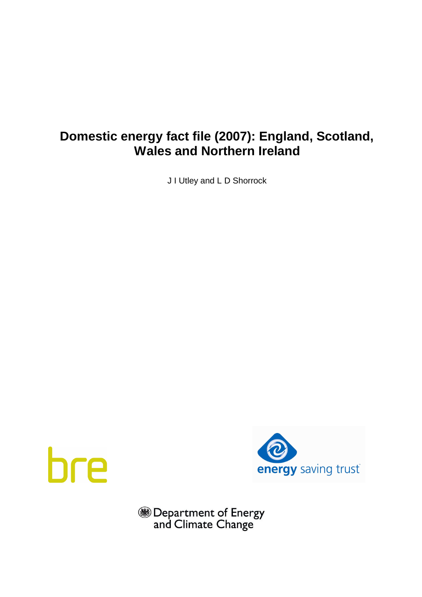# **Domestic energy fact file (2007): England, Scotland, Wales and Northern Ireland**

J I Utley and L D Shorrock





**BED** Department of Energy<br>and Climate Change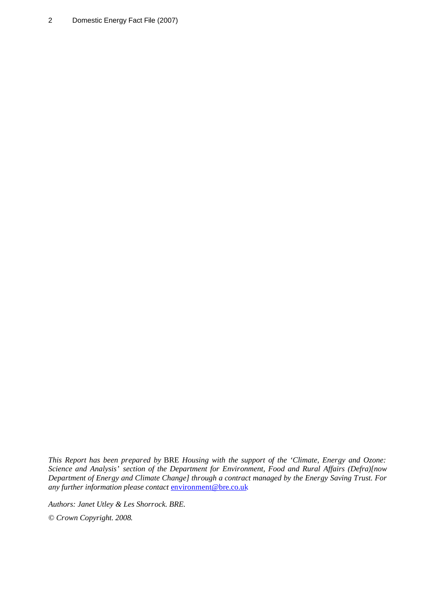2 Domestic Energy Fact File (2007)

*This Report has been prepared by* BRE *Housing with the support of the 'Climate, Energy and Ozone: Science and Analysis' section of the Department for Environment, Food and Rural Affairs (Defra)[now Department of Energy and Climate Change] through a contract managed by the Energy Saving Trust. For any further information please contact* [environment@bre.co.uk](mailto:environment@bre.co.uk)

*Authors: Janet Utley & Les Shorrock. BRE.* 

*© Crown Copyright. 2008.*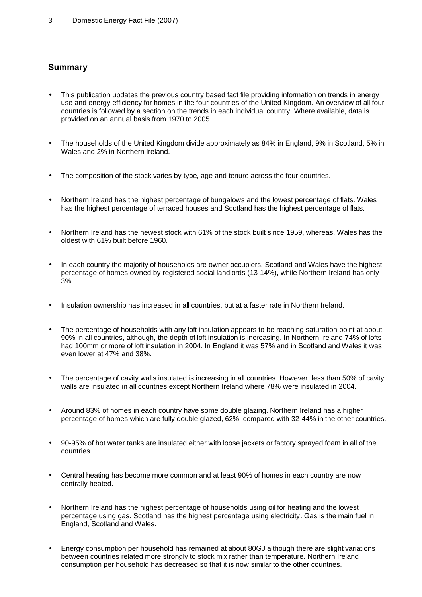# **Summary**

- This publication updates the previous country based fact file providing information on trends in energy use and energy efficiency for homes in the four countries of the United Kingdom. An overview of all four countries is followed by a section on the trends in each individual country. Where available, data is provided on an annual basis from 1970 to 2005.
- The households of the United Kingdom divide approximately as 84% in England, 9% in Scotland, 5% in Wales and 2% in Northern Ireland.
- The composition of the stock varies by type, age and tenure across the four countries.
- Northern Ireland has the highest percentage of bungalows and the lowest percentage of flats. Wales has the highest percentage of terraced houses and Scotland has the highest percentage of flats.
- Northern Ireland has the newest stock with 61% of the stock built since 1959, whereas, Wales has the oldest with 61% built before 1960.
- In each country the majority of households are owner occupiers. Scotland and Wales have the highest percentage of homes owned by registered social landlords (13-14%), while Northern Ireland has only 3%.
- Insulation ownership has increased in all countries, but at a faster rate in Northern Ireland.
- The percentage of households with any loft insulation appears to be reaching saturation point at about 90% in all countries, although, the depth of loft insulation is increasing. In Northern Ireland 74% of lofts had 100mm or more of loft insulation in 2004. In England it was 57% and in Scotland and Wales it was even lower at 47% and 38%.
- The percentage of cavity walls insulated is increasing in all countries. However, less than 50% of cavity walls are insulated in all countries except Northern Ireland where 78% were insulated in 2004.
- Around 83% of homes in each country have some double glazing. Northern Ireland has a higher percentage of homes which are fully double glazed, 62%, compared with 32-44% in the other countries.
- 90-95% of hot water tanks are insulated either with loose jackets or factory sprayed foam in all of the countries.
- Central heating has become more common and at least 90% of homes in each country are now centrally heated.
- Northern Ireland has the highest percentage of households using oil for heating and the lowest percentage using gas. Scotland has the highest percentage using electricity. Gas is the main fuel in England, Scotland and Wales.
- Energy consumption per household has remained at about 80GJ although there are slight variations between countries related more strongly to stock mix rather than temperature. Northern Ireland consumption per household has decreased so that it is now similar to the other countries.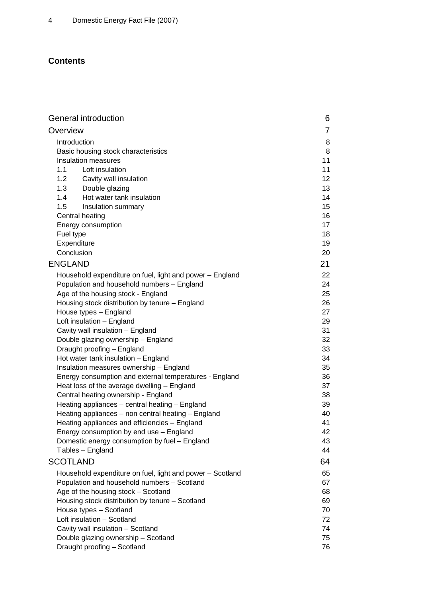# **Contents**

| General introduction                                      | 6               |
|-----------------------------------------------------------|-----------------|
| Overview                                                  | 7               |
| Introduction                                              | 8               |
| Basic housing stock characteristics                       | 8               |
| Insulation measures                                       | 11              |
| 1.1<br>Loft insulation                                    | 11              |
| 1.2<br>Cavity wall insulation                             | 12 <sub>2</sub> |
| 1.3<br>Double glazing                                     | 13              |
| Hot water tank insulation<br>1.4                          | 14              |
| 1.5<br>Insulation summary                                 | 15              |
| Central heating                                           | 16              |
| Energy consumption                                        | 17              |
| Fuel type                                                 | 18              |
| Expenditure                                               | 19              |
| Conclusion                                                | 20              |
| <b>ENGLAND</b>                                            | 21              |
| Household expenditure on fuel, light and power - England  | 22              |
| Population and household numbers - England                | 24              |
| Age of the housing stock - England                        | 25              |
| Housing stock distribution by tenure - England            | 26              |
| House types - England                                     | 27              |
| Loft insulation - England                                 | 29              |
| Cavity wall insulation - England                          | 31              |
| Double glazing ownership - England                        | 32              |
| Draught proofing - England                                | 33              |
| Hot water tank insulation - England                       | 34              |
| Insulation measures ownership - England                   | 35              |
| Energy consumption and external temperatures - England    | 36              |
| Heat loss of the average dwelling - England               | 37              |
| Central heating ownership - England                       | 38              |
| Heating appliances - central heating - England            | 39              |
| Heating appliances - non central heating - England        | 40              |
| Heating appliances and efficiencies - England             | 41              |
| Energy consumption by end use - England                   | 42              |
| Domestic energy consumption by fuel - England             | 43              |
| Tables - England                                          | 44              |
| <b>SCOTLAND</b>                                           | 64              |
| Household expenditure on fuel, light and power - Scotland | 65              |
| Population and household numbers - Scotland               | 67              |
| Age of the housing stock - Scotland                       | 68              |
| Housing stock distribution by tenure - Scotland           | 69              |
| House types - Scotland                                    | 70              |
| Loft insulation - Scotland                                | 72              |
| Cavity wall insulation - Scotland                         | 74              |
| Double glazing ownership - Scotland                       | 75              |
| Draught proofing - Scotland                               | 76              |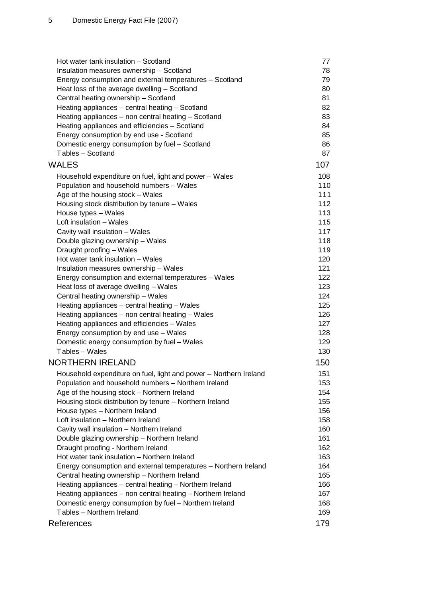| Insulation measures ownership - Scotland<br>78<br>Energy consumption and external temperatures - Scotland<br>79<br>80<br>Heat loss of the average dwelling - Scotland<br>Central heating ownership - Scotland<br>81<br>82<br>Heating appliances - central heating - Scotland<br>Heating appliances - non central heating - Scotland<br>83<br>Heating appliances and efficiencies - Scotland<br>84<br>Energy consumption by end use - Scotland<br>85<br>Domestic energy consumption by fuel - Scotland<br>86<br>Tables - Scotland<br>87<br><b>WALES</b><br>107<br>108<br>Household expenditure on fuel, light and power - Wales<br>Population and household numbers - Wales<br>110<br>Age of the housing stock - Wales<br>111<br>Housing stock distribution by tenure - Wales<br>112<br>House types - Wales<br>113<br>Loft insulation - Wales<br>115<br>Cavity wall insulation - Wales<br>117<br>Double glazing ownership - Wales<br>118<br>119<br>Draught proofing - Wales<br>Hot water tank insulation - Wales<br>120<br>Insulation measures ownership - Wales<br>121<br>122<br>Energy consumption and external temperatures - Wales<br>Heat loss of average dwelling - Wales<br>123<br>Central heating ownership - Wales<br>124<br>125<br>Heating appliances - central heating - Wales<br>Heating appliances - non central heating - Wales<br>126<br>Heating appliances and efficiencies - Wales<br>127<br>128<br>Energy consumption by end use - Wales<br>Domestic energy consumption by fuel - Wales<br>129<br>Tables - Wales<br>130<br><b>NORTHERN IRELAND</b><br>150<br>151<br>Household expenditure on fuel, light and power - Northern Ireland<br>Population and household numbers - Northern Ireland<br>153<br>Age of the housing stock - Northern Ireland<br>154<br>Housing stock distribution by tenure - Northern Ireland<br>155<br>House types - Northern Ireland<br>156<br>Loft insulation - Northern Ireland<br>158<br>Cavity wall insulation - Northern Ireland<br>160<br>161<br>Double glazing ownership - Northern Ireland<br>Draught proofing - Northern Ireland<br>162<br>Hot water tank insulation - Northern Ireland<br>163<br>Energy consumption and external temperatures - Northern Ireland<br>164<br>Central heating ownership - Northern Ireland<br>165<br>Heating appliances - central heating - Northern Ireland<br>166<br>Heating appliances - non central heating - Northern Ireland<br>167<br>168<br>Domestic energy consumption by fuel - Northern Ireland<br>Tables - Northern Ireland<br>169 | Hot water tank insulation - Scotland | 77 |
|---------------------------------------------------------------------------------------------------------------------------------------------------------------------------------------------------------------------------------------------------------------------------------------------------------------------------------------------------------------------------------------------------------------------------------------------------------------------------------------------------------------------------------------------------------------------------------------------------------------------------------------------------------------------------------------------------------------------------------------------------------------------------------------------------------------------------------------------------------------------------------------------------------------------------------------------------------------------------------------------------------------------------------------------------------------------------------------------------------------------------------------------------------------------------------------------------------------------------------------------------------------------------------------------------------------------------------------------------------------------------------------------------------------------------------------------------------------------------------------------------------------------------------------------------------------------------------------------------------------------------------------------------------------------------------------------------------------------------------------------------------------------------------------------------------------------------------------------------------------------------------------------------------------------------------------------------------------------------------------------------------------------------------------------------------------------------------------------------------------------------------------------------------------------------------------------------------------------------------------------------------------------------------------------------------------------------------------------------------------------------------------------------------------------------------------------------------------------------------------------------------------------------------|--------------------------------------|----|
|                                                                                                                                                                                                                                                                                                                                                                                                                                                                                                                                                                                                                                                                                                                                                                                                                                                                                                                                                                                                                                                                                                                                                                                                                                                                                                                                                                                                                                                                                                                                                                                                                                                                                                                                                                                                                                                                                                                                                                                                                                                                                                                                                                                                                                                                                                                                                                                                                                                                                                                                 |                                      |    |
|                                                                                                                                                                                                                                                                                                                                                                                                                                                                                                                                                                                                                                                                                                                                                                                                                                                                                                                                                                                                                                                                                                                                                                                                                                                                                                                                                                                                                                                                                                                                                                                                                                                                                                                                                                                                                                                                                                                                                                                                                                                                                                                                                                                                                                                                                                                                                                                                                                                                                                                                 |                                      |    |
|                                                                                                                                                                                                                                                                                                                                                                                                                                                                                                                                                                                                                                                                                                                                                                                                                                                                                                                                                                                                                                                                                                                                                                                                                                                                                                                                                                                                                                                                                                                                                                                                                                                                                                                                                                                                                                                                                                                                                                                                                                                                                                                                                                                                                                                                                                                                                                                                                                                                                                                                 |                                      |    |
|                                                                                                                                                                                                                                                                                                                                                                                                                                                                                                                                                                                                                                                                                                                                                                                                                                                                                                                                                                                                                                                                                                                                                                                                                                                                                                                                                                                                                                                                                                                                                                                                                                                                                                                                                                                                                                                                                                                                                                                                                                                                                                                                                                                                                                                                                                                                                                                                                                                                                                                                 |                                      |    |
|                                                                                                                                                                                                                                                                                                                                                                                                                                                                                                                                                                                                                                                                                                                                                                                                                                                                                                                                                                                                                                                                                                                                                                                                                                                                                                                                                                                                                                                                                                                                                                                                                                                                                                                                                                                                                                                                                                                                                                                                                                                                                                                                                                                                                                                                                                                                                                                                                                                                                                                                 |                                      |    |
|                                                                                                                                                                                                                                                                                                                                                                                                                                                                                                                                                                                                                                                                                                                                                                                                                                                                                                                                                                                                                                                                                                                                                                                                                                                                                                                                                                                                                                                                                                                                                                                                                                                                                                                                                                                                                                                                                                                                                                                                                                                                                                                                                                                                                                                                                                                                                                                                                                                                                                                                 |                                      |    |
|                                                                                                                                                                                                                                                                                                                                                                                                                                                                                                                                                                                                                                                                                                                                                                                                                                                                                                                                                                                                                                                                                                                                                                                                                                                                                                                                                                                                                                                                                                                                                                                                                                                                                                                                                                                                                                                                                                                                                                                                                                                                                                                                                                                                                                                                                                                                                                                                                                                                                                                                 |                                      |    |
|                                                                                                                                                                                                                                                                                                                                                                                                                                                                                                                                                                                                                                                                                                                                                                                                                                                                                                                                                                                                                                                                                                                                                                                                                                                                                                                                                                                                                                                                                                                                                                                                                                                                                                                                                                                                                                                                                                                                                                                                                                                                                                                                                                                                                                                                                                                                                                                                                                                                                                                                 |                                      |    |
|                                                                                                                                                                                                                                                                                                                                                                                                                                                                                                                                                                                                                                                                                                                                                                                                                                                                                                                                                                                                                                                                                                                                                                                                                                                                                                                                                                                                                                                                                                                                                                                                                                                                                                                                                                                                                                                                                                                                                                                                                                                                                                                                                                                                                                                                                                                                                                                                                                                                                                                                 |                                      |    |
|                                                                                                                                                                                                                                                                                                                                                                                                                                                                                                                                                                                                                                                                                                                                                                                                                                                                                                                                                                                                                                                                                                                                                                                                                                                                                                                                                                                                                                                                                                                                                                                                                                                                                                                                                                                                                                                                                                                                                                                                                                                                                                                                                                                                                                                                                                                                                                                                                                                                                                                                 |                                      |    |
|                                                                                                                                                                                                                                                                                                                                                                                                                                                                                                                                                                                                                                                                                                                                                                                                                                                                                                                                                                                                                                                                                                                                                                                                                                                                                                                                                                                                                                                                                                                                                                                                                                                                                                                                                                                                                                                                                                                                                                                                                                                                                                                                                                                                                                                                                                                                                                                                                                                                                                                                 |                                      |    |
|                                                                                                                                                                                                                                                                                                                                                                                                                                                                                                                                                                                                                                                                                                                                                                                                                                                                                                                                                                                                                                                                                                                                                                                                                                                                                                                                                                                                                                                                                                                                                                                                                                                                                                                                                                                                                                                                                                                                                                                                                                                                                                                                                                                                                                                                                                                                                                                                                                                                                                                                 |                                      |    |
|                                                                                                                                                                                                                                                                                                                                                                                                                                                                                                                                                                                                                                                                                                                                                                                                                                                                                                                                                                                                                                                                                                                                                                                                                                                                                                                                                                                                                                                                                                                                                                                                                                                                                                                                                                                                                                                                                                                                                                                                                                                                                                                                                                                                                                                                                                                                                                                                                                                                                                                                 |                                      |    |
|                                                                                                                                                                                                                                                                                                                                                                                                                                                                                                                                                                                                                                                                                                                                                                                                                                                                                                                                                                                                                                                                                                                                                                                                                                                                                                                                                                                                                                                                                                                                                                                                                                                                                                                                                                                                                                                                                                                                                                                                                                                                                                                                                                                                                                                                                                                                                                                                                                                                                                                                 |                                      |    |
|                                                                                                                                                                                                                                                                                                                                                                                                                                                                                                                                                                                                                                                                                                                                                                                                                                                                                                                                                                                                                                                                                                                                                                                                                                                                                                                                                                                                                                                                                                                                                                                                                                                                                                                                                                                                                                                                                                                                                                                                                                                                                                                                                                                                                                                                                                                                                                                                                                                                                                                                 |                                      |    |
|                                                                                                                                                                                                                                                                                                                                                                                                                                                                                                                                                                                                                                                                                                                                                                                                                                                                                                                                                                                                                                                                                                                                                                                                                                                                                                                                                                                                                                                                                                                                                                                                                                                                                                                                                                                                                                                                                                                                                                                                                                                                                                                                                                                                                                                                                                                                                                                                                                                                                                                                 |                                      |    |
|                                                                                                                                                                                                                                                                                                                                                                                                                                                                                                                                                                                                                                                                                                                                                                                                                                                                                                                                                                                                                                                                                                                                                                                                                                                                                                                                                                                                                                                                                                                                                                                                                                                                                                                                                                                                                                                                                                                                                                                                                                                                                                                                                                                                                                                                                                                                                                                                                                                                                                                                 |                                      |    |
|                                                                                                                                                                                                                                                                                                                                                                                                                                                                                                                                                                                                                                                                                                                                                                                                                                                                                                                                                                                                                                                                                                                                                                                                                                                                                                                                                                                                                                                                                                                                                                                                                                                                                                                                                                                                                                                                                                                                                                                                                                                                                                                                                                                                                                                                                                                                                                                                                                                                                                                                 |                                      |    |
|                                                                                                                                                                                                                                                                                                                                                                                                                                                                                                                                                                                                                                                                                                                                                                                                                                                                                                                                                                                                                                                                                                                                                                                                                                                                                                                                                                                                                                                                                                                                                                                                                                                                                                                                                                                                                                                                                                                                                                                                                                                                                                                                                                                                                                                                                                                                                                                                                                                                                                                                 |                                      |    |
|                                                                                                                                                                                                                                                                                                                                                                                                                                                                                                                                                                                                                                                                                                                                                                                                                                                                                                                                                                                                                                                                                                                                                                                                                                                                                                                                                                                                                                                                                                                                                                                                                                                                                                                                                                                                                                                                                                                                                                                                                                                                                                                                                                                                                                                                                                                                                                                                                                                                                                                                 |                                      |    |
|                                                                                                                                                                                                                                                                                                                                                                                                                                                                                                                                                                                                                                                                                                                                                                                                                                                                                                                                                                                                                                                                                                                                                                                                                                                                                                                                                                                                                                                                                                                                                                                                                                                                                                                                                                                                                                                                                                                                                                                                                                                                                                                                                                                                                                                                                                                                                                                                                                                                                                                                 |                                      |    |
|                                                                                                                                                                                                                                                                                                                                                                                                                                                                                                                                                                                                                                                                                                                                                                                                                                                                                                                                                                                                                                                                                                                                                                                                                                                                                                                                                                                                                                                                                                                                                                                                                                                                                                                                                                                                                                                                                                                                                                                                                                                                                                                                                                                                                                                                                                                                                                                                                                                                                                                                 |                                      |    |
|                                                                                                                                                                                                                                                                                                                                                                                                                                                                                                                                                                                                                                                                                                                                                                                                                                                                                                                                                                                                                                                                                                                                                                                                                                                                                                                                                                                                                                                                                                                                                                                                                                                                                                                                                                                                                                                                                                                                                                                                                                                                                                                                                                                                                                                                                                                                                                                                                                                                                                                                 |                                      |    |
|                                                                                                                                                                                                                                                                                                                                                                                                                                                                                                                                                                                                                                                                                                                                                                                                                                                                                                                                                                                                                                                                                                                                                                                                                                                                                                                                                                                                                                                                                                                                                                                                                                                                                                                                                                                                                                                                                                                                                                                                                                                                                                                                                                                                                                                                                                                                                                                                                                                                                                                                 |                                      |    |
|                                                                                                                                                                                                                                                                                                                                                                                                                                                                                                                                                                                                                                                                                                                                                                                                                                                                                                                                                                                                                                                                                                                                                                                                                                                                                                                                                                                                                                                                                                                                                                                                                                                                                                                                                                                                                                                                                                                                                                                                                                                                                                                                                                                                                                                                                                                                                                                                                                                                                                                                 |                                      |    |
|                                                                                                                                                                                                                                                                                                                                                                                                                                                                                                                                                                                                                                                                                                                                                                                                                                                                                                                                                                                                                                                                                                                                                                                                                                                                                                                                                                                                                                                                                                                                                                                                                                                                                                                                                                                                                                                                                                                                                                                                                                                                                                                                                                                                                                                                                                                                                                                                                                                                                                                                 |                                      |    |
|                                                                                                                                                                                                                                                                                                                                                                                                                                                                                                                                                                                                                                                                                                                                                                                                                                                                                                                                                                                                                                                                                                                                                                                                                                                                                                                                                                                                                                                                                                                                                                                                                                                                                                                                                                                                                                                                                                                                                                                                                                                                                                                                                                                                                                                                                                                                                                                                                                                                                                                                 |                                      |    |
|                                                                                                                                                                                                                                                                                                                                                                                                                                                                                                                                                                                                                                                                                                                                                                                                                                                                                                                                                                                                                                                                                                                                                                                                                                                                                                                                                                                                                                                                                                                                                                                                                                                                                                                                                                                                                                                                                                                                                                                                                                                                                                                                                                                                                                                                                                                                                                                                                                                                                                                                 |                                      |    |
|                                                                                                                                                                                                                                                                                                                                                                                                                                                                                                                                                                                                                                                                                                                                                                                                                                                                                                                                                                                                                                                                                                                                                                                                                                                                                                                                                                                                                                                                                                                                                                                                                                                                                                                                                                                                                                                                                                                                                                                                                                                                                                                                                                                                                                                                                                                                                                                                                                                                                                                                 |                                      |    |
|                                                                                                                                                                                                                                                                                                                                                                                                                                                                                                                                                                                                                                                                                                                                                                                                                                                                                                                                                                                                                                                                                                                                                                                                                                                                                                                                                                                                                                                                                                                                                                                                                                                                                                                                                                                                                                                                                                                                                                                                                                                                                                                                                                                                                                                                                                                                                                                                                                                                                                                                 |                                      |    |
|                                                                                                                                                                                                                                                                                                                                                                                                                                                                                                                                                                                                                                                                                                                                                                                                                                                                                                                                                                                                                                                                                                                                                                                                                                                                                                                                                                                                                                                                                                                                                                                                                                                                                                                                                                                                                                                                                                                                                                                                                                                                                                                                                                                                                                                                                                                                                                                                                                                                                                                                 |                                      |    |
|                                                                                                                                                                                                                                                                                                                                                                                                                                                                                                                                                                                                                                                                                                                                                                                                                                                                                                                                                                                                                                                                                                                                                                                                                                                                                                                                                                                                                                                                                                                                                                                                                                                                                                                                                                                                                                                                                                                                                                                                                                                                                                                                                                                                                                                                                                                                                                                                                                                                                                                                 |                                      |    |
|                                                                                                                                                                                                                                                                                                                                                                                                                                                                                                                                                                                                                                                                                                                                                                                                                                                                                                                                                                                                                                                                                                                                                                                                                                                                                                                                                                                                                                                                                                                                                                                                                                                                                                                                                                                                                                                                                                                                                                                                                                                                                                                                                                                                                                                                                                                                                                                                                                                                                                                                 |                                      |    |
|                                                                                                                                                                                                                                                                                                                                                                                                                                                                                                                                                                                                                                                                                                                                                                                                                                                                                                                                                                                                                                                                                                                                                                                                                                                                                                                                                                                                                                                                                                                                                                                                                                                                                                                                                                                                                                                                                                                                                                                                                                                                                                                                                                                                                                                                                                                                                                                                                                                                                                                                 |                                      |    |
|                                                                                                                                                                                                                                                                                                                                                                                                                                                                                                                                                                                                                                                                                                                                                                                                                                                                                                                                                                                                                                                                                                                                                                                                                                                                                                                                                                                                                                                                                                                                                                                                                                                                                                                                                                                                                                                                                                                                                                                                                                                                                                                                                                                                                                                                                                                                                                                                                                                                                                                                 |                                      |    |
|                                                                                                                                                                                                                                                                                                                                                                                                                                                                                                                                                                                                                                                                                                                                                                                                                                                                                                                                                                                                                                                                                                                                                                                                                                                                                                                                                                                                                                                                                                                                                                                                                                                                                                                                                                                                                                                                                                                                                                                                                                                                                                                                                                                                                                                                                                                                                                                                                                                                                                                                 |                                      |    |
|                                                                                                                                                                                                                                                                                                                                                                                                                                                                                                                                                                                                                                                                                                                                                                                                                                                                                                                                                                                                                                                                                                                                                                                                                                                                                                                                                                                                                                                                                                                                                                                                                                                                                                                                                                                                                                                                                                                                                                                                                                                                                                                                                                                                                                                                                                                                                                                                                                                                                                                                 |                                      |    |
|                                                                                                                                                                                                                                                                                                                                                                                                                                                                                                                                                                                                                                                                                                                                                                                                                                                                                                                                                                                                                                                                                                                                                                                                                                                                                                                                                                                                                                                                                                                                                                                                                                                                                                                                                                                                                                                                                                                                                                                                                                                                                                                                                                                                                                                                                                                                                                                                                                                                                                                                 |                                      |    |
|                                                                                                                                                                                                                                                                                                                                                                                                                                                                                                                                                                                                                                                                                                                                                                                                                                                                                                                                                                                                                                                                                                                                                                                                                                                                                                                                                                                                                                                                                                                                                                                                                                                                                                                                                                                                                                                                                                                                                                                                                                                                                                                                                                                                                                                                                                                                                                                                                                                                                                                                 |                                      |    |
|                                                                                                                                                                                                                                                                                                                                                                                                                                                                                                                                                                                                                                                                                                                                                                                                                                                                                                                                                                                                                                                                                                                                                                                                                                                                                                                                                                                                                                                                                                                                                                                                                                                                                                                                                                                                                                                                                                                                                                                                                                                                                                                                                                                                                                                                                                                                                                                                                                                                                                                                 |                                      |    |
|                                                                                                                                                                                                                                                                                                                                                                                                                                                                                                                                                                                                                                                                                                                                                                                                                                                                                                                                                                                                                                                                                                                                                                                                                                                                                                                                                                                                                                                                                                                                                                                                                                                                                                                                                                                                                                                                                                                                                                                                                                                                                                                                                                                                                                                                                                                                                                                                                                                                                                                                 |                                      |    |
|                                                                                                                                                                                                                                                                                                                                                                                                                                                                                                                                                                                                                                                                                                                                                                                                                                                                                                                                                                                                                                                                                                                                                                                                                                                                                                                                                                                                                                                                                                                                                                                                                                                                                                                                                                                                                                                                                                                                                                                                                                                                                                                                                                                                                                                                                                                                                                                                                                                                                                                                 |                                      |    |
|                                                                                                                                                                                                                                                                                                                                                                                                                                                                                                                                                                                                                                                                                                                                                                                                                                                                                                                                                                                                                                                                                                                                                                                                                                                                                                                                                                                                                                                                                                                                                                                                                                                                                                                                                                                                                                                                                                                                                                                                                                                                                                                                                                                                                                                                                                                                                                                                                                                                                                                                 |                                      |    |
|                                                                                                                                                                                                                                                                                                                                                                                                                                                                                                                                                                                                                                                                                                                                                                                                                                                                                                                                                                                                                                                                                                                                                                                                                                                                                                                                                                                                                                                                                                                                                                                                                                                                                                                                                                                                                                                                                                                                                                                                                                                                                                                                                                                                                                                                                                                                                                                                                                                                                                                                 |                                      |    |
|                                                                                                                                                                                                                                                                                                                                                                                                                                                                                                                                                                                                                                                                                                                                                                                                                                                                                                                                                                                                                                                                                                                                                                                                                                                                                                                                                                                                                                                                                                                                                                                                                                                                                                                                                                                                                                                                                                                                                                                                                                                                                                                                                                                                                                                                                                                                                                                                                                                                                                                                 |                                      |    |
|                                                                                                                                                                                                                                                                                                                                                                                                                                                                                                                                                                                                                                                                                                                                                                                                                                                                                                                                                                                                                                                                                                                                                                                                                                                                                                                                                                                                                                                                                                                                                                                                                                                                                                                                                                                                                                                                                                                                                                                                                                                                                                                                                                                                                                                                                                                                                                                                                                                                                                                                 |                                      |    |
|                                                                                                                                                                                                                                                                                                                                                                                                                                                                                                                                                                                                                                                                                                                                                                                                                                                                                                                                                                                                                                                                                                                                                                                                                                                                                                                                                                                                                                                                                                                                                                                                                                                                                                                                                                                                                                                                                                                                                                                                                                                                                                                                                                                                                                                                                                                                                                                                                                                                                                                                 |                                      |    |
| 179<br>References                                                                                                                                                                                                                                                                                                                                                                                                                                                                                                                                                                                                                                                                                                                                                                                                                                                                                                                                                                                                                                                                                                                                                                                                                                                                                                                                                                                                                                                                                                                                                                                                                                                                                                                                                                                                                                                                                                                                                                                                                                                                                                                                                                                                                                                                                                                                                                                                                                                                                                               |                                      |    |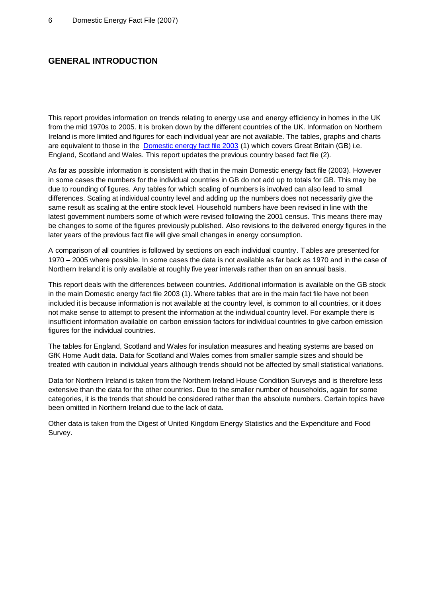# **GENERAL INTRODUCTION**

This report provides information on trends relating to energy use and energy efficiency in homes in the UK from the mid 1970s to 2005. It is broken down by the different countries of the UK. Information on Northern Ireland is more limited and figures for each individual year are not available. The tables, graphs and charts are equivalent to those in the Domestic energy fact file 2003 (1) which covers Great Britain (GB) i.e. England, Scotland and Wales. This report updates the previous country based fact file (2).

As far as possible information is consistent with that in the main Domestic energy fact file (2003). However in some cases the numbers for the individual countries in GB do not add up to totals for GB. This may be due to rounding of figures. Any tables for which scaling of numbers is involved can also lead to small differences. Scaling at individual country level and adding up the numbers does not necessarily give the same result as scaling at the entire stock level. Household numbers have been revised in line with the latest government numbers some of which were revised following the 2001 census. This means there may be changes to some of the figures previously published. Also revisions to the delivered energy figures in the later years of the previous fact file will give small changes in energy consumption.

A comparison of all countries is followed by sections on each individual country. Tables are presented for 1970 – 2005 where possible. In some cases the data is not available as far back as 1970 and in the case of Northern Ireland it is only available at roughly five year intervals rather than on an annual basis.

This report deals with the differences between countries. Additional information is available on the GB stock in the main Domestic energy fact file 2003 (1). Where tables that are in the main fact file have not been included it is because information is not available at the country level, is common to all countries, or it does not make sense to attempt to present the information at the individual country level. For example there is insufficient information available on carbon emission factors for individual countries to give carbon emission figures for the individual countries.

The tables for England, Scotland and Wales for insulation measures and heating systems are based on GfK Home Audit data. Data for Scotland and Wales comes from smaller sample sizes and should be treated with caution in individual years although trends should not be affected by small statistical variations.

Data for Northern Ireland is taken from the Northern Ireland House Condition Surveys and is therefore less extensive than the data for the other countries. Due to the smaller number of households, again for some categories, it is the trends that should be considered rather than the absolute numbers. Certain topics have been omitted in Northern Ireland due to the lack of data.

Other data is taken from the Digest of United Kingdom Energy Statistics and the Expenditure and Food Survey.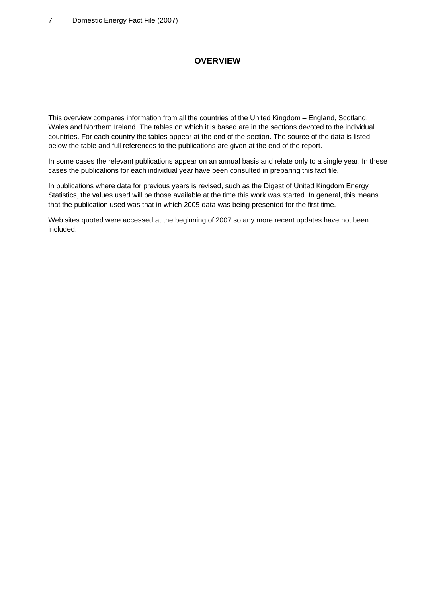# **OVERVIEW**

This overview compares information from all the countries of the United Kingdom – England, Scotland, Wales and Northern Ireland. The tables on which it is based are in the sections devoted to the individual countries. For each country the tables appear at the end of the section. The source of the data is listed below the table and full references to the publications are given at the end of the report.

In some cases the relevant publications appear on an annual basis and relate only to a single year. In these cases the publications for each individual year have been consulted in preparing this fact file.

In publications where data for previous years is revised, such as the Digest of United Kingdom Energy Statistics, the values used will be those available at the time this work was started. In general, this means that the publication used was that in which 2005 data was being presented for the first time.

Web sites quoted were accessed at the beginning of 2007 so any more recent updates have not been included.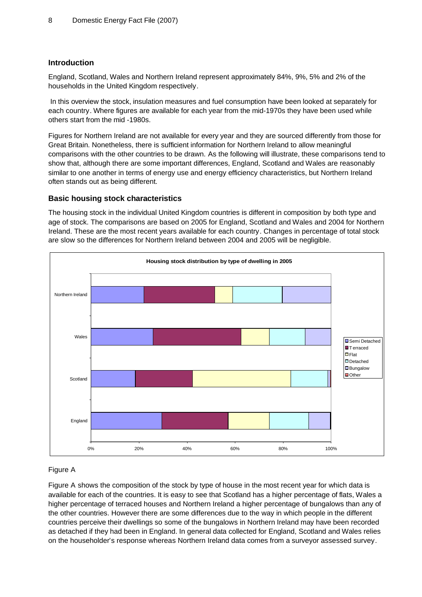### **Introduction**

England, Scotland, Wales and Northern Ireland represent approximately 84%, 9%, 5% and 2% of the households in the United Kingdom respectively.

 In this overview the stock, insulation measures and fuel consumption have been looked at separately for each country. Where figures are available for each year from the mid-1970s they have been used while others start from the mid -1980s.

Figures for Northern Ireland are not available for every year and they are sourced differently from those for Great Britain. Nonetheless, there is sufficient information for Northern Ireland to allow meaningful comparisons with the other countries to be drawn. As the following will illustrate, these comparisons tend to show that, although there are some important differences, England, Scotland and Wales are reasonably similar to one another in terms of energy use and energy efficiency characteristics, but Northern Ireland often stands out as being different.

### **Basic housing stock characteristics**

The housing stock in the individual United Kingdom countries is different in composition by both type and age of stock. The comparisons are based on 2005 for England, Scotland and Wales and 2004 for Northern Ireland. These are the most recent years available for each country. Changes in percentage of total stock are slow so the differences for Northern Ireland between 2004 and 2005 will be negligible.



# Figure A

Figure A shows the composition of the stock by type of house in the most recent year for which data is available for each of the countries. It is easy to see that Scotland has a higher percentage of flats, Wales a higher percentage of terraced houses and Northern Ireland a higher percentage of bungalows than any of the other countries. However there are some differences due to the way in which people in the different countries perceive their dwellings so some of the bungalows in Northern Ireland may have been recorded as detached if they had been in England. In general data collected for England, Scotland and Wales relies on the householder's response whereas Northern Ireland data comes from a surveyor assessed survey.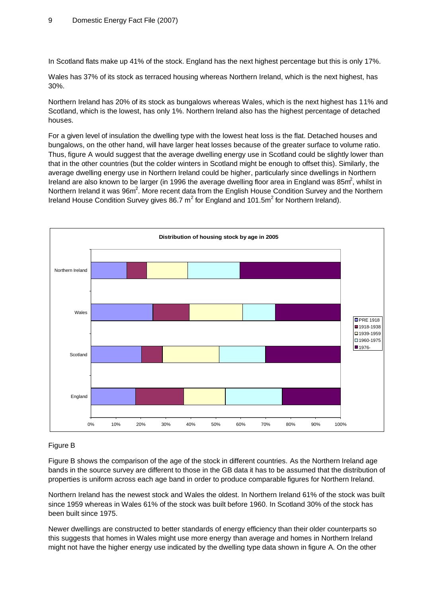In Scotland flats make up 41% of the stock. England has the next highest percentage but this is only 17%.

Wales has 37% of its stock as terraced housing whereas Northern Ireland, which is the next highest, has 30%.

Northern Ireland has 20% of its stock as bungalows whereas Wales, which is the next highest has 11% and Scotland, which is the lowest, has only 1%. Northern Ireland also has the highest percentage of detached houses.

For a given level of insulation the dwelling type with the lowest heat loss is the flat. Detached houses and bungalows, on the other hand, will have larger heat losses because of the greater surface to volume ratio. Thus, figure A would suggest that the average dwelling energy use in Scotland could be slightly lower than that in the other countries (but the colder winters in Scotland might be enough to offset this). Similarly, the average dwelling energy use in Northern Ireland could be higher, particularly since dwellings in Northern Ireland are also known to be larger (in 1996 the average dwelling floor area in England was 85 $m^2$ , whilst in Northern Ireland it was  $96m^2$ . More recent data from the English House Condition Survey and the Northern Ireland House Condition Survey gives 86.7  $m^2$  for England and 101.5 $m^2$  for Northern Ireland).



### Figure B

Figure B shows the comparison of the age of the stock in different countries. As the Northern Ireland age bands in the source survey are different to those in the GB data it has to be assumed that the distribution of properties is uniform across each age band in order to produce comparable figures for Northern Ireland.

Northern Ireland has the newest stock and Wales the oldest. In Northern Ireland 61% of the stock was built since 1959 whereas in Wales 61% of the stock was built before 1960. In Scotland 30% of the stock has been built since 1975.

Newer dwellings are constructed to better standards of energy efficiency than their older counterparts so this suggests that homes in Wales might use more energy than average and homes in Northern Ireland might not have the higher energy use indicated by the dwelling type data shown in figure A. On the other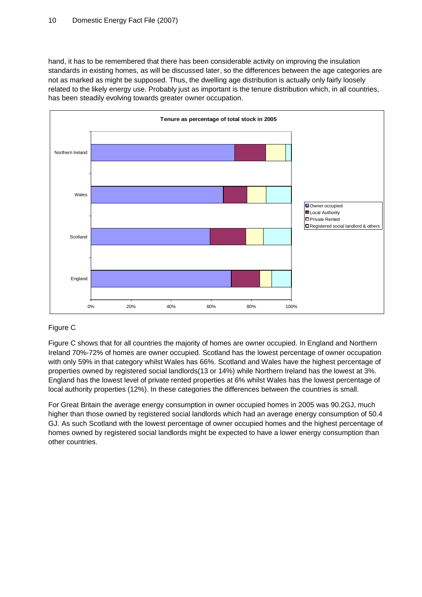hand, it has to be remembered that there has been considerable activity on improving the insulation standards in existing homes, as will be discussed later, so the differences between the age categories are not as marked as might be supposed. Thus, the dwelling age distribution is actually only fairly loosely related to the likely energy use. Probably just as important is the tenure distribution which, in all countries, has been steadily evolving towards greater owner occupation.



# Figure C

Figure C shows that for all countries the majority of homes are owner occupied. In England and Northern Ireland 70%-72% of homes are owner occupied. Scotland has the lowest percentage of owner occupation with only 59% in that category whilst Wales has 66%. Scotland and Wales have the highest percentage of properties owned by registered social landlords(13 or 14%) while Northern Ireland has the lowest at 3%. England has the lowest level of private rented properties at 6% whilst Wales has the lowest percentage of local authority properties (12%). In these categories the differences between the countries is small.

For Great Britain the average energy consumption in owner occupied homes in 2005 was 90.2GJ, much higher than those owned by registered social landlords which had an average energy consumption of 50.4 GJ. As such Scotland with the lowest percentage of owner occupied homes and the highest percentage of homes owned by registered social landlords might be expected to have a lower energy consumption than other countries.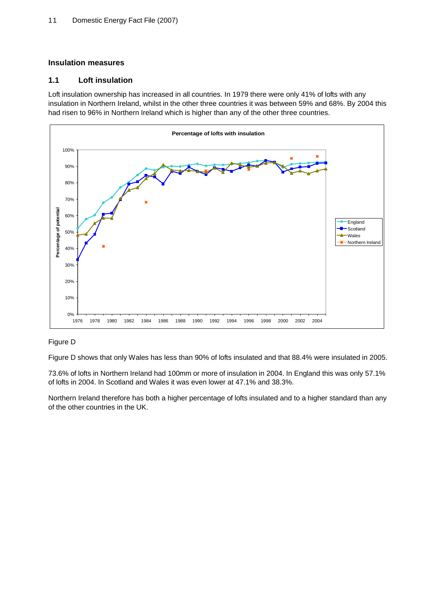# **Insulation measures**

# **1.1 Loft insulation**

Loft insulation ownership has increased in all countries. In 1979 there were only 41% of lofts with any insulation in Northern Ireland, whilst in the other three countries it was between 59% and 68%. By 2004 this had risen to 96% in Northern Ireland which is higher than any of the other three countries.



# Figure D

Figure D shows that only Wales has less than 90% of lofts insulated and that 88.4% were insulated in 2005.

73.6% of lofts in Northern Ireland had 100mm or more of insulation in 2004. In England this was only 57.1% of lofts in 2004. In Scotland and Wales it was even lower at 47.1% and 38.3%.

Northern Ireland therefore has both a higher percentage of lofts insulated and to a higher standard than any of the other countries in the UK.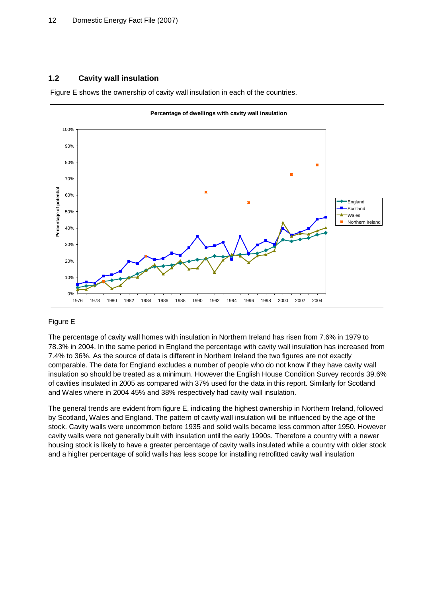# **1.2 Cavity wall insulation**

Figure E shows the ownership of cavity wall insulation in each of the countries.



# Figure E

The percentage of cavity wall homes with insulation in Northern Ireland has risen from 7.6% in 1979 to 78.3% in 2004. In the same period in England the percentage with cavity wall insulation has increased from 7.4% to 36%. As the source of data is different in Northern Ireland the two figures are not exactly comparable. The data for England excludes a number of people who do not know if they have cavity wall insulation so should be treated as a minimum. However the English House Condition Survey records 39.6% of cavities insulated in 2005 as compared with 37% used for the data in this report. Similarly for Scotland and Wales where in 2004 45% and 38% respectively had cavity wall insulation.

The general trends are evident from figure E, indicating the highest ownership in Northern Ireland, followed by Scotland, Wales and England. The pattern of cavity wall insulation will be influenced by the age of the stock. Cavity walls were uncommon before 1935 and solid walls became less common after 1950. However cavity walls were not generally built with insulation until the early 1990s. Therefore a country with a newer housing stock is likely to have a greater percentage of cavity walls insulated while a country with older stock and a higher percentage of solid walls has less scope for installing retrofitted cavity wall insulation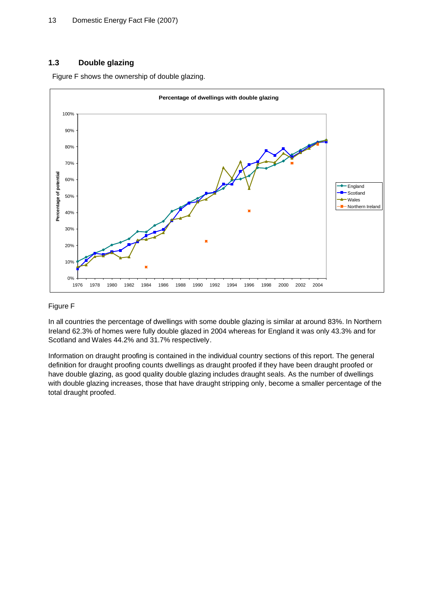### **1.3 Double glazing**

Figure F shows the ownership of double glazing.



### Figure F

In all countries the percentage of dwellings with some double glazing is similar at around 83%. In Northern Ireland 62.3% of homes were fully double glazed in 2004 whereas for England it was only 43.3% and for Scotland and Wales 44.2% and 31.7% respectively.

Information on draught proofing is contained in the individual country sections of this report. The general definition for draught proofing counts dwellings as draught proofed if they have been draught proofed or have double glazing, as good quality double glazing includes draught seals. As the number of dwellings with double glazing increases, those that have draught stripping only, become a smaller percentage of the total draught proofed.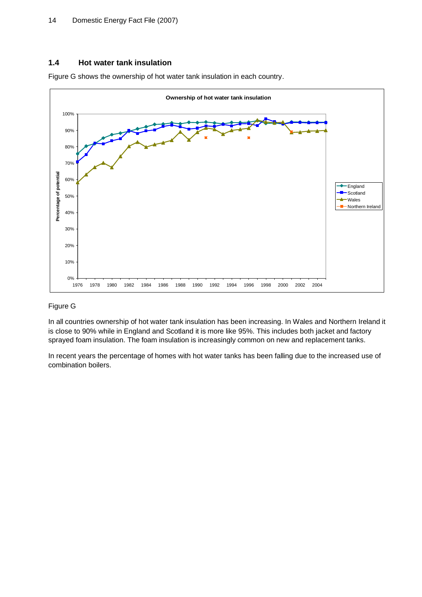### **1.4 Hot water tank insulation**

Figure G shows the ownership of hot water tank insulation in each country.



### Figure G

In all countries ownership of hot water tank insulation has been increasing. In Wales and Northern Ireland it is close to 90% while in England and Scotland it is more like 95%. This includes both jacket and factory sprayed foam insulation. The foam insulation is increasingly common on new and replacement tanks.

In recent years the percentage of homes with hot water tanks has been falling due to the increased use of combination boilers.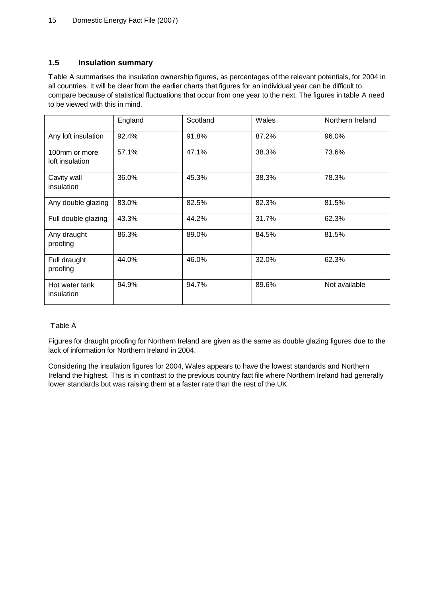# **1.5 Insulation summary**

Table A summarises the insulation ownership figures, as percentages of the relevant potentials, for 2004 in all countries. It will be clear from the earlier charts that figures for an individual year can be difficult to compare because of statistical fluctuations that occur from one year to the next. The figures in table A need to be viewed with this in mind.

|                                  | England | Scotland | Wales | Northern Ireland |
|----------------------------------|---------|----------|-------|------------------|
| Any loft insulation              | 92.4%   | 91.8%    | 87.2% | 96.0%            |
| 100mm or more<br>loft insulation | 57.1%   | 47.1%    | 38.3% | 73.6%            |
| Cavity wall<br>insulation        | 36.0%   | 45.3%    | 38.3% | 78.3%            |
| Any double glazing               | 83.0%   | 82.5%    | 82.3% | 81.5%            |
| Full double glazing              | 43.3%   | 44.2%    | 31.7% | 62.3%            |
| Any draught<br>proofing          | 86.3%   | 89.0%    | 84.5% | 81.5%            |
| Full draught<br>proofing         | 44.0%   | 46.0%    | 32.0% | 62.3%            |
| Hot water tank<br>insulation     | 94.9%   | 94.7%    | 89.6% | Not available    |

# Table A

Figures for draught proofing for Northern Ireland are given as the same as double glazing figures due to the lack of information for Northern Ireland in 2004.

Considering the insulation figures for 2004, Wales appears to have the lowest standards and Northern Ireland the highest. This is in contrast to the previous country fact file where Northern Ireland had generally lower standards but was raising them at a faster rate than the rest of the UK.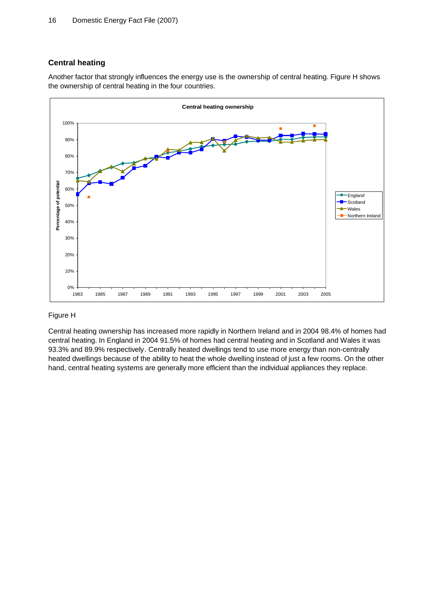# **Central heating**

Another factor that strongly influences the energy use is the ownership of central heating. Figure H shows the ownership of central heating in the four countries.



### Figure H

Central heating ownership has increased more rapidly in Northern Ireland and in 2004 98.4% of homes had central heating. In England in 2004 91.5% of homes had central heating and in Scotland and Wales it was 93.3% and 89.9% respectively. Centrally heated dwellings tend to use more energy than non-centrally heated dwellings because of the ability to heat the whole dwelling instead of just a few rooms. On the other hand, central heating systems are generally more efficient than the individual appliances they replace.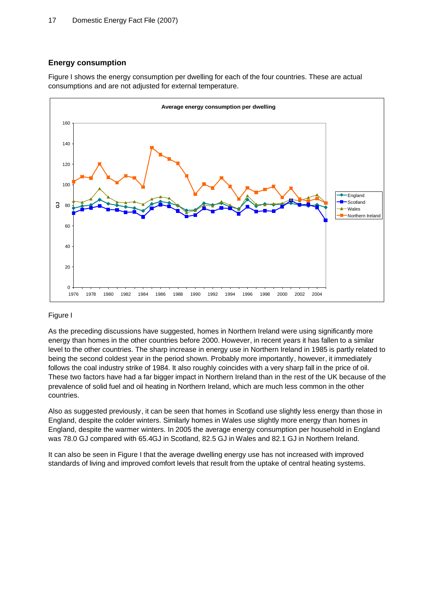### **Energy consumption**

Figure I shows the energy consumption per dwelling for each of the four countries. These are actual consumptions and are not adjusted for external temperature.



### Figure I

As the preceding discussions have suggested, homes in Northern Ireland were using significantly more energy than homes in the other countries before 2000. However, in recent years it has fallen to a similar level to the other countries. The sharp increase in energy use in Northern Ireland in 1985 is partly related to being the second coldest year in the period shown. Probably more importantly, however, it immediately follows the coal industry strike of 1984. It also roughly coincides with a very sharp fall in the price of oil. These two factors have had a far bigger impact in Northern Ireland than in the rest of the UK because of the prevalence of solid fuel and oil heating in Northern Ireland, which are much less common in the other countries.

Also as suggested previously, it can be seen that homes in Scotland use slightly less energy than those in England, despite the colder winters. Similarly homes in Wales use slightly more energy than homes in England, despite the warmer winters. In 2005 the average energy consumption per household in England was 78.0 GJ compared with 65.4GJ in Scotland, 82.5 GJ in Wales and 82.1 GJ in Northern Ireland.

It can also be seen in Figure I that the average dwelling energy use has not increased with improved standards of living and improved comfort levels that result from the uptake of central heating systems.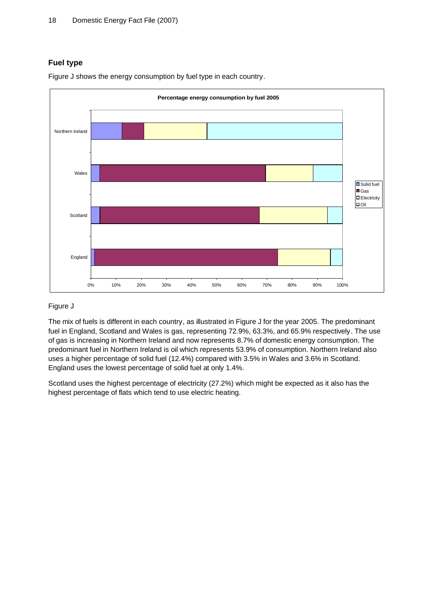# **Fuel type**



Figure J shows the energy consumption by fuel type in each country.

# Figure J

The mix of fuels is different in each country, as illustrated in Figure J for the year 2005. The predominant fuel in England, Scotland and Wales is gas, representing 72.9%, 63.3%, and 65.9% respectively. The use of gas is increasing in Northern Ireland and now represents 8.7% of domestic energy consumption. The predominant fuel in Northern Ireland is oil which represents 53.9% of consumption. Northern Ireland also uses a higher percentage of solid fuel (12.4%) compared with 3.5% in Wales and 3.6% in Scotland. England uses the lowest percentage of solid fuel at only 1.4%.

Scotland uses the highest percentage of electricity (27.2%) which might be expected as it also has the highest percentage of flats which tend to use electric heating.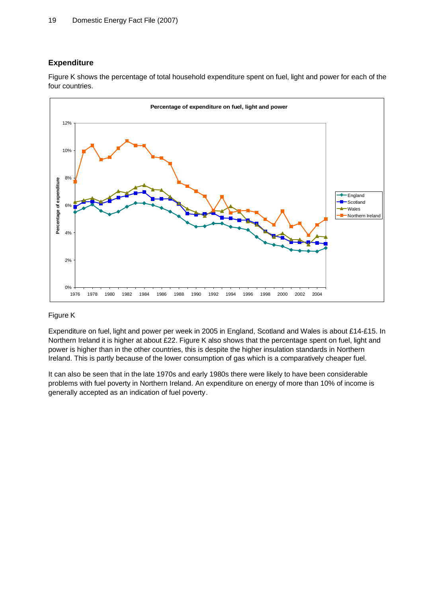# **Expenditure**

Figure K shows the percentage of total household expenditure spent on fuel, light and power for each of the four countries.



### Figure K

Expenditure on fuel, light and power per week in 2005 in England, Scotland and Wales is about £14-£15. In Northern Ireland it is higher at about £22. Figure K also shows that the percentage spent on fuel, light and power is higher than in the other countries, this is despite the higher insulation standards in Northern Ireland. This is partly because of the lower consumption of gas which is a comparatively cheaper fuel.

It can also be seen that in the late 1970s and early 1980s there were likely to have been considerable problems with fuel poverty in Northern Ireland. An expenditure on energy of more than 10% of income is generally accepted as an indication of fuel poverty.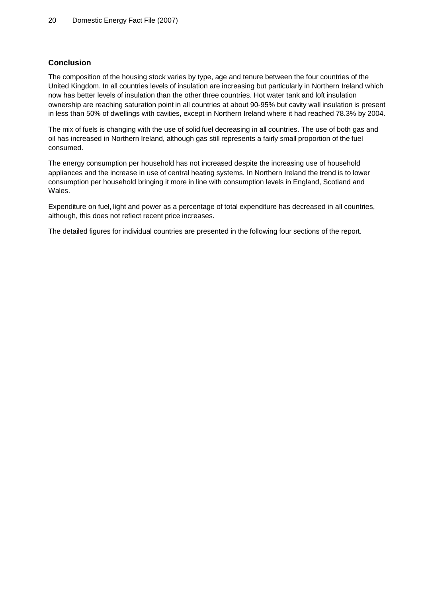### **Conclusion**

The composition of the housing stock varies by type, age and tenure between the four countries of the United Kingdom. In all countries levels of insulation are increasing but particularly in Northern Ireland which now has better levels of insulation than the other three countries. Hot water tank and loft insulation ownership are reaching saturation point in all countries at about 90-95% but cavity wall insulation is present in less than 50% of dwellings with cavities, except in Northern Ireland where it had reached 78.3% by 2004.

The mix of fuels is changing with the use of solid fuel decreasing in all countries. The use of both gas and oil has increased in Northern Ireland, although gas still represents a fairly small proportion of the fuel consumed.

The energy consumption per household has not increased despite the increasing use of household appliances and the increase in use of central heating systems. In Northern Ireland the trend is to lower consumption per household bringing it more in line with consumption levels in England, Scotland and Wales.

Expenditure on fuel, light and power as a percentage of total expenditure has decreased in all countries, although, this does not reflect recent price increases.

The detailed figures for individual countries are presented in the following four sections of the report.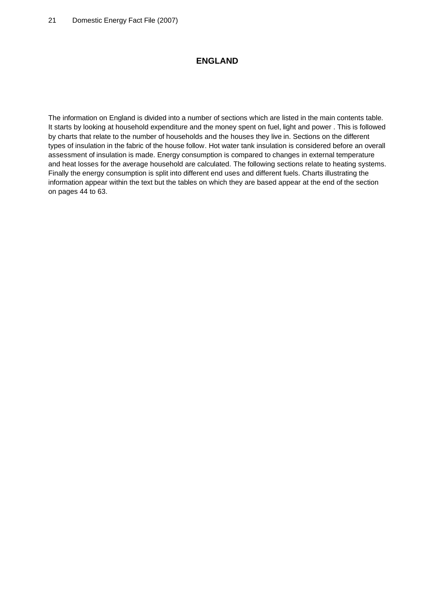# **ENGLAND**

The information on England is divided into a number of sections which are listed in the main contents table. It starts by looking at household expenditure and the money spent on fuel, light and power . This is followed by charts that relate to the number of households and the houses they live in. Sections on the different types of insulation in the fabric of the house follow. Hot water tank insulation is considered before an overall assessment of insulation is made. Energy consumption is compared to changes in external temperature and heat losses for the average household are calculated. The following sections relate to heating systems. Finally the energy consumption is split into different end uses and different fuels. Charts illustrating the information appear within the text but the tables on which they are based appear at the end of the section on pages 44 to 63.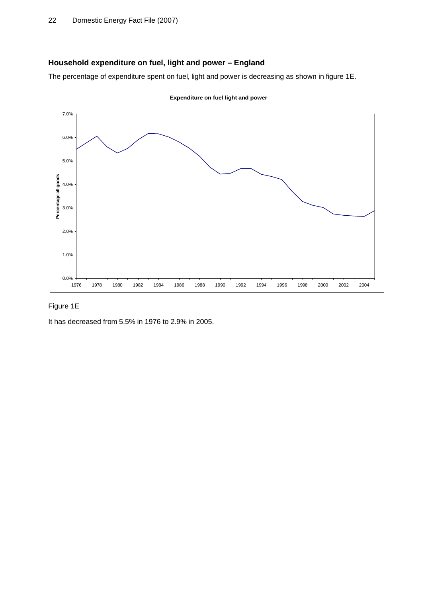# **Household expenditure on fuel, light and power – England**

The percentage of expenditure spent on fuel, light and power is decreasing as shown in figure 1E.



# Figure 1E

It has decreased from 5.5% in 1976 to 2.9% in 2005.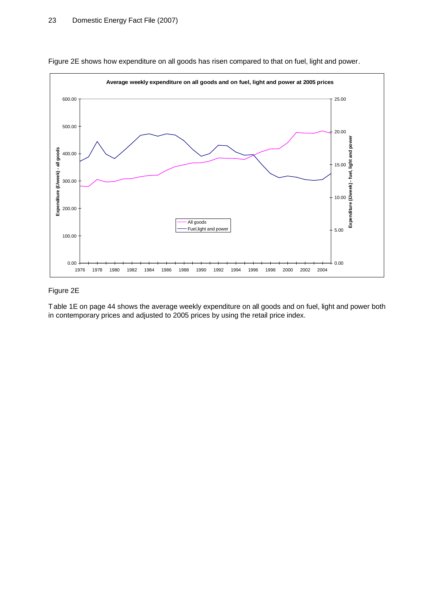

Figure 2E shows how expenditure on all goods has risen compared to that on fuel, light and power.

#### Figure 2E

Table 1E on page 44 shows the average weekly expenditure on all goods and on fuel, light and power both in contemporary prices and adjusted to 2005 prices by using the retail price index.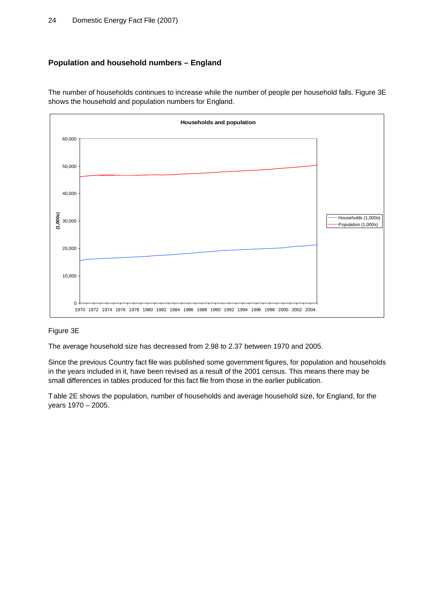# **Population and household numbers – England**





# Figure 3E

The average household size has decreased from 2.98 to 2.37 between 1970 and 2005.

Since the previous Country fact file was published some government figures, for population and households in the years included in it, have been revised as a result of the 2001 census. This means there may be small differences in tables produced for this fact file from those in the earlier publication.

Table 2E shows the population, number of households and average household size, for England, for the years 1970 – 2005.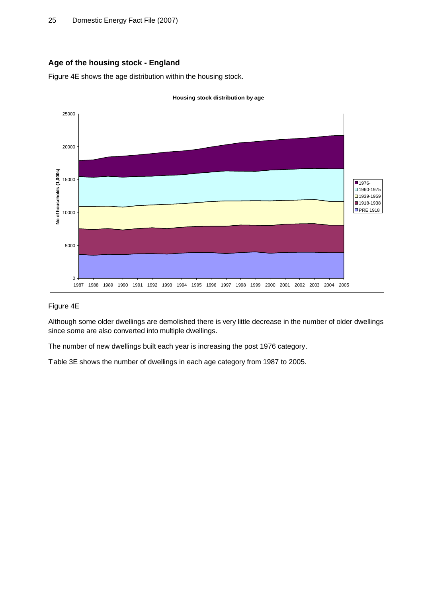# **Age of the housing stock - England**

Figure 4E shows the age distribution within the housing stock.



#### Figure 4E

Although some older dwellings are demolished there is very little decrease in the number of older dwellings since some are also converted into multiple dwellings.

The number of new dwellings built each year is increasing the post 1976 category.

Table 3E shows the number of dwellings in each age category from 1987 to 2005.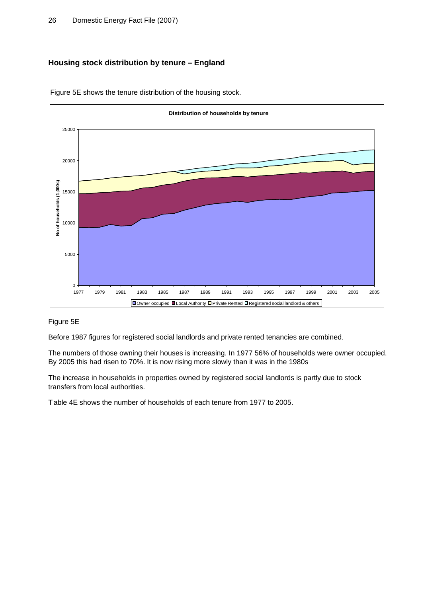# **Housing stock distribution by tenure – England**



Figure 5E shows the tenure distribution of the housing stock.

### Figure 5E

Before 1987 figures for registered social landlords and private rented tenancies are combined.

The numbers of those owning their houses is increasing. In 1977 56% of households were owner occupied. By 2005 this had risen to 70%. It is now rising more slowly than it was in the 1980s

The increase in households in properties owned by registered social landlords is partly due to stock transfers from local authorities.

Table 4E shows the number of households of each tenure from 1977 to 2005.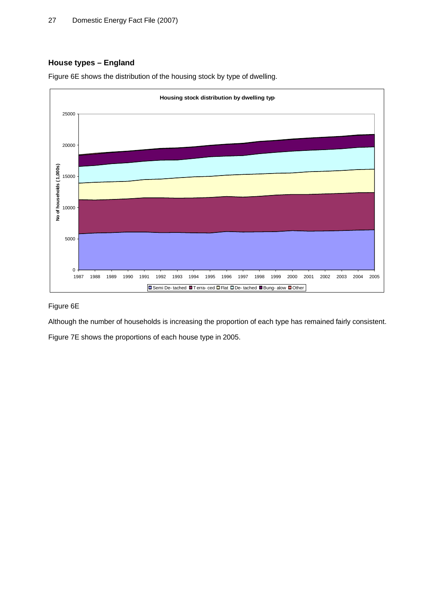# **House types – England**



Figure 6E shows the distribution of the housing stock by type of dwelling.

# Figure 6E

Although the number of households is increasing the proportion of each type has remained fairly consistent.

Figure 7E shows the proportions of each house type in 2005.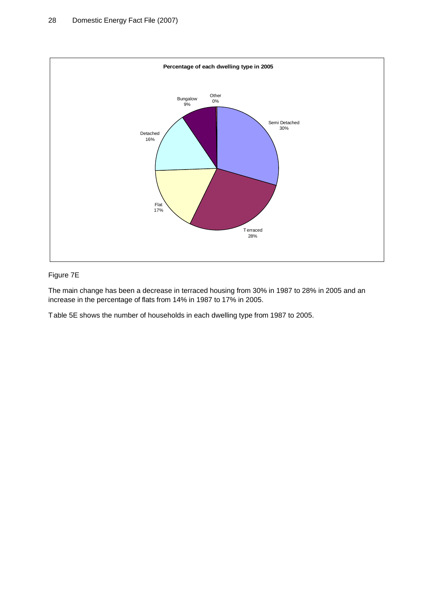

### Figure 7E

The main change has been a decrease in terraced housing from 30% in 1987 to 28% in 2005 and an increase in the percentage of flats from 14% in 1987 to 17% in 2005.

Table 5E shows the number of households in each dwelling type from 1987 to 2005.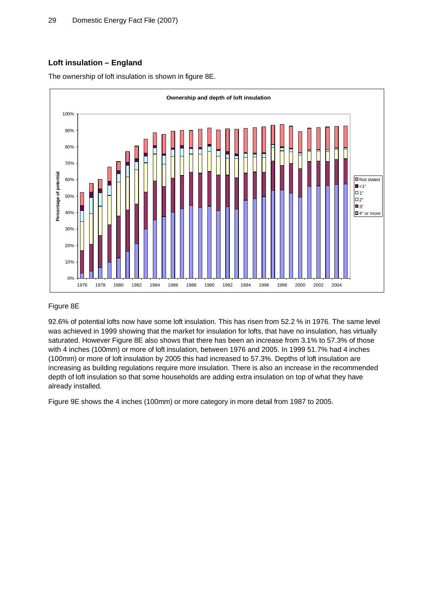# **Loft insulation – England**

The ownership of loft insulation is shown in figure 8E.



### Figure 8E

92.6% of potential lofts now have some loft insulation. This has risen from 52.2 % in 1976. The same level was achieved in 1999 showing that the market for insulation for lofts, that have no insulation, has virtually saturated. However Figure 8E also shows that there has been an increase from 3.1% to 57.3% of those with 4 inches (100mm) or more of loft insulation, between 1976 and 2005. In 1999 51.7% had 4 inches (100mm) or more of loft insulation by 2005 this had increased to 57.3%. Depths of loft insulation are increasing as building regulations require more insulation. There is also an increase in the recommended depth of loft insulation so that some households are adding extra insulation on top of what they have already installed.

Figure 9E shows the 4 inches (100mm) or more category in more detail from 1987 to 2005.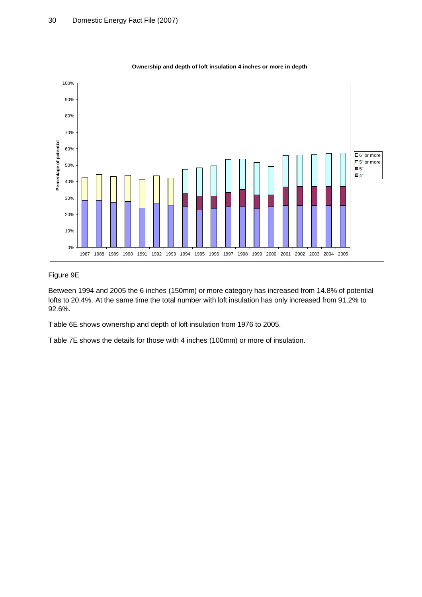

### Figure 9E

Between 1994 and 2005 the 6 inches (150mm) or more category has increased from 14.8% of potential lofts to 20.4%. At the same time the total number with loft insulation has only increased from 91.2% to 92.6%.

Table 6E shows ownership and depth of loft insulation from 1976 to 2005.

Table 7E shows the details for those with 4 inches (100mm) or more of insulation.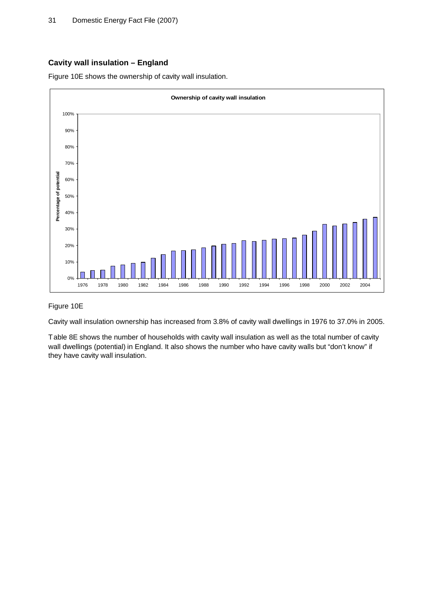# **Cavity wall insulation – England**

Figure 10E shows the ownership of cavity wall insulation.



### Figure 10E

Cavity wall insulation ownership has increased from 3.8% of cavity wall dwellings in 1976 to 37.0% in 2005.

Table 8E shows the number of households with cavity wall insulation as well as the total number of cavity wall dwellings (potential) in England. It also shows the number who have cavity walls but "don't know" if they have cavity wall insulation.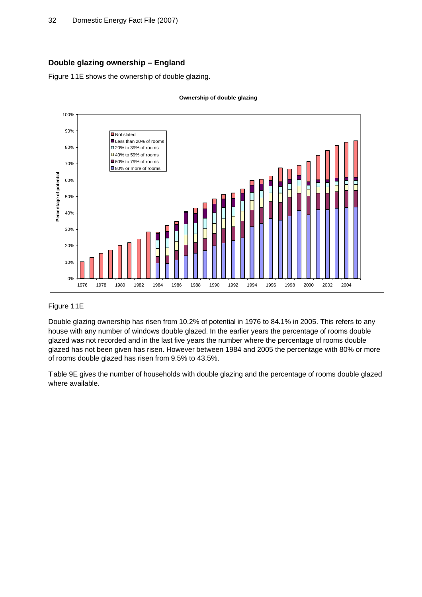# **Double glazing ownership – England**

Figure 11E shows the ownership of double glazing.



### Figure 11E

Double glazing ownership has risen from 10.2% of potential in 1976 to 84.1% in 2005. This refers to any house with any number of windows double glazed. In the earlier years the percentage of rooms double glazed was not recorded and in the last five years the number where the percentage of rooms double glazed has not been given has risen. However between 1984 and 2005 the percentage with 80% or more of rooms double glazed has risen from 9.5% to 43.5%.

Table 9E gives the number of households with double glazing and the percentage of rooms double glazed where available.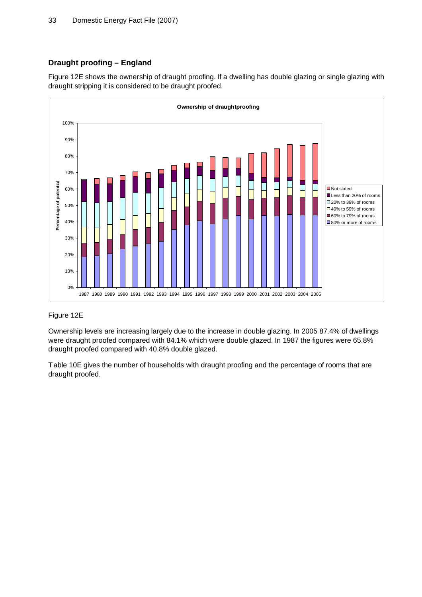# **Draught proofing – England**

Figure 12E shows the ownership of draught proofing. If a dwelling has double glazing or single glazing with draught stripping it is considered to be draught proofed.



### Figure 12E

Ownership levels are increasing largely due to the increase in double glazing. In 2005 87.4% of dwellings were draught proofed compared with 84.1% which were double glazed. In 1987 the figures were 65.8% draught proofed compared with 40.8% double glazed.

Table 10E gives the number of households with draught proofing and the percentage of rooms that are draught proofed.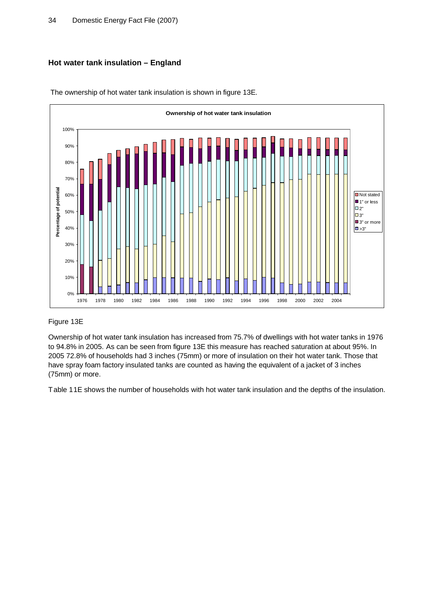# **Hot water tank insulation – England**



The ownership of hot water tank insulation is shown in figure 13E.

# Figure 13E

Ownership of hot water tank insulation has increased from 75.7% of dwellings with hot water tanks in 1976 to 94.8% in 2005. As can be seen from figure 13E this measure has reached saturation at about 95%. In 2005 72.8% of households had 3 inches (75mm) or more of insulation on their hot water tank. Those that have spray foam factory insulated tanks are counted as having the equivalent of a jacket of 3 inches (75mm) or more.

Table 11E shows the number of households with hot water tank insulation and the depths of the insulation.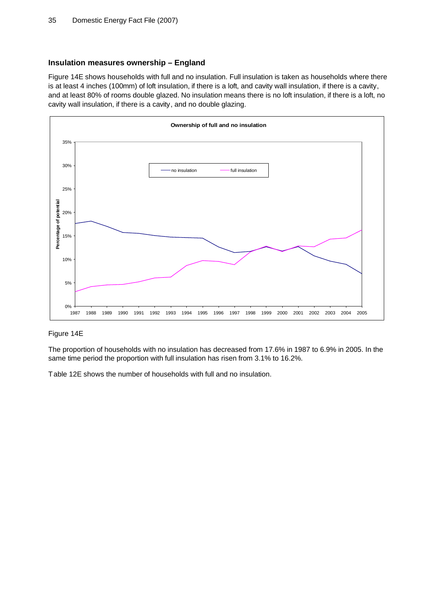### **Insulation measures ownership – England**

Figure 14E shows households with full and no insulation. Full insulation is taken as households where there is at least 4 inches (100mm) of loft insulation, if there is a loft, and cavity wall insulation, if there is a cavity, and at least 80% of rooms double glazed. No insulation means there is no loft insulation, if there is a loft, no cavity wall insulation, if there is a cavity, and no double glazing.



# Figure 14E

The proportion of households with no insulation has decreased from 17.6% in 1987 to 6.9% in 2005. In the same time period the proportion with full insulation has risen from 3.1% to 16.2%.

Table 12E shows the number of households with full and no insulation.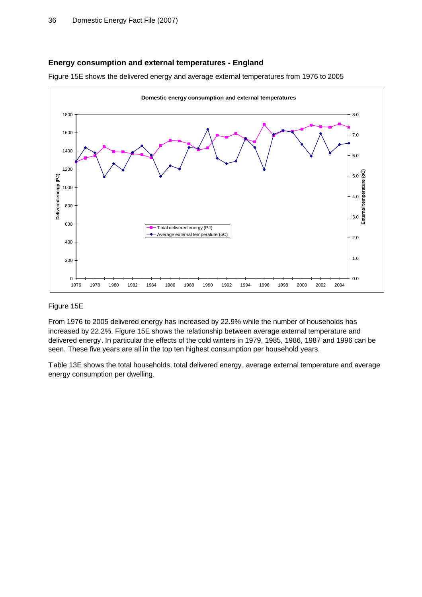#### **Energy consumption and external temperatures - England**



Figure 15E shows the delivered energy and average external temperatures from 1976 to 2005

### Figure 15E

From 1976 to 2005 delivered energy has increased by 22.9% while the number of households has increased by 22.2%. Figure 15E shows the relationship between average external temperature and delivered energy. In particular the effects of the cold winters in 1979, 1985, 1986, 1987 and 1996 can be seen. These five years are all in the top ten highest consumption per household years.

Table 13E shows the total households, total delivered energy, average external temperature and average energy consumption per dwelling.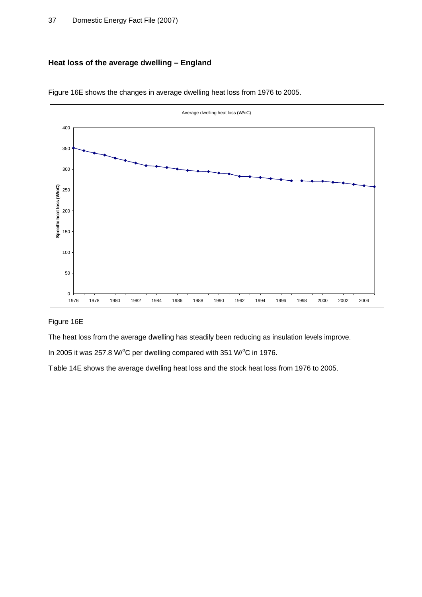# **Heat loss of the average dwelling – England**



Figure 16E shows the changes in average dwelling heat loss from 1976 to 2005.

### Figure 16E

The heat loss from the average dwelling has steadily been reducing as insulation levels improve.

In 2005 it was 257.8 W/ $^{\circ}$ C per dwelling compared with 351 W/ $^{\circ}$ C in 1976.

Table 14E shows the average dwelling heat loss and the stock heat loss from 1976 to 2005.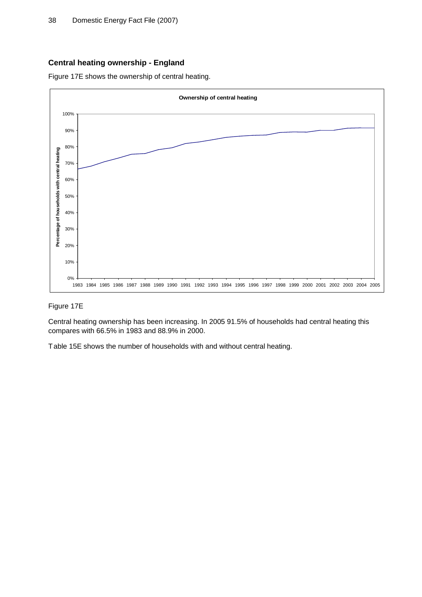# **Central heating ownership - England**

Figure 17E shows the ownership of central heating.



### Figure 17E

Central heating ownership has been increasing. In 2005 91.5% of households had central heating this compares with 66.5% in 1983 and 88.9% in 2000.

Table 15E shows the number of households with and without central heating.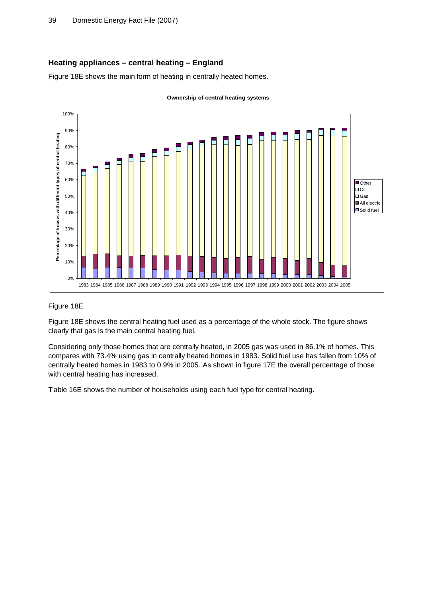# **Heating appliances – central heating – England**

Figure 18E shows the main form of heating in centrally heated homes.



### Figure 18E

Figure 18E shows the central heating fuel used as a percentage of the whole stock. The figure shows clearly that gas is the main central heating fuel.

Considering only those homes that are centrally heated, in 2005 gas was used in 86.1% of homes. This compares with 73.4% using gas in centrally heated homes in 1983. Solid fuel use has fallen from 10% of centrally heated homes in 1983 to 0.9% in 2005. As shown in figure 17E the overall percentage of those with central heating has increased.

Table 16E shows the number of households using each fuel type for central heating.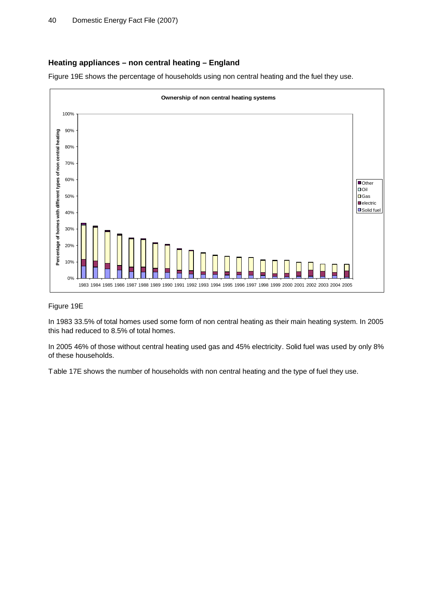# **Heating appliances – non central heating – England**

Figure 19E shows the percentage of households using non central heating and the fuel they use.



### Figure 19E

In 1983 33.5% of total homes used some form of non central heating as their main heating system. In 2005 this had reduced to 8.5% of total homes.

In 2005 46% of those without central heating used gas and 45% electricity. Solid fuel was used by only 8% of these households.

Table 17E shows the number of households with non central heating and the type of fuel they use.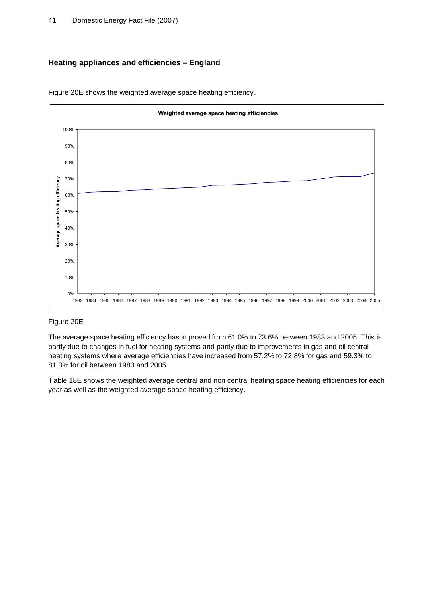# **Heating appliances and efficiencies – England**



Figure 20E shows the weighted average space heating efficiency.

### Figure 20E

The average space heating efficiency has improved from 61.0% to 73.6% between 1983 and 2005. This is partly due to changes in fuel for heating systems and partly due to improvements in gas and oil central heating systems where average efficiencies have increased from 57.2% to 72.8% for gas and 59.3% to 81.3% for oil between 1983 and 2005.

Table 18E shows the weighted average central and non central heating space heating efficiencies for each year as well as the weighted average space heating efficiency.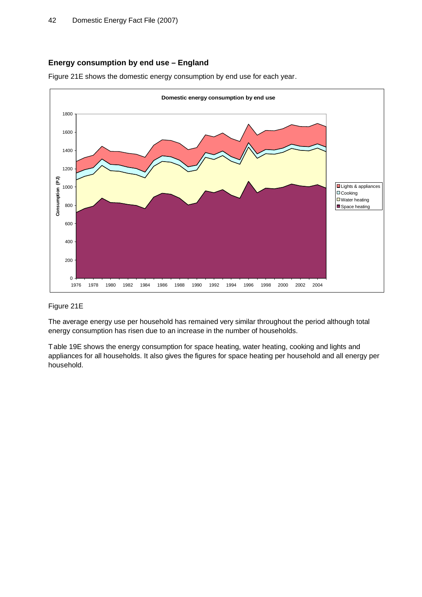# **Energy consumption by end use – England**

Figure 21E shows the domestic energy consumption by end use for each year.



### Figure 21E

The average energy use per household has remained very similar throughout the period although total energy consumption has risen due to an increase in the number of households.

Table 19E shows the energy consumption for space heating, water heating, cooking and lights and appliances for all households. It also gives the figures for space heating per household and all energy per household.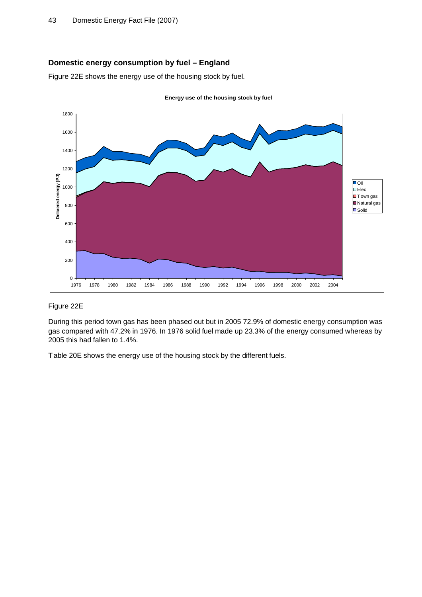# **Domestic energy consumption by fuel – England**

Figure 22E shows the energy use of the housing stock by fuel.



### Figure 22E

During this period town gas has been phased out but in 2005 72.9% of domestic energy consumption was gas compared with 47.2% in 1976. In 1976 solid fuel made up 23.3% of the energy consumed whereas by 2005 this had fallen to 1.4%.

Table 20E shows the energy use of the housing stock by the different fuels.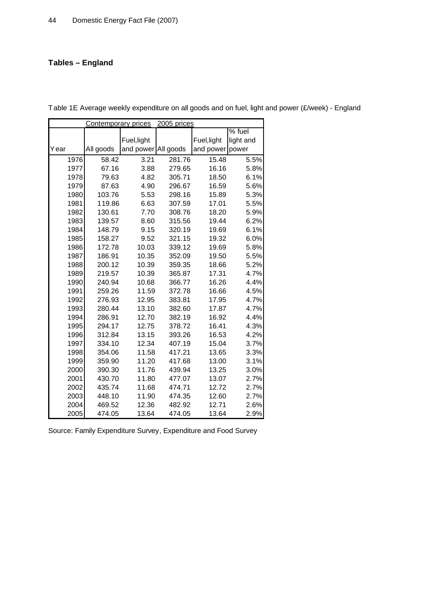# **Tables – England**

|      | 2005 prices<br><b>Contemporary prices</b> |                     |        |             |           |  |  |  |  |  |
|------|-------------------------------------------|---------------------|--------|-------------|-----------|--|--|--|--|--|
|      |                                           |                     |        |             | $%$ fuel  |  |  |  |  |  |
|      |                                           | Fuel, light         |        | Fuel, light | light and |  |  |  |  |  |
| Year | All goods                                 | and power All goods |        | and power   | power     |  |  |  |  |  |
| 1976 | 58.42                                     | 3.21                | 281.76 | 15.48       | 5.5%      |  |  |  |  |  |
| 1977 | 67.16                                     | 3.88                | 279.65 | 16.16       | 5.8%      |  |  |  |  |  |
| 1978 | 79.63                                     | 4.82                | 305.71 | 18.50       | 6.1%      |  |  |  |  |  |
| 1979 | 87.63                                     | 4.90                | 296.67 | 16.59       | 5.6%      |  |  |  |  |  |
| 1980 | 103.76                                    | 5.53                | 298.16 | 15.89       | 5.3%      |  |  |  |  |  |
| 1981 | 119.86                                    | 6.63                | 307.59 | 17.01       | 5.5%      |  |  |  |  |  |
| 1982 | 130.61                                    | 7.70                | 308.76 | 18.20       | 5.9%      |  |  |  |  |  |
| 1983 | 139.57                                    | 8.60                | 315.56 | 19.44       | 6.2%      |  |  |  |  |  |
| 1984 | 148.79                                    | 9.15                | 320.19 | 19.69       | 6.1%      |  |  |  |  |  |
| 1985 | 158.27                                    | 9.52                | 321.15 | 19.32       | 6.0%      |  |  |  |  |  |
| 1986 | 172.78                                    | 10.03               | 339.12 | 19.69       | 5.8%      |  |  |  |  |  |
| 1987 | 186.91                                    | 10.35               | 352.09 | 19.50       | 5.5%      |  |  |  |  |  |
| 1988 | 200.12                                    | 10.39               | 359.35 | 18.66       | 5.2%      |  |  |  |  |  |
| 1989 | 219.57                                    | 10.39               | 365.87 | 17.31       | 4.7%      |  |  |  |  |  |
| 1990 | 240.94                                    | 10.68               | 366.77 | 16.26       | 4.4%      |  |  |  |  |  |
| 1991 | 259.26                                    | 11.59               | 372.78 | 16.66       | 4.5%      |  |  |  |  |  |
| 1992 | 276.93                                    | 12.95               | 383.81 | 17.95       | 4.7%      |  |  |  |  |  |
| 1993 | 280.44                                    | 13.10               | 382.60 | 17.87       | 4.7%      |  |  |  |  |  |
| 1994 | 286.91                                    | 12.70               | 382.19 | 16.92       | 4.4%      |  |  |  |  |  |
| 1995 | 294.17                                    | 12.75               | 378.72 | 16.41       | 4.3%      |  |  |  |  |  |
| 1996 | 312.84                                    | 13.15               | 393.26 | 16.53       | 4.2%      |  |  |  |  |  |
| 1997 | 334.10                                    | 12.34               | 407.19 | 15.04       | 3.7%      |  |  |  |  |  |
| 1998 | 354.06                                    | 11.58               | 417.21 | 13.65       | 3.3%      |  |  |  |  |  |
| 1999 | 359.90                                    | 11.20               | 417.68 | 13.00       | 3.1%      |  |  |  |  |  |
| 2000 | 390.30                                    | 11.76               | 439.94 | 13.25       | 3.0%      |  |  |  |  |  |
| 2001 | 430.70                                    | 11.80               | 477.07 | 13.07       | 2.7%      |  |  |  |  |  |
| 2002 | 435.74                                    | 11.68               | 474.71 | 12.72       | 2.7%      |  |  |  |  |  |
| 2003 | 448.10                                    | 11.90               | 474.35 | 12.60       | 2.7%      |  |  |  |  |  |
| 2004 | 469.52                                    | 12.36               | 482.92 | 12.71       | 2.6%      |  |  |  |  |  |
| 2005 | 474.05                                    | 13.64               | 474.05 | 13.64       | 2.9%      |  |  |  |  |  |

Table 1E Average weekly expenditure on all goods and on fuel, light and power (£/week) - England

Source: Family Expenditure Survey, Expenditure and Food Survey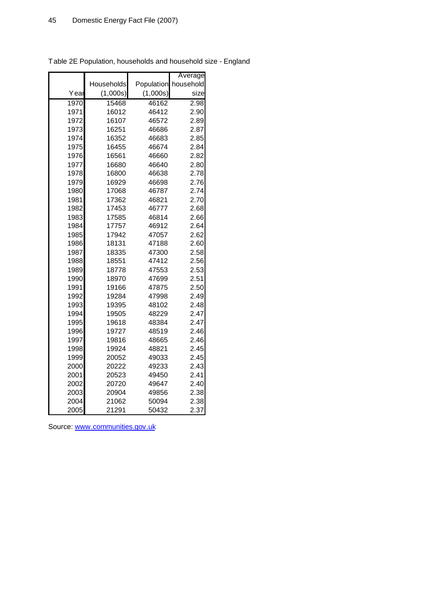|      |            |            | Average   |
|------|------------|------------|-----------|
|      | Households | Population | household |
| Year | (1,000s)   | (1,000s)   | size      |
| 1970 | 15468      | 46162      | 2.98      |
| 1971 | 16012      | 46412      | 2.90      |
| 1972 | 16107      | 46572      | 2.89      |
| 1973 | 16251      | 46686      | 2.87      |
| 1974 | 16352      | 46683      | 2.85      |
| 1975 | 16455      | 46674      | 2.84      |
| 1976 | 16561      | 46660      | 2.82      |
| 1977 | 16680      | 46640      | 2.80      |
| 1978 | 16800      | 46638      | 2.78      |
| 1979 | 16929      | 46698      | 2.76      |
| 1980 | 17068      | 46787      | 2.74      |
| 1981 | 17362      | 46821      | 2.70      |
| 1982 | 17453      | 46777      | 2.68      |
| 1983 | 17585      | 46814      | 2.66      |
| 1984 | 17757      | 46912      | 2.64      |
| 1985 | 17942      | 47057      | 2.62      |
| 1986 | 18131      | 47188      | 2.60      |
| 1987 | 18335      | 47300      | 2.58      |
| 1988 | 18551      | 47412      | 2.56      |
| 1989 | 18778      | 47553      | 2.53      |
| 1990 | 18970      | 47699      | 2.51      |
| 1991 | 19166      | 47875      | 2.50      |
| 1992 | 19284      | 47998      | 2.49      |
| 1993 | 19395      | 48102      | 2.48      |
| 1994 | 19505      | 48229      | 2.47      |
| 1995 | 19618      | 48384      | 2.47      |
| 1996 | 19727      | 48519      | 2.46      |
| 1997 | 19816      | 48665      | 2.46      |
| 1998 | 19924      | 48821      | 2.45      |
| 1999 | 20052      | 49033      | 2.45      |
| 2000 | 20222      | 49233      | 2.43      |
| 2001 | 20523      | 49450      | 2.41      |
| 2002 | 20720      | 49647      | 2.40      |
| 2003 | 20904      | 49856      | 2.38      |
| 2004 | 21062      | 50094      | 2.38      |
| 2005 | 21291      | 50432      | 2.37      |

Table 2E Population, households and household size - England

Source: [www.communities.gov.uk](http://www.communities.gov.uk)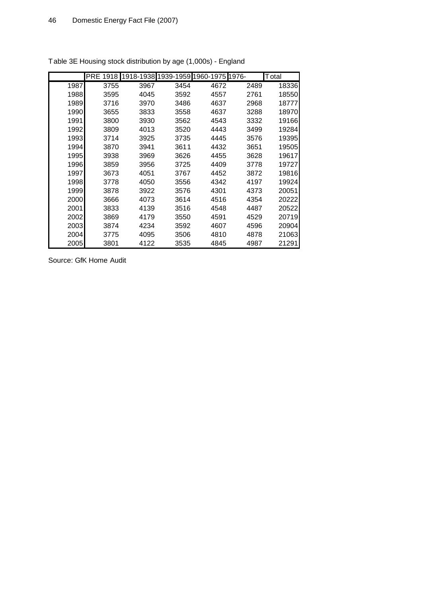|      | <b>PRE</b><br>1918 |      | 1918-1938 1939-1959 1960-1975 |      | 1976- | Total |
|------|--------------------|------|-------------------------------|------|-------|-------|
| 1987 | 3755               | 3967 | 3454                          | 4672 | 2489  | 18336 |
| 1988 | 3595               | 4045 | 3592                          | 4557 | 2761  | 18550 |
| 1989 | 3716               | 3970 | 3486                          | 4637 | 2968  | 18777 |
| 1990 | 3655               | 3833 | 3558                          | 4637 | 3288  | 18970 |
| 1991 | 3800               | 3930 | 3562                          | 4543 | 3332  | 19166 |
| 1992 | 3809               | 4013 | 3520                          | 4443 | 3499  | 19284 |
| 1993 | 3714               | 3925 | 3735                          | 4445 | 3576  | 19395 |
| 1994 | 3870               | 3941 | 3611                          | 4432 | 3651  | 19505 |
| 1995 | 3938               | 3969 | 3626                          | 4455 | 3628  | 19617 |
| 1996 | 3859               | 3956 | 3725                          | 4409 | 3778  | 19727 |
| 1997 | 3673               | 4051 | 3767                          | 4452 | 3872  | 19816 |
| 1998 | 3778               | 4050 | 3556                          | 4342 | 4197  | 19924 |
| 1999 | 3878               | 3922 | 3576                          | 4301 | 4373  | 20051 |
| 2000 | 3666               | 4073 | 3614                          | 4516 | 4354  | 20222 |
| 2001 | 3833               | 4139 | 3516                          | 4548 | 4487  | 20522 |
| 2002 | 3869               | 4179 | 3550                          | 4591 | 4529  | 20719 |
| 2003 | 3874               | 4234 | 3592                          | 4607 | 4596  | 20904 |
| 2004 | 3775               | 4095 | 3506                          | 4810 | 4878  | 21063 |
| 2005 | 3801               | 4122 | 3535                          | 4845 | 4987  | 21291 |

Table 3E Housing stock distribution by age (1,000s) - England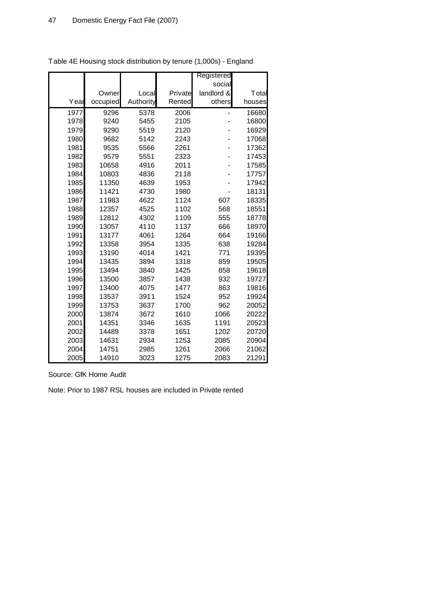|      |          |           |         | Registered |        |
|------|----------|-----------|---------|------------|--------|
|      |          |           |         | social     |        |
|      | Owner    | Local     | Private | landlord & | Total  |
| Year | occupied | Authority | Rented  | others     | houses |
| 1977 | 9296     | 5378      | 2006    |            | 16680  |
| 1978 | 9240     | 5455      | 2105    |            | 16800  |
| 1979 | 9290     | 5519      | 2120    |            | 16929  |
| 1980 | 9682     | 5142      | 2243    |            | 17068  |
| 1981 | 9535     | 5566      | 2261    |            | 17362  |
| 1982 | 9579     | 5551      | 2323    |            | 17453  |
| 1983 | 10658    | 4916      | 2011    |            | 17585  |
| 1984 | 10803    | 4836      | 2118    |            | 17757  |
| 1985 | 11350    | 4639      | 1953    |            | 17942  |
| 1986 | 11421    | 4730      | 1980    |            | 18131  |
| 1987 | 11983    | 4622      | 1124    | 607        | 18335  |
| 1988 | 12357    | 4525      | 1102    | 568        | 18551  |
| 1989 | 12812    | 4302      | 1109    | 555        | 18778  |
| 1990 | 13057    | 4110      | 1137    | 666        | 18970  |
| 1991 | 13177    | 4061      | 1264    | 664        | 19166  |
| 1992 | 13358    | 3954      | 1335    | 638        | 19284  |
| 1993 | 13190    | 4014      | 1421    | 771        | 19395  |
| 1994 | 13435    | 3894      | 1318    | 859        | 19505  |
| 1995 | 13494    | 3840      | 1425    | 858        | 19618  |
| 1996 | 13500    | 3857      | 1438    | 932        | 19727  |
| 1997 | 13400    | 4075      | 1477    | 863        | 19816  |
| 1998 | 13537    | 3911      | 1524    | 952        | 19924  |
| 1999 | 13753    | 3637      | 1700    | 962        | 20052  |
| 2000 | 13874    | 3672      | 1610    | 1066       | 20222  |
| 2001 | 14351    | 3346      | 1635    | 1191       | 20523  |
| 2002 | 14489    | 3378      | 1651    | 1202       | 20720  |
| 2003 | 14631    | 2934      | 1253    | 2085       | 20904  |
| 2004 | 14751    | 2985      | 1261    | 2066       | 21062  |
| 2005 | 14910    | 3023      | 1275    | 2083       | 21291  |

Table 4E Housing stock distribution by tenure (1,000s) - England

Source: GfK Home Audit

Note: Prior to 1987 RSL houses are included in Private rented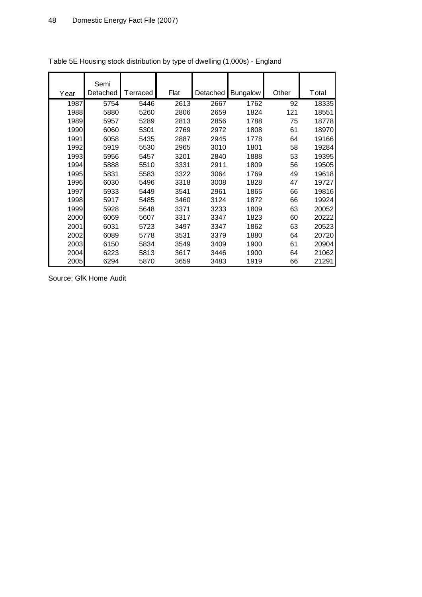|      | Semi     |          |      |          |                 |       |       |
|------|----------|----------|------|----------|-----------------|-------|-------|
| Year | Detached | Terraced | Flat | Detached | <b>Bungalow</b> | Other | Total |
| 1987 | 5754     | 5446     | 2613 | 2667     | 1762            | 92    | 18335 |
| 1988 | 5880     | 5260     | 2806 | 2659     | 1824            | 121   | 18551 |
| 1989 | 5957     | 5289     | 2813 | 2856     | 1788            | 75    | 18778 |
| 1990 | 6060     | 5301     | 2769 | 2972     | 1808            | 61    | 18970 |
| 1991 | 6058     | 5435     | 2887 | 2945     | 1778            | 64    | 19166 |
| 1992 | 5919     | 5530     | 2965 | 3010     | 1801            | 58    | 19284 |
| 1993 | 5956     | 5457     | 3201 | 2840     | 1888            | 53    | 19395 |
| 1994 | 5888     | 5510     | 3331 | 2911     | 1809            | 56    | 19505 |
| 1995 | 5831     | 5583     | 3322 | 3064     | 1769            | 49    | 19618 |
| 1996 | 6030     | 5496     | 3318 | 3008     | 1828            | 47    | 19727 |
| 1997 | 5933     | 5449     | 3541 | 2961     | 1865            | 66    | 19816 |
| 1998 | 5917     | 5485     | 3460 | 3124     | 1872            | 66    | 19924 |
| 1999 | 5928     | 5648     | 3371 | 3233     | 1809            | 63    | 20052 |
| 2000 | 6069     | 5607     | 3317 | 3347     | 1823            | 60    | 20222 |
| 2001 | 6031     | 5723     | 3497 | 3347     | 1862            | 63    | 20523 |
| 2002 | 6089     | 5778     | 3531 | 3379     | 1880            | 64    | 20720 |
| 2003 | 6150     | 5834     | 3549 | 3409     | 1900            | 61    | 20904 |
| 2004 | 6223     | 5813     | 3617 | 3446     | 1900            | 64    | 21062 |
| 2005 | 6294     | 5870     | 3659 | 3483     | 1919            | 66    | 21291 |

Table 5E Housing stock distribution by type of dwelling (1,000s) - England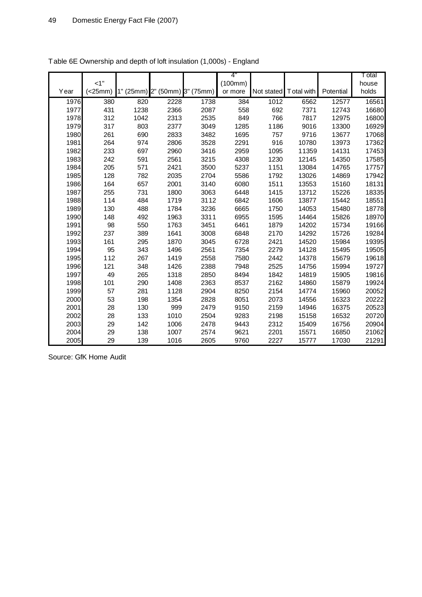|      | $<1$ "  |                                     |      |      | 4"<br>(100mm) |            |            |           | T otal<br>house |
|------|---------|-------------------------------------|------|------|---------------|------------|------------|-----------|-----------------|
| Year | (<25mm) | $1"$ (25mm) $2"$ (50mm) $3"$ (75mm) |      |      | or more       | Not stated | Total with | Potential | holds           |
| 1976 | 380     | 820                                 | 2228 | 1738 | 384           | 1012       | 6562       | 12577     | 16561           |
| 1977 | 431     | 1238                                | 2366 | 2087 | 558           | 692        | 7371       | 12743     | 16680           |
| 1978 | 312     | 1042                                | 2313 | 2535 | 849           | 766        | 7817       | 12975     | 16800           |
| 1979 | 317     | 803                                 | 2377 | 3049 | 1285          | 1186       | 9016       | 13300     | 16929           |
| 1980 | 261     | 690                                 | 2833 | 3482 | 1695          | 757        | 9716       | 13677     | 17068           |
| 1981 | 264     | 974                                 | 2806 | 3528 | 2291          | 916        | 10780      | 13973     | 17362           |
| 1982 | 233     | 697                                 | 2960 | 3416 | 2959          | 1095       | 11359      | 14131     | 17453           |
| 1983 | 242     | 591                                 | 2561 | 3215 | 4308          | 1230       | 12145      | 14350     | 17585           |
| 1984 | 205     | 571                                 | 2421 | 3500 | 5237          | 1151       | 13084      | 14765     | 17757           |
| 1985 | 128     | 782                                 | 2035 | 2704 | 5586          | 1792       | 13026      | 14869     | 17942           |
| 1986 | 164     | 657                                 | 2001 | 3140 | 6080          | 1511       | 13553      | 15160     | 18131           |
| 1987 | 255     | 731                                 | 1800 | 3063 | 6448          | 1415       | 13712      | 15226     | 18335           |
| 1988 | 114     | 484                                 | 1719 | 3112 | 6842          | 1606       | 13877      | 15442     | 18551           |
| 1989 | 130     | 488                                 | 1784 | 3236 | 6665          | 1750       | 14053      | 15480     | 18778           |
| 1990 | 148     | 492                                 | 1963 | 3311 | 6955          | 1595       | 14464      | 15826     | 18970           |
| 1991 | 98      | 550                                 | 1763 | 3451 | 6461          | 1879       | 14202      | 15734     | 19166           |
| 1992 | 237     | 389                                 | 1641 | 3008 | 6848          | 2170       | 14292      | 15726     | 19284           |
| 1993 | 161     | 295                                 | 1870 | 3045 | 6728          | 2421       | 14520      | 15984     | 19395           |
| 1994 | 95      | 343                                 | 1496 | 2561 | 7354          | 2279       | 14128      | 15495     | 19505           |
| 1995 | 112     | 267                                 | 1419 | 2558 | 7580          | 2442       | 14378      | 15679     | 19618           |
| 1996 | 121     | 348                                 | 1426 | 2388 | 7948          | 2525       | 14756      | 15994     | 19727           |
| 1997 | 49      | 265                                 | 1318 | 2850 | 8494          | 1842       | 14819      | 15905     | 19816           |
| 1998 | 101     | 290                                 | 1408 | 2363 | 8537          | 2162       | 14860      | 15879     | 19924           |
| 1999 | 57      | 281                                 | 1128 | 2904 | 8250          | 2154       | 14774      | 15960     | 20052           |
| 2000 | 53      | 198                                 | 1354 | 2828 | 8051          | 2073       | 14556      | 16323     | 20222           |
| 2001 | 28      | 130                                 | 999  | 2479 | 9150          | 2159       | 14946      | 16375     | 20523           |
| 2002 | 28      | 133                                 | 1010 | 2504 | 9283          | 2198       | 15158      | 16532     | 20720           |
| 2003 | 29      | 142                                 | 1006 | 2478 | 9443          | 2312       | 15409      | 16756     | 20904           |
| 2004 | 29      | 138                                 | 1007 | 2574 | 9621          | 2201       | 15571      | 16850     | 21062           |
| 2005 | 29      | 139                                 | 1016 | 2605 | 9760          | 2227       | 15777      | 17030     | 21291           |

| Table 6E Ownership and depth of loft insulation (1,000s) - England |  |  |
|--------------------------------------------------------------------|--|--|
|                                                                    |  |  |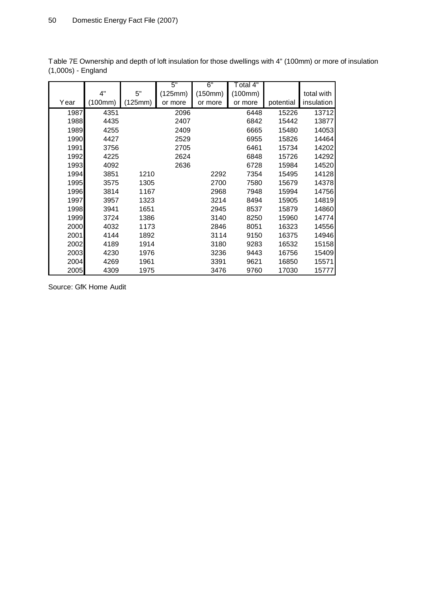|      |         |         | 5"      | 6"      | Total 4" |           |            |
|------|---------|---------|---------|---------|----------|-----------|------------|
|      | 4"      | 5"      | (125mm) | (150mm) | (100mm)  |           | total with |
| Year | (100mm) | (125mm) | or more | or more | or more  | potential | insulation |
| 1987 | 4351    |         | 2096    |         | 6448     | 15226     | 13712      |
| 1988 | 4435    |         | 2407    |         | 6842     | 15442     | 13877      |
| 1989 | 4255    |         | 2409    |         | 6665     | 15480     | 14053      |
| 1990 | 4427    |         | 2529    |         | 6955     | 15826     | 14464      |
| 1991 | 3756    |         | 2705    |         | 6461     | 15734     | 14202      |
| 1992 | 4225    |         | 2624    |         | 6848     | 15726     | 14292      |
| 1993 | 4092    |         | 2636    |         | 6728     | 15984     | 14520      |
| 1994 | 3851    | 1210    |         | 2292    | 7354     | 15495     | 14128      |
| 1995 | 3575    | 1305    |         | 2700    | 7580     | 15679     | 14378      |
| 1996 | 3814    | 1167    |         | 2968    | 7948     | 15994     | 14756      |
| 1997 | 3957    | 1323    |         | 3214    | 8494     | 15905     | 14819      |
| 1998 | 3941    | 1651    |         | 2945    | 8537     | 15879     | 14860      |
| 1999 | 3724    | 1386    |         | 3140    | 8250     | 15960     | 14774      |
| 2000 | 4032    | 1173    |         | 2846    | 8051     | 16323     | 14556      |
| 2001 | 4144    | 1892    |         | 3114    | 9150     | 16375     | 14946      |
| 2002 | 4189    | 1914    |         | 3180    | 9283     | 16532     | 15158      |
| 2003 | 4230    | 1976    |         | 3236    | 9443     | 16756     | 15409      |
| 2004 | 4269    | 1961    |         | 3391    | 9621     | 16850     | 15571      |
| 2005 | 4309    | 1975    |         | 3476    | 9760     | 17030     | 15777      |

Table 7E Ownership and depth of loft insulation for those dwellings with 4" (100mm) or more of insulation (1,000s) - England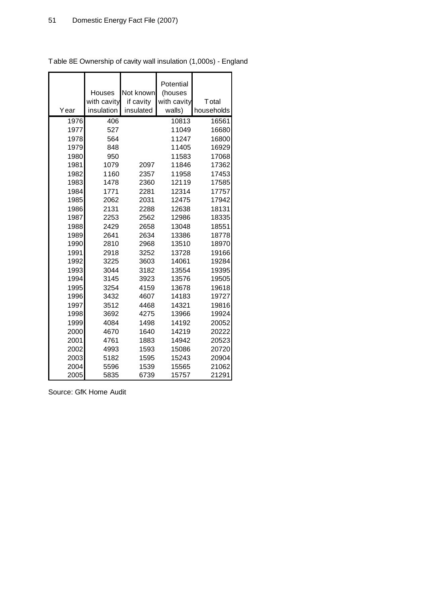|      | Houses<br>with cavity | Not known<br>if cavity | Potential<br>(houses<br>with cavity | Total      |
|------|-----------------------|------------------------|-------------------------------------|------------|
| Year | insulation            | insulated              | walls)                              | households |
| 1976 | 406                   |                        | 10813                               | 16561      |
| 1977 | 527                   |                        | 11049                               | 16680      |
| 1978 | 564                   |                        | 11247                               | 16800      |
| 1979 | 848                   |                        | 11405                               | 16929      |
| 1980 | 950                   |                        | 11583                               | 17068      |
| 1981 | 1079                  | 2097                   | 11846                               | 17362      |
| 1982 | 1160                  | 2357                   | 11958                               | 17453      |
| 1983 | 1478                  | 2360                   | 12119                               | 17585      |
| 1984 | 1771                  | 2281                   | 12314                               | 17757      |
| 1985 | 2062                  | 2031                   | 12475                               | 17942      |
| 1986 | 2131<br>2288          |                        | 12638                               | 18131      |
| 1987 | 2253                  | 2562                   | 12986                               | 18335      |
| 1988 | 2429<br>2658          |                        | 13048                               | 18551      |
| 1989 | 2641<br>2634          |                        | 13386                               | 18778      |
| 1990 | 2810                  | 2968                   | 13510                               | 18970      |
| 1991 | 2918                  | 3252                   | 13728                               | 19166      |
| 1992 | 3225                  | 3603                   | 14061                               | 19284      |
| 1993 | 3044                  | 3182                   | 13554                               | 19395      |
| 1994 | 3145                  | 3923                   | 13576                               | 19505      |
| 1995 | 3254                  | 4159                   | 13678                               | 19618      |
| 1996 | 3432                  | 4607                   | 14183                               | 19727      |
| 1997 | 3512                  | 4468                   | 14321                               | 19816      |
| 1998 | 3692                  | 4275                   | 13966                               | 19924      |
| 1999 | 4084                  | 1498                   | 14192                               | 20052      |
| 2000 | 4670                  | 1640                   | 14219                               | 20222      |
| 2001 | 4761                  | 1883                   | 14942                               | 20523      |
| 2002 | 4993                  | 1593                   | 15086                               | 20720      |
| 2003 | 5182                  | 1595                   | 15243                               | 20904      |
| 2004 | 5596                  | 1539                   | 15565                               | 21062      |
| 2005 | 5835                  | 6739                   | 15757                               | 21291      |

Table 8E Ownership of cavity wall insulation (1,000s) - England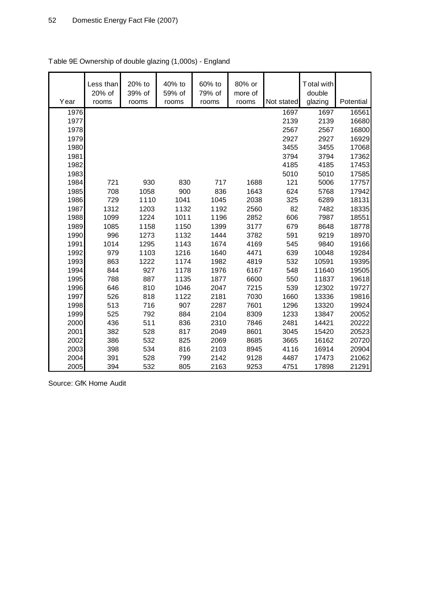| Year | Less than<br>20% of<br>rooms | 20% to<br>39% of<br>rooms | 40% to<br>59% of<br>rooms | 60% to<br>79% of<br>rooms | 80% or<br>more of<br>rooms | Not stated | Total with<br>double<br>glazing | Potential |
|------|------------------------------|---------------------------|---------------------------|---------------------------|----------------------------|------------|---------------------------------|-----------|
| 1976 |                              |                           |                           |                           |                            | 1697       | 1697                            | 16561     |
| 1977 |                              |                           |                           |                           |                            | 2139       | 2139                            | 16680     |
| 1978 |                              |                           |                           |                           |                            | 2567       | 2567                            | 16800     |
| 1979 |                              |                           |                           |                           |                            | 2927       | 2927                            | 16929     |
| 1980 |                              |                           |                           |                           |                            | 3455       | 3455                            | 17068     |
| 1981 |                              |                           |                           |                           |                            | 3794       | 3794                            | 17362     |
| 1982 |                              |                           |                           |                           |                            | 4185       | 4185                            | 17453     |
| 1983 |                              |                           |                           |                           |                            | 5010       | 5010                            | 17585     |
| 1984 | 721                          | 930                       | 830                       | 717                       | 1688                       | 121        | 5006                            | 17757     |
| 1985 | 708                          | 1058                      | 900                       | 836                       | 1643                       | 624        | 5768                            | 17942     |
| 1986 | 729                          | 1110                      | 1041                      | 1045                      | 2038                       | 325        | 6289                            | 18131     |
| 1987 | 1312                         | 1203                      | 1132                      | 1192                      | 2560                       | 82         | 7482                            | 18335     |
| 1988 | 1099                         | 1224                      | 1011                      | 1196                      | 2852                       | 606        | 7987                            | 18551     |
| 1989 | 1085                         | 1158                      | 1150                      | 1399                      | 3177                       | 679        | 8648                            | 18778     |
| 1990 | 996                          | 1273                      | 1132                      | 1444                      | 3782                       | 591        | 9219                            | 18970     |
| 1991 | 1014                         | 1295                      | 1143                      | 1674                      | 4169                       | 545        | 9840                            | 19166     |
| 1992 | 979                          | 1103                      | 1216                      | 1640                      | 4471                       | 639        | 10048                           | 19284     |
| 1993 | 863                          | 1222                      | 1174                      | 1982                      | 4819                       | 532        | 10591                           | 19395     |
| 1994 | 844                          | 927                       | 1178                      | 1976                      | 6167                       | 548        | 11640                           | 19505     |
| 1995 | 788                          | 887                       | 1135                      | 1877                      | 6600                       | 550        | 11837                           | 19618     |
| 1996 | 646                          | 810                       | 1046                      | 2047                      | 7215                       | 539        | 12302                           | 19727     |
| 1997 | 526                          | 818                       | 1122                      | 2181                      | 7030                       | 1660       | 13336                           | 19816     |
| 1998 | 513                          | 716                       | 907                       | 2287                      | 7601                       | 1296       | 13320                           | 19924     |
| 1999 | 525                          | 792                       | 884                       | 2104                      | 8309                       | 1233       | 13847                           | 20052     |
| 2000 | 436                          | 511                       | 836                       | 2310                      | 7846                       | 2481       | 14421                           | 20222     |
| 2001 | 382                          | 528                       | 817                       | 2049                      | 8601                       | 3045       | 15420                           | 20523     |
| 2002 | 386                          | 532                       | 825                       | 2069                      | 8685                       | 3665       | 16162                           | 20720     |
| 2003 | 398                          | 534                       | 816                       | 2103                      | 8945                       | 4116       | 16914                           | 20904     |
| 2004 | 391                          | 528                       | 799                       | 2142                      | 9128                       | 4487       | 17473                           | 21062     |
| 2005 | 394                          | 532                       | 805                       | 2163                      | 9253                       | 4751       | 17898                           | 21291     |

# Table 9E Ownership of double glazing (1,000s) - England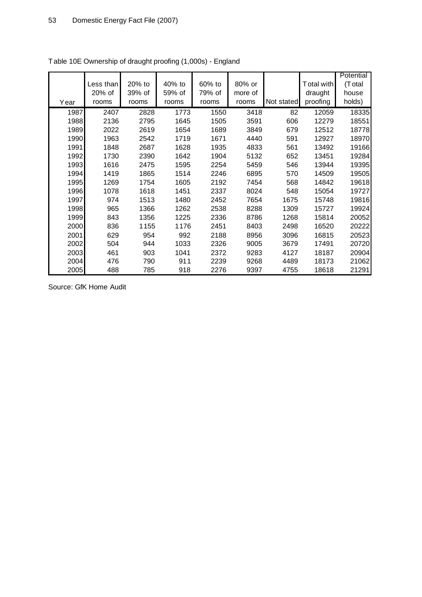|      |           |        |        |        |         |            |            | Potential |
|------|-----------|--------|--------|--------|---------|------------|------------|-----------|
|      | Less than | 20% to | 40% to | 60% to | 80% or  |            | Total with | (Total    |
|      | 20% of    | 39% of | 59% of | 79% of | more of |            | draught    | house     |
| Year | rooms     | rooms  | rooms  | rooms  | rooms   | Not stated | proofing   | holds)    |
| 1987 | 2407      | 2828   | 1773   | 1550   | 3418    | 82         | 12059      | 18335     |
| 1988 | 2136      | 2795   | 1645   | 1505   | 3591    | 606        | 12279      | 18551     |
| 1989 | 2022      | 2619   | 1654   | 1689   | 3849    | 679        | 12512      | 18778     |
| 1990 | 1963      | 2542   | 1719   | 1671   | 4440    | 591        | 12927      | 18970     |
| 1991 | 1848      | 2687   | 1628   | 1935   | 4833    | 561        | 13492      | 19166     |
| 1992 | 1730      | 2390   | 1642   | 1904   | 5132    | 652        | 13451      | 19284     |
| 1993 | 1616      | 2475   | 1595   | 2254   | 5459    | 546        | 13944      | 19395     |
| 1994 | 1419      | 1865   | 1514   | 2246   | 6895    | 570        | 14509      | 19505     |
| 1995 | 1269      | 1754   | 1605   | 2192   | 7454    | 568        | 14842      | 19618     |
| 1996 | 1078      | 1618   | 1451   | 2337   | 8024    | 548        | 15054      | 19727     |
| 1997 | 974       | 1513   | 1480   | 2452   | 7654    | 1675       | 15748      | 19816     |
| 1998 | 965       | 1366   | 1262   | 2538   | 8288    | 1309       | 15727      | 19924     |
| 1999 | 843       | 1356   | 1225   | 2336   | 8786    | 1268       | 15814      | 20052     |
| 2000 | 836       | 1155   | 1176   | 2451   | 8403    | 2498       | 16520      | 20222     |
| 2001 | 629       | 954    | 992    | 2188   | 8956    | 3096       | 16815      | 20523     |
| 2002 | 504       | 944    | 1033   | 2326   | 9005    | 3679       | 17491      | 20720     |
| 2003 | 461       | 903    | 1041   | 2372   | 9283    | 4127       | 18187      | 20904     |
| 2004 | 476       | 790    | 911    | 2239   | 9268    | 4489       | 18173      | 21062     |
| 2005 | 488       | 785    | 918    | 2276   | 9397    | 4755       | 18618      | 21291     |

Table 10E Ownership of draught proofing (1,000s) - England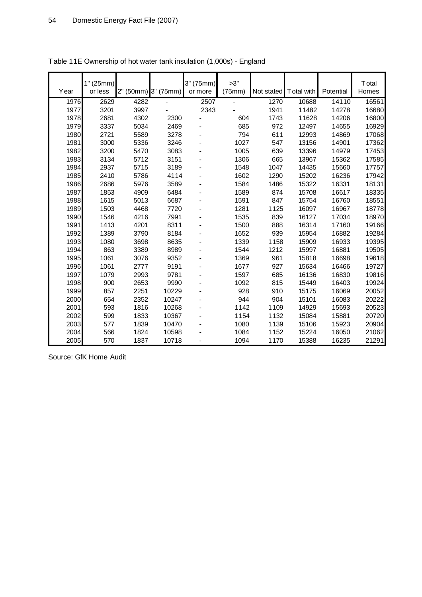| Year | 1" (25mm)<br>or less |      | 2" (50mm) 3" (75mm) | 3" (75mm)<br>or more | >3"<br>(75mm) | Not stated | Total with | Potential | <b>T</b> otal<br>Homes |
|------|----------------------|------|---------------------|----------------------|---------------|------------|------------|-----------|------------------------|
| 1976 | 2629                 | 4282 |                     | 2507                 |               | 1270       | 10688      | 14110     | 16561                  |
| 1977 | 3201                 | 3997 |                     | 2343                 |               | 1941       | 11482      | 14278     | 16680                  |
| 1978 | 2681                 | 4302 | 2300                |                      | 604           | 1743       | 11628      | 14206     | 16800                  |
| 1979 | 3337                 | 5034 | 2469                |                      | 685           | 972        | 12497      | 14655     | 16929                  |
| 1980 | 2721                 | 5589 | 3278                |                      | 794           | 611        | 12993      | 14869     | 17068                  |
| 1981 | 3000                 | 5336 | 3246                |                      | 1027          | 547        | 13156      | 14901     | 17362                  |
| 1982 | 3200                 | 5470 | 3083                |                      | 1005          | 639        | 13396      | 14979     | 17453                  |
| 1983 | 3134                 | 5712 | 3151                |                      | 1306          | 665        | 13967      | 15362     | 17585                  |
| 1984 | 2937                 | 5715 | 3189                |                      | 1548          | 1047       | 14435      | 15660     | 17757                  |
| 1985 | 2410                 | 5786 | 4114                |                      | 1602          | 1290       | 15202      | 16236     | 17942                  |
| 1986 | 2686                 | 5976 | 3589                |                      | 1584          | 1486       | 15322      | 16331     | 18131                  |
| 1987 | 1853                 | 4909 | 6484                |                      | 1589          | 874        | 15708      | 16617     | 18335                  |
| 1988 | 1615                 | 5013 | 6687                |                      | 1591          | 847        | 15754      | 16760     | 18551                  |
| 1989 | 1503                 | 4468 | 7720                |                      | 1281          | 1125       | 16097      | 16967     | 18778                  |
| 1990 | 1546                 | 4216 | 7991                |                      | 1535          | 839        | 16127      | 17034     | 18970                  |
| 1991 | 1413                 | 4201 | 8311                |                      | 1500          | 888        | 16314      | 17160     | 19166                  |
| 1992 | 1389                 | 3790 | 8184                |                      | 1652          | 939        | 15954      | 16882     | 19284                  |
| 1993 | 1080                 | 3698 | 8635                |                      | 1339          | 1158       | 15909      | 16933     | 19395                  |
| 1994 | 863                  | 3389 | 8989                |                      | 1544          | 1212       | 15997      | 16881     | 19505                  |
| 1995 | 1061                 | 3076 | 9352                |                      | 1369          | 961        | 15818      | 16698     | 19618                  |
| 1996 | 1061                 | 2777 | 9191                |                      | 1677          | 927        | 15634      | 16466     | 19727                  |
| 1997 | 1079                 | 2993 | 9781                |                      | 1597          | 685        | 16136      | 16830     | 19816                  |
| 1998 | 900                  | 2653 | 9990                |                      | 1092          | 815        | 15449      | 16403     | 19924                  |
| 1999 | 857                  | 2251 | 10229               |                      | 928           | 910        | 15175      | 16069     | 20052                  |
| 2000 | 654                  | 2352 | 10247               |                      | 944           | 904        | 15101      | 16083     | 20222                  |
| 2001 | 593                  | 1816 | 10268               |                      | 1142          | 1109       | 14929      | 15693     | 20523                  |
| 2002 | 599                  | 1833 | 10367               |                      | 1154          | 1132       | 15084      | 15881     | 20720                  |
| 2003 | 577                  | 1839 | 10470               |                      | 1080          | 1139       | 15106      | 15923     | 20904                  |
| 2004 | 566                  | 1824 | 10598               |                      | 1084          | 1152       | 15224      | 16050     | 21062                  |
| 2005 | 570                  | 1837 | 10718               |                      | 1094          | 1170       | 15388      | 16235     | 21291                  |

| Table 11E Ownership of hot water tank insulation (1,000s) - England |
|---------------------------------------------------------------------|
|---------------------------------------------------------------------|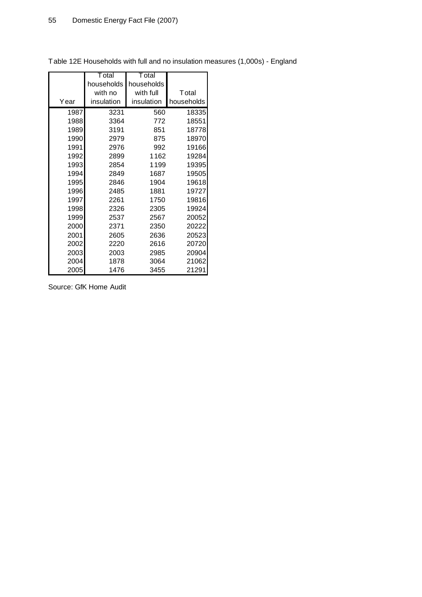|      | T otal     | Total      |            |
|------|------------|------------|------------|
|      | households | households |            |
|      | with no    | with full  | Total      |
| Year | insulation | insulation | households |
| 1987 | 3231       | 560        | 18335      |
| 1988 | 3364       | 772        | 18551      |
| 1989 | 3191       | 851        | 18778      |
| 1990 | 2979       | 875        | 18970      |
| 1991 | 2976       | 992        | 19166      |
| 1992 | 2899       | 1162       | 19284      |
| 1993 | 2854       | 1199       | 19395      |
| 1994 | 2849       | 1687       | 19505      |
| 1995 | 2846       | 1904       | 19618      |
| 1996 | 2485       | 1881       | 19727      |
| 1997 | 2261       | 1750       | 19816      |
| 1998 | 2326       | 2305       | 19924      |
| 1999 | 2537       | 2567       | 20052      |
| 2000 | 2371       | 2350       | 20222      |
| 2001 | 2605       | 2636       | 20523      |
| 2002 | 2220       | 2616       | 20720      |
| 2003 | 2003       | 2985       | 20904      |
| 2004 | 1878       | 3064       | 21062      |
| 2005 | 1476       | 3455       | 21291      |

Table 12E Households with full and no insulation measures (1,000s) - England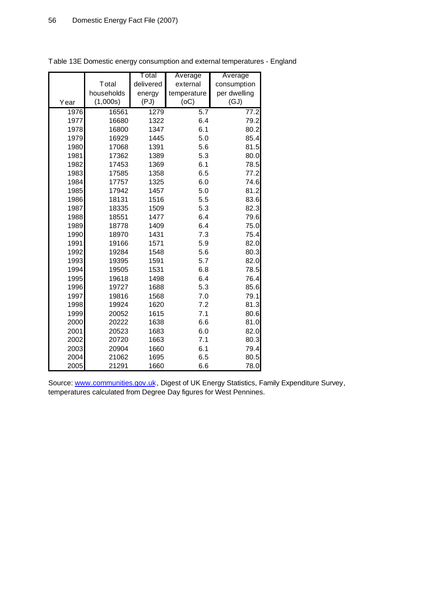|      |            | Total     | Average     | Average      |  |
|------|------------|-----------|-------------|--------------|--|
|      | Total      | delivered | external    | consumption  |  |
|      | households | energy    | temperature | per dwelling |  |
| Year | (1,000s)   | (PJ)      | (OC)        | (GJ)         |  |
| 1976 | 16561      | 1279      | 5.7         | 77.2         |  |
| 1977 | 16680      | 1322      | 6.4         | 79.2         |  |
| 1978 | 16800      | 1347      | 6.1         | 80.2         |  |
| 1979 | 16929      | 1445      | 5.0         | 85.4         |  |
| 1980 | 17068      | 1391      | 5.6         | 81.5         |  |
| 1981 | 17362      | 1389      | 5.3         | 80.0         |  |
| 1982 | 17453      | 1369      | 6.1         | 78.5         |  |
| 1983 | 17585      | 1358      | 6.5         | 77.2         |  |
| 1984 | 17757      | 1325      | 6.0         | 74.6         |  |
| 1985 | 17942      | 1457      | 5.0         | 81.2         |  |
| 1986 | 18131      | 1516      | 5.5         | 83.6         |  |
| 1987 | 18335      | 1509      | 5.3         | 82.3         |  |
| 1988 | 18551      | 1477      | 6.4         | 79.6         |  |
| 1989 | 18778      | 1409      | 6.4         | 75.0         |  |
| 1990 | 18970      | 1431      | 7.3         | 75.4         |  |
| 1991 | 19166      | 1571      | 5.9         | 82.0         |  |
| 1992 | 19284      | 1548      | 5.6         | 80.3         |  |
| 1993 | 19395      | 1591      | 5.7         | 82.0         |  |
| 1994 | 19505      | 1531      | 6.8         | 78.5         |  |
| 1995 | 19618      | 1498      | 6.4         | 76.4         |  |
| 1996 | 19727      | 1688      | 5.3         | 85.6         |  |
| 1997 | 19816      | 1568      | 7.0         | 79.1         |  |
| 1998 | 19924      | 1620      | 7.2         | 81.3         |  |
| 1999 | 20052      | 1615      | 7.1         | 80.6         |  |
| 2000 | 20222      | 1638      | 6.6         | 81.0         |  |
| 2001 | 20523      | 1683      | 6.0         | 82.0         |  |
| 2002 | 20720      | 1663      | 7.1         | 80.3         |  |
| 2003 | 20904      | 1660      | 6.1         | 79.4         |  |
| 2004 | 21062      | 1695      | 6.5         | 80.5         |  |
| 2005 | 21291      | 1660      | 6.6         | 78.0         |  |

Table 13E Domestic energy consumption and external temperatures - England

Source: [www.communities.gov.uk](http://www.communities.gov.uk), Digest of UK Energy Statistics, Family Expenditure Survey, temperatures calculated from Degree Day figures for West Pennines.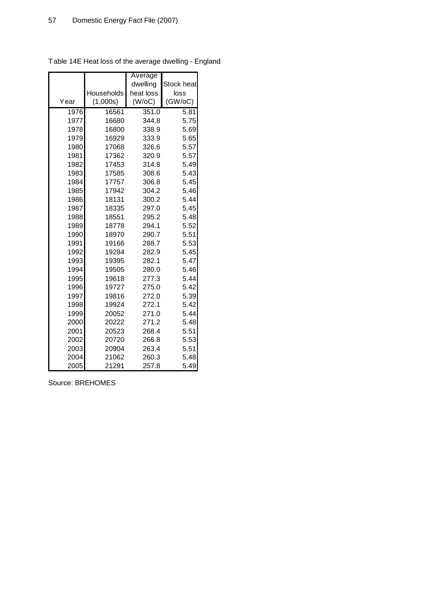|      |            | Average   |            |
|------|------------|-----------|------------|
|      |            | dwelling  | Stock heat |
|      | Households | heat loss | loss       |
| Year | (1,000s)   | (W/OC)    | (GW/OC)    |
| 1976 | 16561      | 351.0     | 5.81       |
| 1977 | 16680      | 344.8     | 5.75       |
| 1978 | 16800      | 338.9     | 5.69       |
| 1979 | 16929      | 333.9     | 5.65       |
| 1980 | 17068      | 326.6     | 5.57       |
| 1981 | 17362      | 320.9     | 5.57       |
| 1982 | 17453      | 314.8     | 5.49       |
| 1983 | 17585      | 308.6     | 5.43       |
| 1984 | 17757      | 306.8     | 5.45       |
| 1985 | 17942      | 304.2     | 5.46       |
| 1986 | 18131      | 300.2     | 5.44       |
| 1987 | 18335      | 297.0     | 5.45       |
| 1988 | 18551      | 295.2     | 5.48       |
| 1989 | 18778      | 294.1     | 5.52       |
| 1990 | 18970      | 290.7     | 5.51       |
| 1991 | 19166      | 288.7     | 5.53       |
| 1992 | 19284      | 282.9     | 5.45       |
| 1993 | 19395      | 282.1     | 5.47       |
| 1994 | 19505      | 280.0     | 5.46       |
| 1995 | 19618      | 277.3     | 5.44       |
| 1996 | 19727      | 275.0     | 5.42       |
| 1997 | 19816      | 272.0     | 5.39       |
| 1998 | 19924      | 272.1     | 5.42       |
| 1999 | 20052      | 271.0     | 5.44       |
| 2000 | 20222      | 271.2     | 5.48       |
| 2001 | 20523      | 268.4     | 5.51       |
| 2002 | 20720      | 266.8     | 5.53       |
| 2003 | 20904      | 263.4     | 5.51       |
| 2004 | 21062      | 260.3     | 5.48       |
| 2005 | 21291      | 257.8     | 5.49       |

Table 14E Heat loss of the average dwelling - England

Source: BREHOMES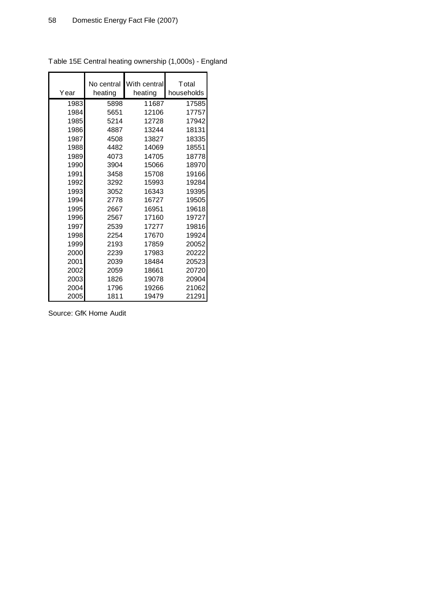| Year | No central<br>heating | With central<br>heating | <b>T</b> otal<br>households |
|------|-----------------------|-------------------------|-----------------------------|
| 1983 | 5898                  | 11687                   | 17585                       |
| 1984 | 5651                  | 12106                   | 17757                       |
| 1985 | 5214                  | 12728                   | 17942                       |
| 1986 | 4887                  | 13244                   | 18131                       |
| 1987 | 4508                  | 13827                   | 18335                       |
| 1988 | 4482                  | 14069                   | 18551                       |
| 1989 | 4073                  | 14705                   | 18778                       |
| 1990 | 3904                  | 15066                   | 18970                       |
| 1991 | 3458                  | 15708                   | 19166                       |
| 1992 | 3292                  | 15993                   | 19284                       |
| 1993 | 3052                  | 16343                   | 19395                       |
| 1994 | 2778                  | 16727                   | 19505                       |
| 1995 | 2667                  | 16951                   | 19618                       |
| 1996 | 2567                  | 17160                   | 19727                       |
| 1997 | 2539                  | 17277                   | 19816                       |
| 1998 | 2254                  | 17670                   | 19924                       |
| 1999 | 2193                  | 17859                   | 20052                       |
| 2000 | 2239                  | 17983                   | 20222                       |
| 2001 | 2039                  | 18484                   | 20523                       |
| 2002 | 2059                  | 18661                   | 20720                       |
| 2003 | 1826                  | 19078                   | 20904                       |
| 2004 | 1796                  | 19266                   | 21062                       |
| 2005 | 1811                  | 19479                   | 21291                       |

Table 15E Central heating ownership (1,000s) - England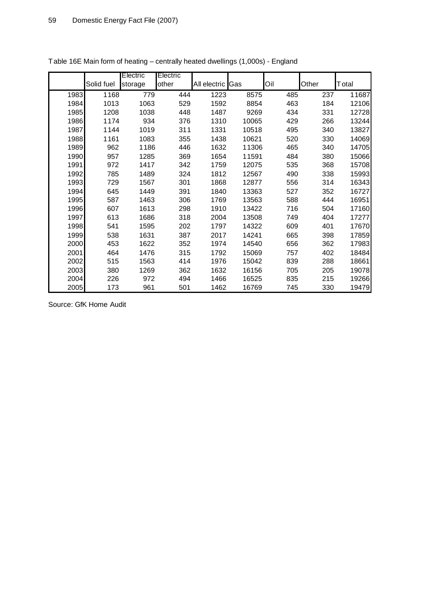|      |            | Electric | Electric |                  |       |     |       |       |
|------|------------|----------|----------|------------------|-------|-----|-------|-------|
|      | Solid fuel | storage  | other    | All electric Gas |       | Oil | Other | Total |
| 1983 | 1168       | 779      | 444      | 1223             | 8575  | 485 | 237   | 11687 |
| 1984 | 1013       | 1063     | 529      | 1592             | 8854  | 463 | 184   | 12106 |
| 1985 | 1208       | 1038     | 448      | 1487             | 9269  | 434 | 331   | 12728 |
| 1986 | 1174       | 934      | 376      | 1310             | 10065 | 429 | 266   | 13244 |
| 1987 | 1144       | 1019     | 311      | 1331             | 10518 | 495 | 340   | 13827 |
| 1988 | 1161       | 1083     | 355      | 1438             | 10621 | 520 | 330   | 14069 |
| 1989 | 962        | 1186     | 446      | 1632             | 11306 | 465 | 340   | 14705 |
| 1990 | 957        | 1285     | 369      | 1654             | 11591 | 484 | 380   | 15066 |
| 1991 | 972        | 1417     | 342      | 1759             | 12075 | 535 | 368   | 15708 |
| 1992 | 785        | 1489     | 324      | 1812             | 12567 | 490 | 338   | 15993 |
| 1993 | 729        | 1567     | 301      | 1868             | 12877 | 556 | 314   | 16343 |
| 1994 | 645        | 1449     | 391      | 1840             | 13363 | 527 | 352   | 16727 |
| 1995 | 587        | 1463     | 306      | 1769             | 13563 | 588 | 444   | 16951 |
| 1996 | 607        | 1613     | 298      | 1910             | 13422 | 716 | 504   | 17160 |
| 1997 | 613        | 1686     | 318      | 2004             | 13508 | 749 | 404   | 17277 |
| 1998 | 541        | 1595     | 202      | 1797             | 14322 | 609 | 401   | 17670 |
| 1999 | 538        | 1631     | 387      | 2017             | 14241 | 665 | 398   | 17859 |
| 2000 | 453        | 1622     | 352      | 1974             | 14540 | 656 | 362   | 17983 |
| 2001 | 464        | 1476     | 315      | 1792             | 15069 | 757 | 402   | 18484 |
| 2002 | 515        | 1563     | 414      | 1976             | 15042 | 839 | 288   | 18661 |
| 2003 | 380        | 1269     | 362      | 1632             | 16156 | 705 | 205   | 19078 |
| 2004 | 226        | 972      | 494      | 1466             | 16525 | 835 | 215   | 19266 |
| 2005 | 173        | 961      | 501      | 1462             | 16769 | 745 | 330   | 19479 |

Table 16E Main form of heating – centrally heated dwellings (1,000s) - England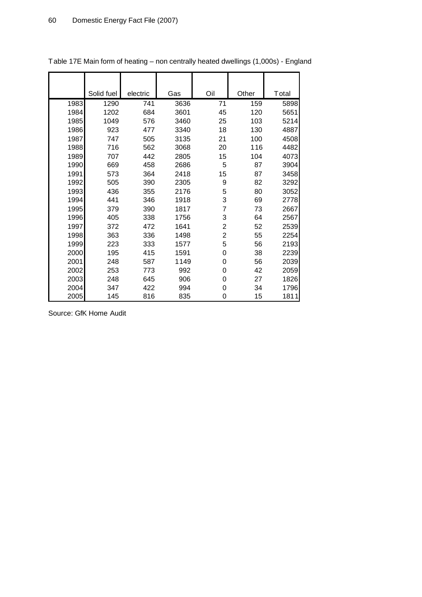|      | Solid fuel | electric | Gas  | Oil            | Other | Total |
|------|------------|----------|------|----------------|-------|-------|
| 1983 | 1290       | 741      | 3636 | 71             | 159   | 5898  |
| 1984 | 1202       | 684      | 3601 | 45             | 120   | 5651  |
| 1985 | 1049       | 576      | 3460 | 25             | 103   | 5214  |
| 1986 | 923        | 477      | 3340 | 18             | 130   | 4887  |
| 1987 | 747        | 505      | 3135 | 21             | 100   | 4508  |
| 1988 | 716        | 562      | 3068 | 20             | 116   | 4482  |
| 1989 | 707        | 442      | 2805 | 15             | 104   | 4073  |
| 1990 | 669        | 458      | 2686 | 5              | 87    | 3904  |
| 1991 | 573        | 364      | 2418 | 15             | 87    | 3458  |
| 1992 | 505        | 390      | 2305 | 9              | 82    | 3292  |
| 1993 | 436        | 355      | 2176 | 5              | 80    | 3052  |
| 1994 | 441        | 346      | 1918 | 3              | 69    | 2778  |
| 1995 | 379        | 390      | 1817 | 7              | 73    | 2667  |
| 1996 | 405        | 338      | 1756 | 3              | 64    | 2567  |
| 1997 | 372        | 472      | 1641 | 2              | 52    | 2539  |
| 1998 | 363        | 336      | 1498 | $\overline{2}$ | 55    | 2254  |
| 1999 | 223        | 333      | 1577 | 5              | 56    | 2193  |
| 2000 | 195        | 415      | 1591 | 0              | 38    | 2239  |
| 2001 | 248        | 587      | 1149 | 0              | 56    | 2039  |
| 2002 | 253        | 773      | 992  | 0              | 42    | 2059  |
| 2003 | 248        | 645      | 906  | 0              | 27    | 1826  |
| 2004 | 347        | 422      | 994  | 0              | 34    | 1796  |
| 2005 | 145        | 816      | 835  | 0              | 15    | 1811  |

Table 17E Main form of heating – non centrally heated dwellings (1,000s) - England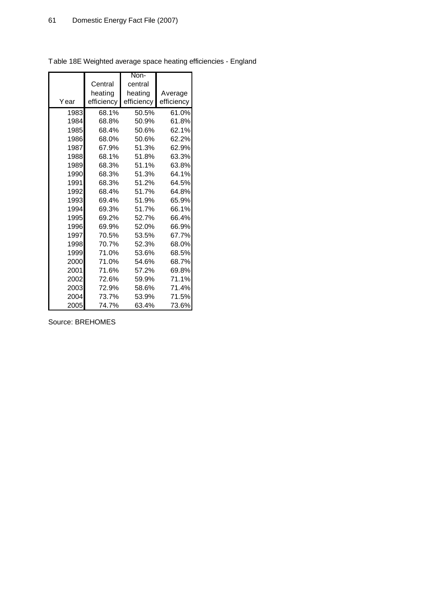$\mathbf{r}$ 

|      |            | Non-       |            |
|------|------------|------------|------------|
|      | Central    | central    |            |
|      | heating    | heating    | Average    |
| Year | efficiency | efficiency | efficiency |
| 1983 | 68.1%      | 50.5%      | 61.0%      |
| 1984 | 68.8%      | 50.9%      | 61.8%      |
| 1985 | 68.4%      | 50.6%      | 62.1%      |
| 1986 | 68.0%      | 50.6%      | 62.2%      |
| 1987 | 67.9%      | 51.3%      | 62.9%      |
| 1988 | 68.1%      | 51.8%      | 63.3%      |
| 1989 | 68.3%      | 51.1%      | 63.8%      |
| 1990 | 68.3%      | 51.3%      | 64.1%      |
| 1991 | 68.3%      | 51.2%      | 64.5%      |
| 1992 | 68.4%      | 51.7%      | 64.8%      |
| 1993 | 69.4%      | 51.9%      | 65.9%      |
| 1994 | 69.3%      | 51.7%      | 66.1%      |
| 1995 | 69.2%      | 52.7%      | 66.4%      |
| 1996 | 69.9%      | 52.0%      | 66.9%      |
| 1997 | 70.5%      | 53.5%      | 67.7%      |
| 1998 | 70.7%      | 52.3%      | 68.0%      |
| 1999 | 71.0%      | 53.6%      | 68.5%      |
| 2000 | 71.0%      | 54.6%      | 68.7%      |
| 2001 | 71.6%      | 57.2%      | 69.8%      |
| 2002 | 72.6%      | 59.9%      | 71.1%      |
| 2003 | 72.9%      | 58.6%      | 71.4%      |
| 2004 | 73.7%      | 53.9%      | 71.5%      |
| 2005 | 74.7%      | 63.4%      | 73.6%      |

Table 18E Weighted average space heating efficiencies - England

Source: BREHOMES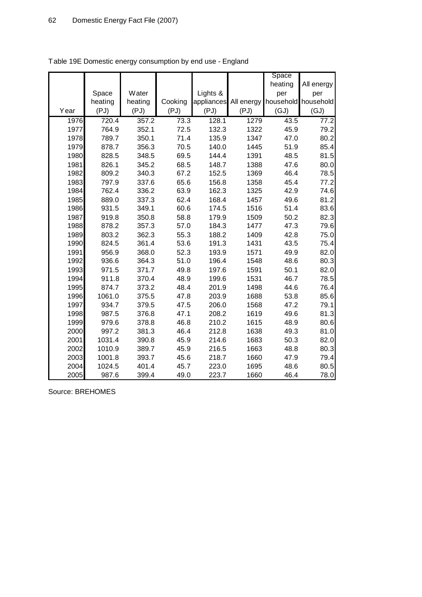|      |         |         |         |          |                                 | Space   |                   |
|------|---------|---------|---------|----------|---------------------------------|---------|-------------------|
|      |         |         |         |          |                                 | heating | All energy        |
|      | Space   | Water   |         | Lights & |                                 | per     | per               |
|      | heating | heating | Cooking |          | appliances All energy household |         | household         |
| Year | (PJ)    | (PJ)    | (PJ)    | (PJ)     | (PJ)                            | (GJ)    | (GJ)              |
| 1976 | 720.4   | 357.2   | 73.3    | 128.1    | 1279                            | 43.5    | $77.\overline{2}$ |
| 1977 | 764.9   | 352.1   | 72.5    | 132.3    | 1322                            | 45.9    | 79.2              |
| 1978 | 789.7   | 350.1   | 71.4    | 135.9    | 1347                            | 47.0    | 80.2              |
| 1979 | 878.7   | 356.3   | 70.5    | 140.0    | 1445                            | 51.9    | 85.4              |
| 1980 | 828.5   | 348.5   | 69.5    | 144.4    | 1391                            | 48.5    | 81.5              |
| 1981 | 826.1   | 345.2   | 68.5    | 148.7    | 1388                            | 47.6    | 80.0              |
| 1982 | 809.2   | 340.3   | 67.2    | 152.5    | 1369                            | 46.4    | 78.5              |
| 1983 | 797.9   | 337.6   | 65.6    | 156.8    | 1358                            | 45.4    | 77.2              |
| 1984 | 762.4   | 336.2   | 63.9    | 162.3    | 1325                            | 42.9    | 74.6              |
| 1985 | 889.0   | 337.3   | 62.4    | 168.4    | 1457                            | 49.6    | 81.2              |
| 1986 | 931.5   | 349.1   | 60.6    | 174.5    | 1516                            | 51.4    | 83.6              |
| 1987 | 919.8   | 350.8   | 58.8    | 179.9    | 1509                            | 50.2    | 82.3              |
| 1988 | 878.2   | 357.3   | 57.0    | 184.3    | 1477                            | 47.3    | 79.6              |
| 1989 | 803.2   | 362.3   | 55.3    | 188.2    | 1409                            | 42.8    | 75.0              |
| 1990 | 824.5   | 361.4   | 53.6    | 191.3    | 1431                            | 43.5    | 75.4              |
| 1991 | 956.9   | 368.0   | 52.3    | 193.9    | 1571                            | 49.9    | 82.0              |
| 1992 | 936.6   | 364.3   | 51.0    | 196.4    | 1548                            | 48.6    | 80.3              |
| 1993 | 971.5   | 371.7   | 49.8    | 197.6    | 1591                            | 50.1    | 82.0              |
| 1994 | 911.8   | 370.4   | 48.9    | 199.6    | 1531                            | 46.7    | 78.5              |
| 1995 | 874.7   | 373.2   | 48.4    | 201.9    | 1498                            | 44.6    | 76.4              |
| 1996 | 1061.0  | 375.5   | 47.8    | 203.9    | 1688                            | 53.8    | 85.6              |
| 1997 | 934.7   | 379.5   | 47.5    | 206.0    | 1568                            | 47.2    | 79.1              |
| 1998 | 987.5   | 376.8   | 47.1    | 208.2    | 1619                            | 49.6    | 81.3              |
| 1999 | 979.6   | 378.8   | 46.8    | 210.2    | 1615                            | 48.9    | 80.6              |
| 2000 | 997.2   | 381.3   | 46.4    | 212.8    | 1638                            | 49.3    | 81.0              |
| 2001 | 1031.4  | 390.8   | 45.9    | 214.6    | 1683                            | 50.3    | 82.0              |
| 2002 | 1010.9  | 389.7   | 45.9    | 216.5    | 1663                            | 48.8    | 80.3              |
| 2003 | 1001.8  | 393.7   | 45.6    | 218.7    | 1660                            | 47.9    | 79.4              |
| 2004 | 1024.5  | 401.4   | 45.7    | 223.0    | 1695                            | 48.6    | 80.5              |
| 2005 | 987.6   | 399.4   | 49.0    | 223.7    | 1660                            | 46.4    | 78.0              |

Table 19E Domestic energy consumption by end use - England

Source: BREHOMES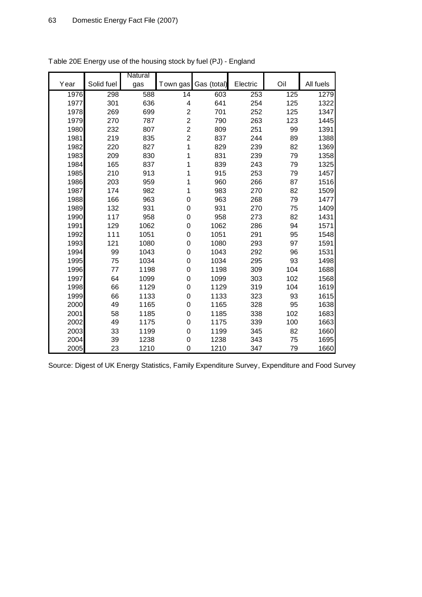|      |            | Natural          |                         |             |          |     |           |
|------|------------|------------------|-------------------------|-------------|----------|-----|-----------|
| Year | Solid fuel | gas              | Town gas                | Gas (total) | Electric | Oil | All fuels |
| 1976 | 298        | $\overline{588}$ | $\overline{14}$         | 603         | 253      | 125 | 1279      |
| 1977 | 301        | 636              | 4                       | 641         | 254      | 125 | 1322      |
| 1978 | 269        | 699              | $\overline{\mathbf{c}}$ | 701         | 252      | 125 | 1347      |
| 1979 | 270        | 787              | $\overline{\mathbf{c}}$ | 790         | 263      | 123 | 1445      |
| 1980 | 232        | 807              | $\overline{c}$          | 809         | 251      | 99  | 1391      |
| 1981 | 219        | 835              | $\overline{c}$          | 837         | 244      | 89  | 1388      |
| 1982 | 220        | 827              | 1                       | 829         | 239      | 82  | 1369      |
| 1983 | 209        | 830              | 1                       | 831         | 239      | 79  | 1358      |
| 1984 | 165        | 837              | 1                       | 839         | 243      | 79  | 1325      |
| 1985 | 210        | 913              | 1                       | 915         | 253      | 79  | 1457      |
| 1986 | 203        | 959              | 1                       | 960         | 266      | 87  | 1516      |
| 1987 | 174        | 982              | 1                       | 983         | 270      | 82  | 1509      |
| 1988 | 166        | 963              | $\boldsymbol{0}$        | 963         | 268      | 79  | 1477      |
| 1989 | 132        | 931              | 0                       | 931         | 270      | 75  | 1409      |
| 1990 | 117        | 958              | $\boldsymbol{0}$        | 958         | 273      | 82  | 1431      |
| 1991 | 129        | 1062             | 0                       | 1062        | 286      | 94  | 1571      |
| 1992 | 111        | 1051             | $\mathsf{O}\xspace$     | 1051        | 291      | 95  | 1548      |
| 1993 | 121        | 1080             | $\boldsymbol{0}$        | 1080        | 293      | 97  | 1591      |
| 1994 | 99         | 1043             | 0                       | 1043        | 292      | 96  | 1531      |
| 1995 | 75         | 1034             | $\mathsf{O}\xspace$     | 1034        | 295      | 93  | 1498      |
| 1996 | 77         | 1198             | $\boldsymbol{0}$        | 1198        | 309      | 104 | 1688      |
| 1997 | 64         | 1099             | 0                       | 1099        | 303      | 102 | 1568      |
| 1998 | 66         | 1129             | 0                       | 1129        | 319      | 104 | 1619      |
| 1999 | 66         | 1133             | 0                       | 1133        | 323      | 93  | 1615      |
| 2000 | 49         | 1165             | 0                       | 1165        | 328      | 95  | 1638      |
| 2001 | 58         | 1185             | $\boldsymbol{0}$        | 1185        | 338      | 102 | 1683      |
| 2002 | 49         | 1175             | 0                       | 1175        | 339      | 100 | 1663      |
| 2003 | 33         | 1199             | $\boldsymbol{0}$        | 1199        | 345      | 82  | 1660      |
| 2004 | 39         | 1238             | $\boldsymbol{0}$        | 1238        | 343      | 75  | 1695      |
| 2005 | 23         | 1210             | 0                       | 1210        | 347      | 79  | 1660      |

Table 20E Energy use of the housing stock by fuel (PJ) - England

Source: Digest of UK Energy Statistics, Family Expenditure Survey, Expenditure and Food Survey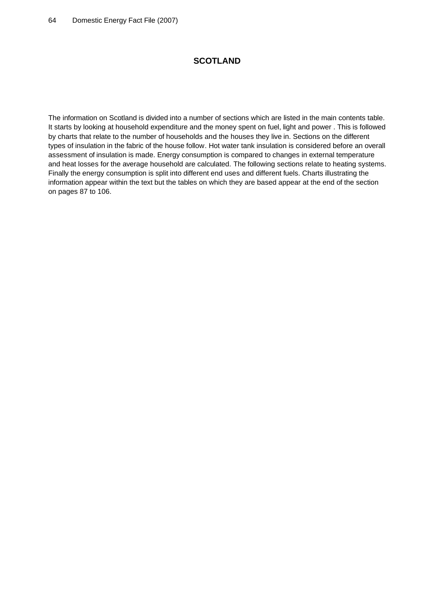# **SCOTLAND**

The information on Scotland is divided into a number of sections which are listed in the main contents table. It starts by looking at household expenditure and the money spent on fuel, light and power . This is followed by charts that relate to the number of households and the houses they live in. Sections on the different types of insulation in the fabric of the house follow. Hot water tank insulation is considered before an overall assessment of insulation is made. Energy consumption is compared to changes in external temperature and heat losses for the average household are calculated. The following sections relate to heating systems. Finally the energy consumption is split into different end uses and different fuels. Charts illustrating the information appear within the text but the tables on which they are based appear at the end of the section on pages 87 to 106.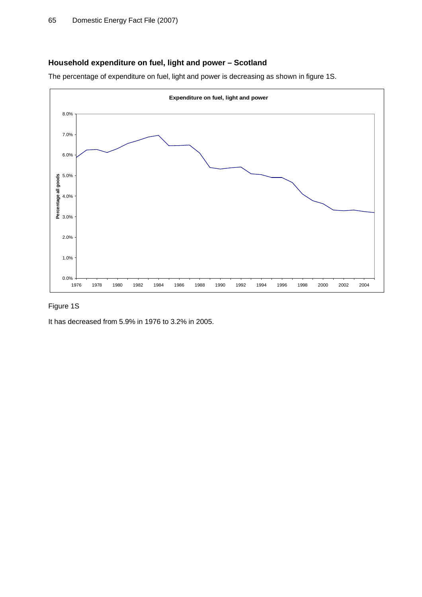# **Household expenditure on fuel, light and power – Scotland**

The percentage of expenditure on fuel, light and power is decreasing as shown in figure 1S.



# Figure 1S

It has decreased from 5.9% in 1976 to 3.2% in 2005.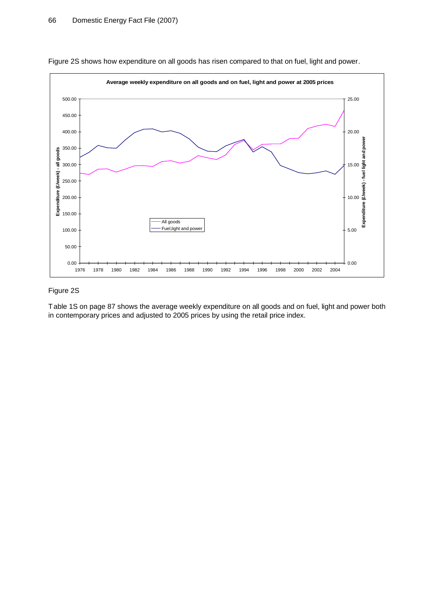

Figure 2S shows how expenditure on all goods has risen compared to that on fuel, light and power.

### Figure 2S

Table 1S on page 87 shows the average weekly expenditure on all goods and on fuel, light and power both in contemporary prices and adjusted to 2005 prices by using the retail price index.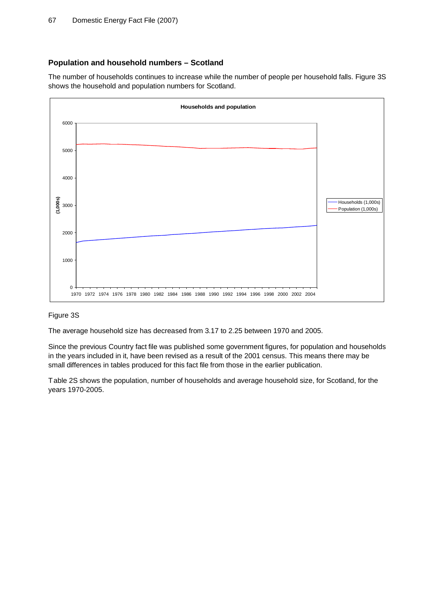# **Population and household numbers – Scotland**

The number of households continues to increase while the number of people per household falls. Figure 3S shows the household and population numbers for Scotland.



# Figure 3S

The average household size has decreased from 3.17 to 2.25 between 1970 and 2005.

Since the previous Country fact file was published some government figures, for population and households in the years included in it, have been revised as a result of the 2001 census. This means there may be small differences in tables produced for this fact file from those in the earlier publication.

Table 2S shows the population, number of households and average household size, for Scotland, for the years 1970-2005.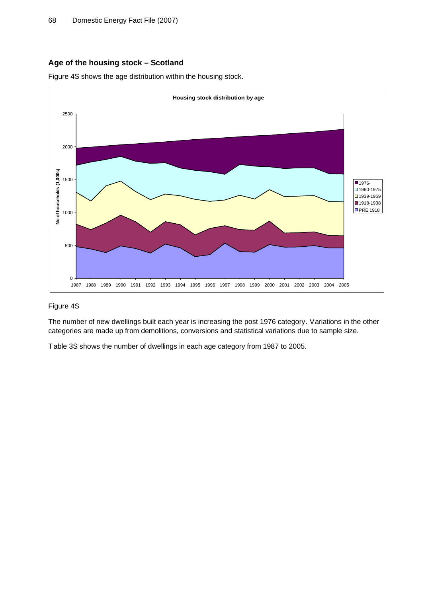# **Age of the housing stock – Scotland**

Figure 4S shows the age distribution within the housing stock.



### Figure 4S

The number of new dwellings built each year is increasing the post 1976 category. Variations in the other categories are made up from demolitions, conversions and statistical variations due to sample size.

Table 3S shows the number of dwellings in each age category from 1987 to 2005.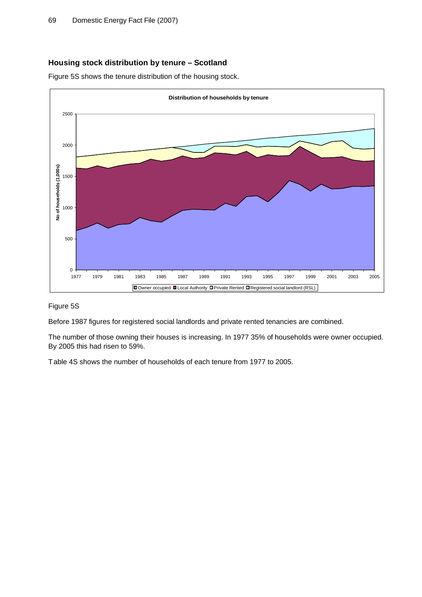# **Housing stock distribution by tenure – Scotland**

Figure 5S shows the tenure distribution of the housing stock.



### Figure 5S

Before 1987 figures for registered social landlords and private rented tenancies are combined.

The number of those owning their houses is increasing. In 1977 35% of households were owner occupied. By 2005 this had risen to 59%.

Table 4S shows the number of households of each tenure from 1977 to 2005.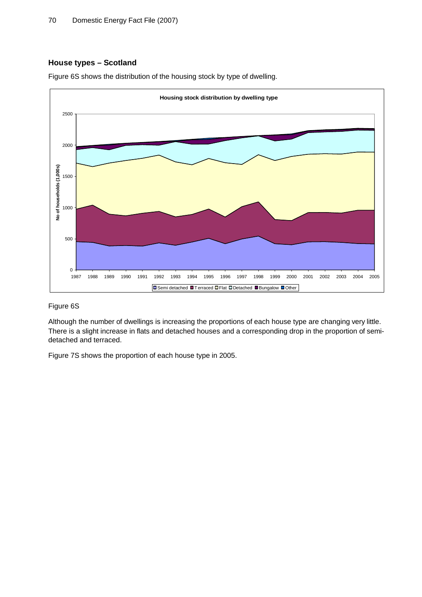### **House types – Scotland**





### Figure 6S

Although the number of dwellings is increasing the proportions of each house type are changing very little. There is a slight increase in flats and detached houses and a corresponding drop in the proportion of semidetached and terraced.

Figure 7S shows the proportion of each house type in 2005.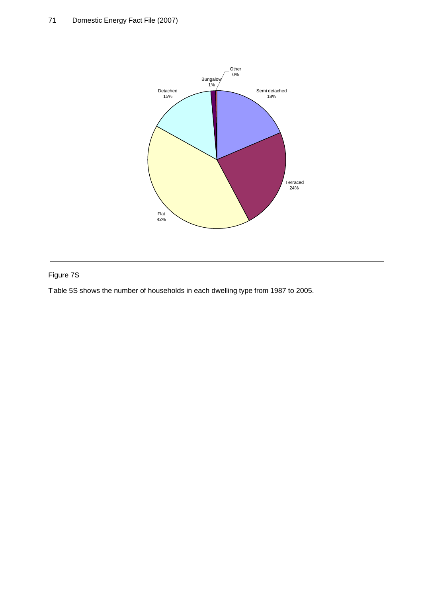

# Figure 7S

Table 5S shows the number of households in each dwelling type from 1987 to 2005.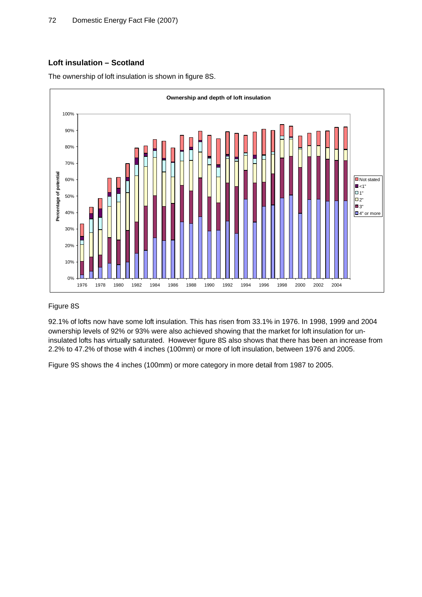# **Loft insulation – Scotland**

The ownership of loft insulation is shown in figure 8S.



# Figure 8S

92.1% of lofts now have some loft insulation. This has risen from 33.1% in 1976. In 1998, 1999 and 2004 ownership levels of 92% or 93% were also achieved showing that the market for loft insulation for uninsulated lofts has virtually saturated. However figure 8S also shows that there has been an increase from 2.2% to 47.2% of those with 4 inches (100mm) or more of loft insulation, between 1976 and 2005.

Figure 9S shows the 4 inches (100mm) or more category in more detail from 1987 to 2005.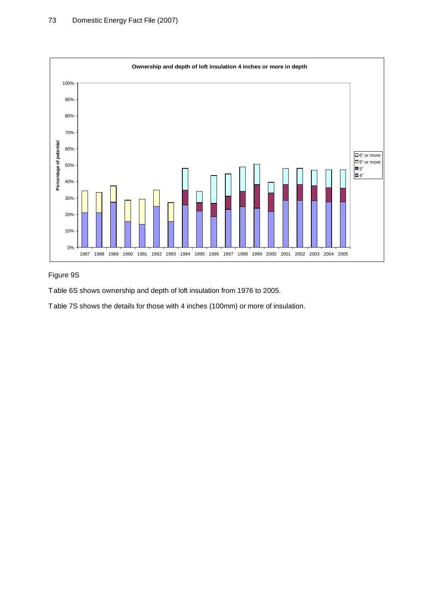

# Figure 9S

Table 6S shows ownership and depth of loft insulation from 1976 to 2005.

Table 7S shows the details for those with 4 inches (100mm) or more of insulation.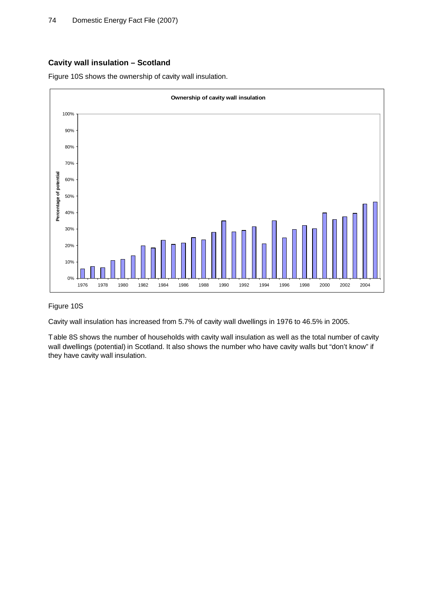## **Cavity wall insulation – Scotland**

Figure 10S shows the ownership of cavity wall insulation.



#### Figure 10S

Cavity wall insulation has increased from 5.7% of cavity wall dwellings in 1976 to 46.5% in 2005.

Table 8S shows the number of households with cavity wall insulation as well as the total number of cavity wall dwellings (potential) in Scotland. It also shows the number who have cavity walls but "don't know" if they have cavity wall insulation.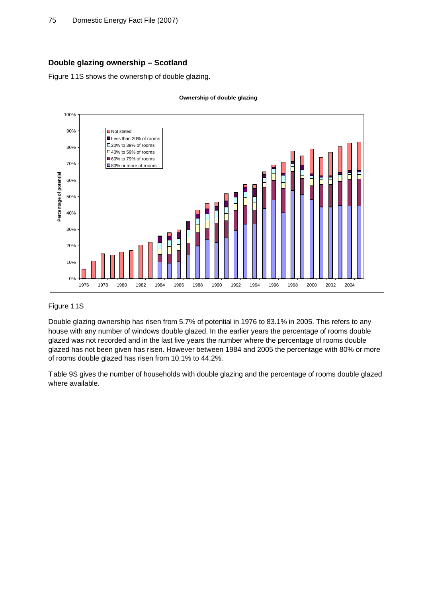## **Double glazing ownership – Scotland**

Figure 11S shows the ownership of double glazing.



## Figure 11S

Double glazing ownership has risen from 5.7% of potential in 1976 to 83.1% in 2005. This refers to any house with any number of windows double glazed. In the earlier years the percentage of rooms double glazed was not recorded and in the last five years the number where the percentage of rooms double glazed has not been given has risen. However between 1984 and 2005 the percentage with 80% or more of rooms double glazed has risen from 10.1% to 44.2%.

Table 9S gives the number of households with double glazing and the percentage of rooms double glazed where available.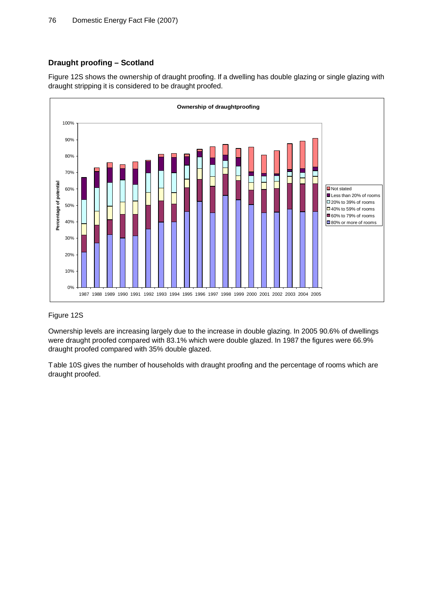## **Draught proofing – Scotland**

Figure 12S shows the ownership of draught proofing. If a dwelling has double glazing or single glazing with draught stripping it is considered to be draught proofed.



#### Figure 12S

Ownership levels are increasing largely due to the increase in double glazing. In 2005 90.6% of dwellings were draught proofed compared with 83.1% which were double glazed. In 1987 the figures were 66.9% draught proofed compared with 35% double glazed.

Table 10S gives the number of households with draught proofing and the percentage of rooms which are draught proofed.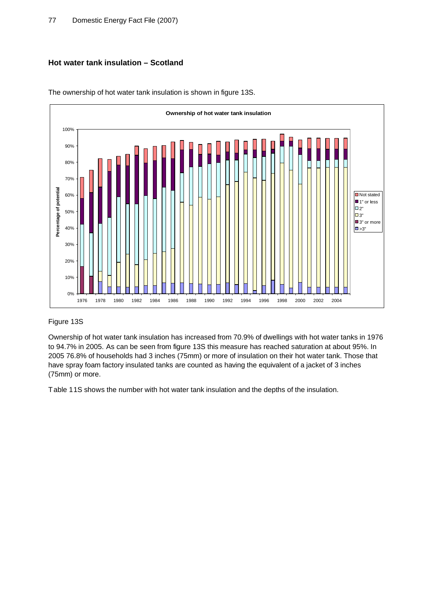# **Hot water tank insulation – Scotland**



The ownership of hot water tank insulation is shown in figure 13S.

## Figure 13S

Ownership of hot water tank insulation has increased from 70.9% of dwellings with hot water tanks in 1976 to 94.7% in 2005. As can be seen from figure 13S this measure has reached saturation at about 95%. In 2005 76.8% of households had 3 inches (75mm) or more of insulation on their hot water tank. Those that have spray foam factory insulated tanks are counted as having the equivalent of a jacket of 3 inches (75mm) or more.

Table 11S shows the number with hot water tank insulation and the depths of the insulation.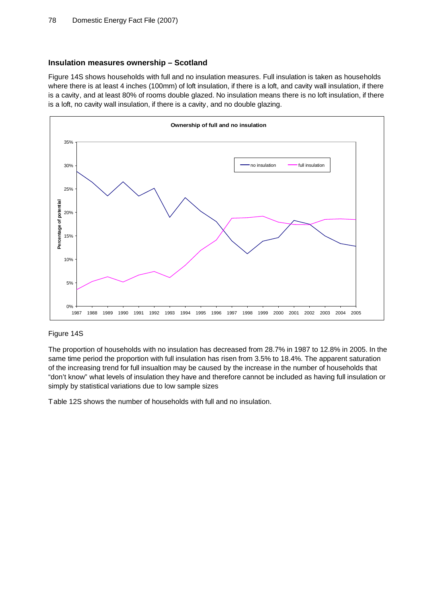#### **Insulation measures ownership – Scotland**

Figure 14S shows households with full and no insulation measures. Full insulation is taken as households where there is at least 4 inches (100mm) of loft insulation, if there is a loft, and cavity wall insulation, if there is a cavity, and at least 80% of rooms double glazed. No insulation means there is no loft insulation, if there is a loft, no cavity wall insulation, if there is a cavity, and no double glazing.



#### Figure 14S

The proportion of households with no insulation has decreased from 28.7% in 1987 to 12.8% in 2005. In the same time period the proportion with full insulation has risen from 3.5% to 18.4%. The apparent saturation of the increasing trend for full insualtion may be caused by the increase in the number of households that "don't know" what levels of insulation they have and therefore cannot be included as having full insulation or simply by statistical variations due to low sample sizes

Table 12S shows the number of households with full and no insulation.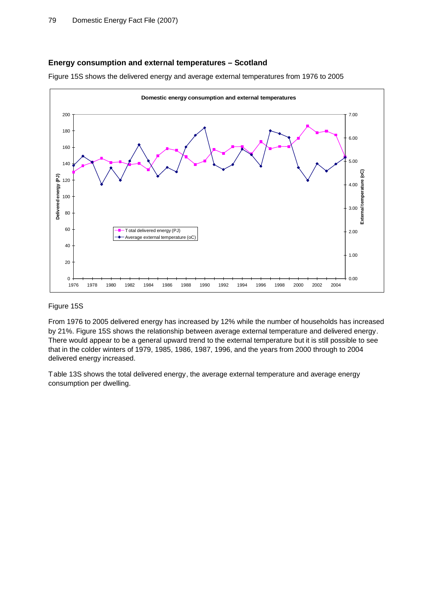## **Energy consumption and external temperatures – Scotland**

Figure 15S shows the delivered energy and average external temperatures from 1976 to 2005



#### Figure 15S

From 1976 to 2005 delivered energy has increased by 12% while the number of households has increased by 21%. Figure 15S shows the relationship between average external temperature and delivered energy. There would appear to be a general upward trend to the external temperature but it is still possible to see that in the colder winters of 1979, 1985, 1986, 1987, 1996, and the years from 2000 through to 2004 delivered energy increased.

Table 13S shows the total delivered energy, the average external temperature and average energy consumption per dwelling.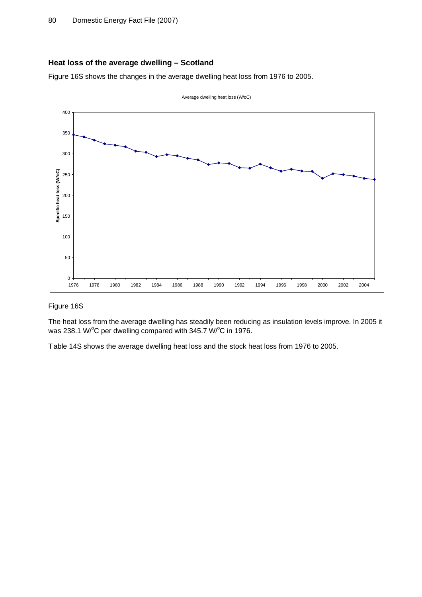## **Heat loss of the average dwelling – Scotland**

Figure 16S shows the changes in the average dwelling heat loss from 1976 to 2005.



#### Figure 16S

The heat loss from the average dwelling has steadily been reducing as insulation levels improve. In 2005 it was 238.1 W/°C per dwelling compared with 345.7 W/°C in 1976.

Table 14S shows the average dwelling heat loss and the stock heat loss from 1976 to 2005.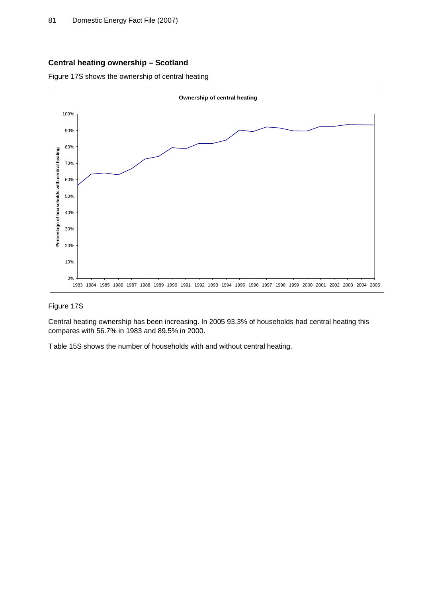## **Central heating ownership – Scotland**

Figure 17S shows the ownership of central heating



## Figure 17S

Central heating ownership has been increasing. In 2005 93.3% of households had central heating this compares with 56.7% in 1983 and 89.5% in 2000.

Table 15S shows the number of households with and without central heating.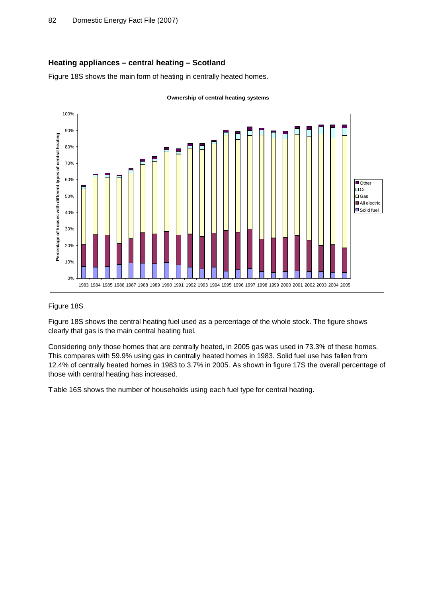## **Heating appliances – central heating – Scotland**

Figure 18S shows the main form of heating in centrally heated homes.



#### Figure 18S

Figure 18S shows the central heating fuel used as a percentage of the whole stock. The figure shows clearly that gas is the main central heating fuel.

Considering only those homes that are centrally heated, in 2005 gas was used in 73.3% of these homes. This compares with 59.9% using gas in centrally heated homes in 1983. Solid fuel use has fallen from 12.4% of centrally heated homes in 1983 to 3.7% in 2005. As shown in figure 17S the overall percentage of those with central heating has increased.

Table 16S shows the number of households using each fuel type for central heating.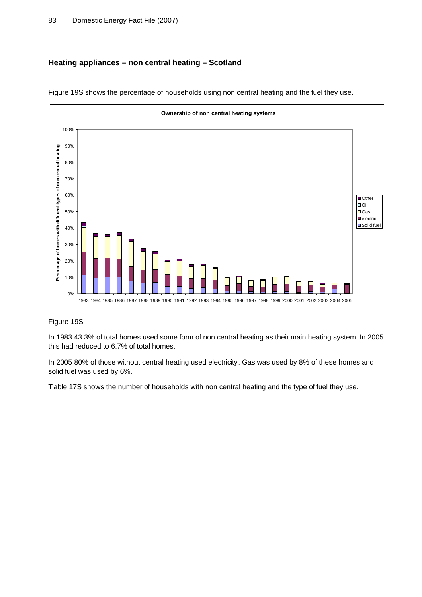# **Heating appliances – non central heating – Scotland**



Figure 19S shows the percentage of households using non central heating and the fuel they use.

# Figure 19S

In 1983 43.3% of total homes used some form of non central heating as their main heating system. In 2005 this had reduced to 6.7% of total homes.

In 2005 80% of those without central heating used electricity. Gas was used by 8% of these homes and solid fuel was used by 6%.

Table 17S shows the number of households with non central heating and the type of fuel they use.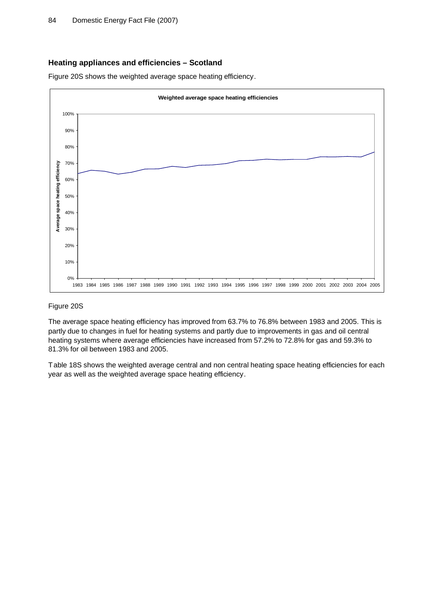## **Heating appliances and efficiencies – Scotland**

Figure 20S shows the weighted average space heating efficiency.



#### Figure 20S

The average space heating efficiency has improved from 63.7% to 76.8% between 1983 and 2005. This is partly due to changes in fuel for heating systems and partly due to improvements in gas and oil central heating systems where average efficiencies have increased from 57.2% to 72.8% for gas and 59.3% to 81.3% for oil between 1983 and 2005.

Table 18S shows the weighted average central and non central heating space heating efficiencies for each year as well as the weighted average space heating efficiency.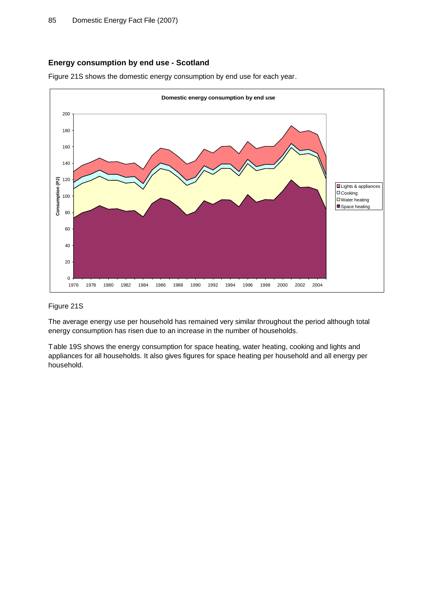## **Energy consumption by end use - Scotland**

Figure 21S shows the domestic energy consumption by end use for each year.



## Figure 21S

The average energy use per household has remained very similar throughout the period although total energy consumption has risen due to an increase in the number of households.

Table 19S shows the energy consumption for space heating, water heating, cooking and lights and appliances for all households. It also gives figures for space heating per household and all energy per household.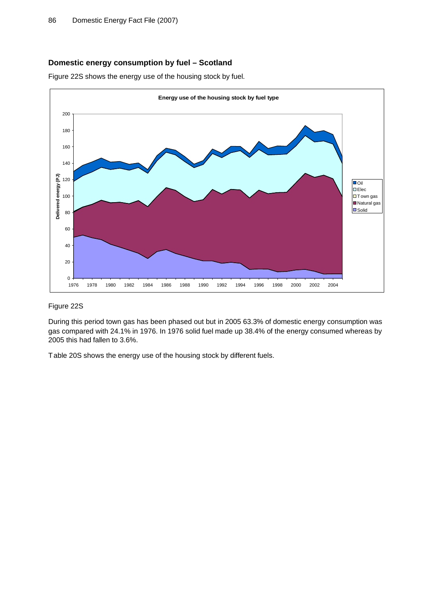## **Domestic energy consumption by fuel – Scotland**

Figure 22S shows the energy use of the housing stock by fuel.



## Figure 22S

During this period town gas has been phased out but in 2005 63.3% of domestic energy consumption was gas compared with 24.1% in 1976. In 1976 solid fuel made up 38.4% of the energy consumed whereas by 2005 this had fallen to 3.6%.

Table 20S shows the energy use of the housing stock by different fuels.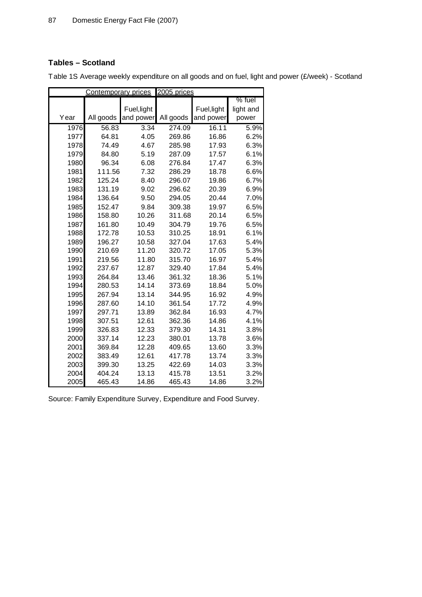# **Tables – Scotland**

|      | <b>Contemporary prices</b> |             | 2005 prices |             |           |
|------|----------------------------|-------------|-------------|-------------|-----------|
|      |                            |             |             |             | % fuel    |
|      |                            | Fuel, light |             | Fuel, light | light and |
| Year | All goods                  | and power   | All goods   | and power   | power     |
| 1976 | 56.83                      | 3.34        | 274.09      | 16.11       | 5.9%      |
| 1977 | 64.81                      | 4.05        | 269.86      | 16.86       | 6.2%      |
| 1978 | 74.49                      | 4.67        | 285.98      | 17.93       | 6.3%      |
| 1979 | 84.80                      | 5.19        | 287.09      | 17.57       | 6.1%      |
| 1980 | 96.34                      | 6.08        | 276.84      | 17.47       | 6.3%      |
| 1981 | 111.56                     | 7.32        | 286.29      | 18.78       | 6.6%      |
| 1982 | 125.24                     | 8.40        | 296.07      | 19.86       | 6.7%      |
| 1983 | 131.19                     | 9.02        | 296.62      | 20.39       | 6.9%      |
| 1984 | 136.64                     | 9.50        | 294.05      | 20.44       | 7.0%      |
| 1985 | 152.47                     | 9.84        | 309.38      | 19.97       | 6.5%      |
| 1986 | 158.80                     | 10.26       | 311.68      | 20.14       | 6.5%      |
| 1987 | 161.80                     | 10.49       | 304.79      | 19.76       | 6.5%      |
| 1988 | 172.78                     | 10.53       | 310.25      | 18.91       | 6.1%      |
| 1989 | 196.27                     | 10.58       | 327.04      | 17.63       | 5.4%      |
| 1990 | 210.69                     | 11.20       | 320.72      | 17.05       | 5.3%      |
| 1991 | 219.56                     | 11.80       | 315.70      | 16.97       | 5.4%      |
| 1992 | 237.67                     | 12.87       | 329.40      | 17.84       | 5.4%      |
| 1993 | 264.84                     | 13.46       | 361.32      | 18.36       | 5.1%      |
| 1994 | 280.53                     | 14.14       | 373.69      | 18.84       | 5.0%      |
| 1995 | 267.94                     | 13.14       | 344.95      | 16.92       | 4.9%      |
| 1996 | 287.60                     | 14.10       | 361.54      | 17.72       | 4.9%      |
| 1997 | 297.71                     | 13.89       | 362.84      | 16.93       | 4.7%      |
| 1998 | 307.51                     | 12.61       | 362.36      | 14.86       | 4.1%      |
| 1999 | 326.83                     | 12.33       | 379.30      | 14.31       | 3.8%      |
| 2000 | 337.14                     | 12.23       | 380.01      | 13.78       | 3.6%      |
| 2001 | 369.84                     | 12.28       | 409.65      | 13.60       | 3.3%      |
| 2002 | 383.49                     | 12.61       | 417.78      | 13.74       | 3.3%      |
| 2003 | 399.30                     | 13.25       | 422.69      | 14.03       | 3.3%      |
| 2004 | 404.24                     | 13.13       | 415.78      | 13.51       | 3.2%      |
| 2005 | 465.43                     | 14.86       | 465.43      | 14.86       | 3.2%      |

Table 1S Average weekly expenditure on all goods and on fuel, light and power (£/week) - Scotland

Source: Family Expenditure Survey, Expenditure and Food Survey.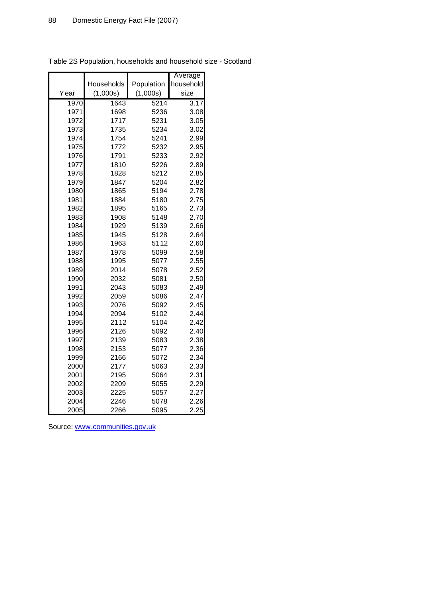|      |            |            | Average           |
|------|------------|------------|-------------------|
|      | Households | Population | household         |
| Year | (1,000s)   | (1,000s)   | size              |
| 1970 | 1643       | 5214       | $\overline{3.17}$ |
| 1971 | 1698       | 5236       | 3.08              |
| 1972 | 1717       | 5231       | 3.05              |
| 1973 | 1735       | 5234       | 3.02              |
| 1974 | 1754       | 5241       | 2.99              |
| 1975 | 1772       | 5232       | 2.95              |
| 1976 | 1791       | 5233       | 2.92              |
| 1977 | 1810       | 5226       | 2.89              |
| 1978 | 1828       | 5212       | 2.85              |
| 1979 | 1847       | 5204       | 2.82              |
| 1980 | 1865       | 5194       | 2.78              |
| 1981 | 1884       | 5180       | 2.75              |
| 1982 | 1895       | 5165       | 2.73              |
| 1983 | 1908       | 5148       | 2.70              |
| 1984 | 1929       | 5139       | 2.66              |
| 1985 | 1945       | 5128       | 2.64              |
| 1986 | 1963       | 5112       | 2.60              |
| 1987 | 1978       | 5099       | 2.58              |
| 1988 | 1995       | 5077       | 2.55              |
| 1989 | 2014       | 5078       | 2.52              |
| 1990 | 2032       | 5081       | 2.50              |
| 1991 | 2043       | 5083       | 2.49              |
| 1992 | 2059       | 5086       | 2.47              |
| 1993 | 2076       | 5092       | 2.45              |
| 1994 | 2094       | 5102       | 2.44              |
| 1995 | 2112       | 5104       | 2.42              |
| 1996 | 2126       | 5092       | 2.40              |
| 1997 | 2139       | 5083       | 2.38              |
| 1998 | 2153       | 5077       | 2.36              |
| 1999 | 2166       | 5072       | 2.34              |
| 2000 | 2177       | 5063       | 2.33              |
| 2001 | 2195       | 5064       | 2.31              |
| 2002 | 2209       | 5055       | 2.29              |
| 2003 | 2225       | 5057       | 2.27              |
| 2004 | 2246       | 5078       | 2.26              |
| 2005 | 2266       | 5095       | 2.25              |

Table 2S Population, households and household size - Scotland

Source: [www.communities.gov.uk](http://www.communities.gov.uk)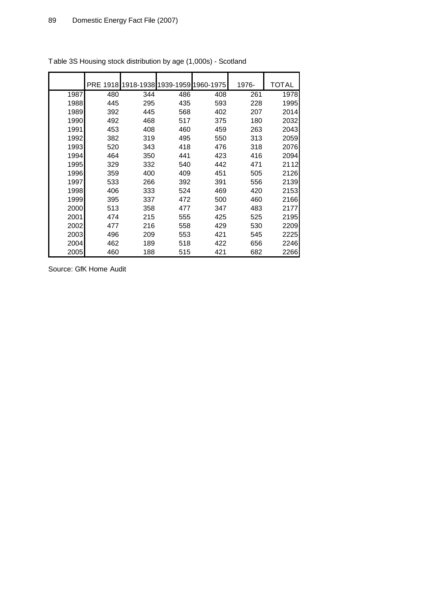|      | <b>PRE 1918</b> |     | 1918-1938 1939-1959 1960-1975 |     | 1976- | TOTAL |
|------|-----------------|-----|-------------------------------|-----|-------|-------|
| 1987 | 480             | 344 | 486                           | 408 | 261   | 1978  |
| 1988 | 445             | 295 | 435                           | 593 | 228   | 1995  |
| 1989 | 392             | 445 | 568                           | 402 | 207   | 2014  |
| 1990 | 492             | 468 | 517                           | 375 | 180   | 2032  |
| 1991 | 453             | 408 | 460                           | 459 | 263   | 2043  |
| 1992 | 382             | 319 | 495                           | 550 | 313   | 2059  |
| 1993 | 520             | 343 | 418                           | 476 | 318   | 2076  |
| 1994 | 464             | 350 | 441                           | 423 | 416   | 2094  |
| 1995 | 329             | 332 | 540                           | 442 | 471   | 2112  |
| 1996 | 359             | 400 | 409                           | 451 | 505   | 2126  |
| 1997 | 533             | 266 | 392                           | 391 | 556   | 2139  |
| 1998 | 406             | 333 | 524                           | 469 | 420   | 2153  |
| 1999 | 395             | 337 | 472                           | 500 | 460   | 2166  |
| 2000 | 513             | 358 | 477                           | 347 | 483   | 2177  |
| 2001 | 474             | 215 | 555                           | 425 | 525   | 2195  |
| 2002 | 477             | 216 | 558                           | 429 | 530   | 2209  |
| 2003 | 496             | 209 | 553                           | 421 | 545   | 2225  |
| 2004 | 462             | 189 | 518                           | 422 | 656   | 2246  |
| 2005 | 460             | 188 | 515                           | 421 | 682   | 2266  |

Table 3S Housing stock distribution by age (1,000s) - Scotland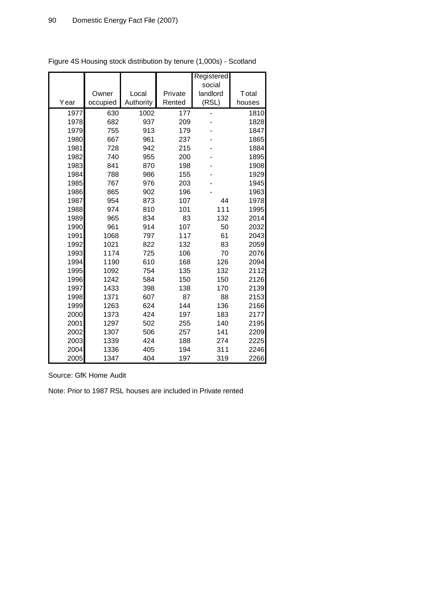|      |          |           |         | Registered |        |
|------|----------|-----------|---------|------------|--------|
|      |          |           |         | social     |        |
|      | Owner    | Local     | Private | landlord   | Total  |
| Year | occupied | Authority | Rented  | (RSL)      | houses |
| 1977 | 630      | 1002      | 177     |            | 1810   |
| 1978 | 682      | 937       | 209     |            | 1828   |
| 1979 | 755      | 913       | 179     |            | 1847   |
| 1980 | 667      | 961       | 237     |            | 1865   |
| 1981 | 728      | 942       | 215     |            | 1884   |
| 1982 | 740      | 955       | 200     |            | 1895   |
| 1983 | 841      | 870       | 198     |            | 1908   |
| 1984 | 788      | 986       | 155     |            | 1929   |
| 1985 | 767      | 976       | 203     |            | 1945   |
| 1986 | 865      | 902       | 196     |            | 1963   |
| 1987 | 954      | 873       | 107     | 44         | 1978   |
| 1988 | 974      | 810       | 101     | 111        | 1995   |
| 1989 | 965      | 834       | 83      | 132        | 2014   |
| 1990 | 961      | 914       | 107     | 50         | 2032   |
| 1991 | 1068     | 797       | 117     | 61         | 2043   |
| 1992 | 1021     | 822       | 132     | 83         | 2059   |
| 1993 | 1174     | 725       | 106     | 70         | 2076   |
| 1994 | 1190     | 610       | 168     | 126        | 2094   |
| 1995 | 1092     | 754       | 135     | 132        | 2112   |
| 1996 | 1242     | 584       | 150     | 150        | 2126   |
| 1997 | 1433     | 398       | 138     | 170        | 2139   |
| 1998 | 1371     | 607       | 87      | 88         | 2153   |
| 1999 | 1263     | 624       | 144     | 136        | 2166   |
| 2000 | 1373     | 424       | 197     | 183        | 2177   |
| 2001 | 1297     | 502       | 255     | 140        | 2195   |
| 2002 | 1307     | 506       | 257     | 141        | 2209   |
| 2003 | 1339     | 424       | 188     | 274        | 2225   |
| 2004 | 1336     | 405       | 194     | 311        | 2246   |
| 2005 | 1347     | 404       | 197     | 319        | 2266   |

Figure 4S Housing stock distribution by tenure (1,000s) - Scotland

Source: GfK Home Audit

Note: Prior to 1987 RSL houses are included in Private rented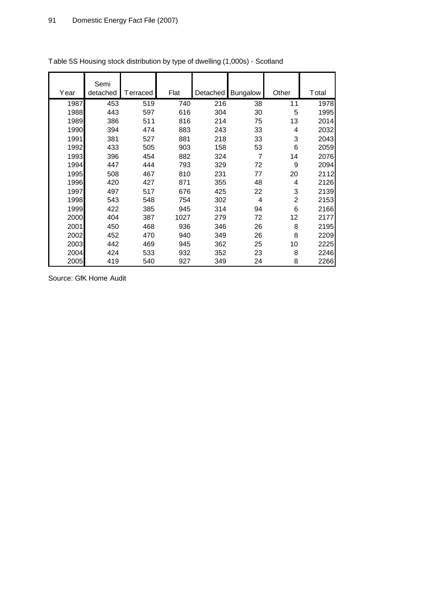|      | Semi     |          |      |          |                 |                |       |
|------|----------|----------|------|----------|-----------------|----------------|-------|
| Year | detached | Terraced | Flat | Detached | <b>Bungalow</b> | Other          | Total |
| 1987 | 453      | 519      | 740  | 216      | 38              | 11             | 1978  |
| 1988 | 443      | 597      | 616  | 304      | 30              | 5              | 1995  |
| 1989 | 386      | 511      | 816  | 214      | 75              | 13             | 2014  |
| 1990 | 394      | 474      | 883  | 243      | 33              | 4              | 2032  |
| 1991 | 381      | 527      | 881  | 218      | 33              | 3              | 2043  |
| 1992 | 433      | 505      | 903  | 158      | 53              | 6              | 2059  |
| 1993 | 396      | 454      | 882  | 324      | $\overline{7}$  | 14             | 2076  |
| 1994 | 447      | 444      | 793  | 329      | 72              | 9              | 2094  |
| 1995 | 508      | 467      | 810  | 231      | 77              | 20             | 2112  |
| 1996 | 420      | 427      | 871  | 355      | 48              | 4              | 2126  |
| 1997 | 497      | 517      | 676  | 425      | 22              | 3              | 2139  |
| 1998 | 543      | 548      | 754  | 302      | 4               | $\overline{2}$ | 2153  |
| 1999 | 422      | 385      | 945  | 314      | 94              | 6              | 2166  |
| 2000 | 404      | 387      | 1027 | 279      | 72              | 12             | 2177  |
| 2001 | 450      | 468      | 936  | 346      | 26              | 8              | 2195  |
| 2002 | 452      | 470      | 940  | 349      | 26              | 8              | 2209  |
| 2003 | 442      | 469      | 945  | 362      | 25              | 10             | 2225  |
| 2004 | 424      | 533      | 932  | 352      | 23              | 8              | 2246  |
| 2005 | 419      | 540      | 927  | 349      | 24              | 8              | 2266  |

Table 5S Housing stock distribution by type of dwelling (1,000s) - Scotland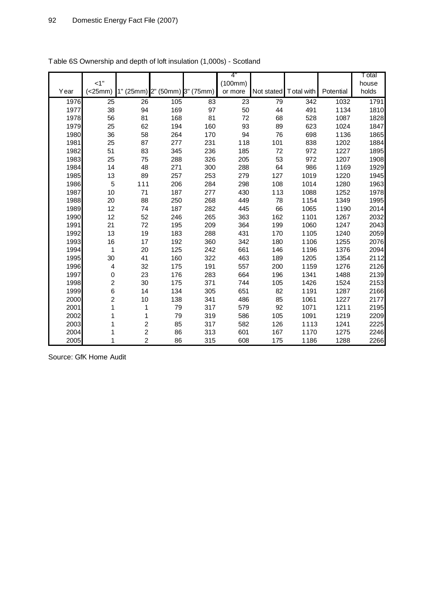|      | $<1$ "         |                               |     |     | 4"                 |            |                  |           | T otal         |
|------|----------------|-------------------------------|-----|-----|--------------------|------------|------------------|-----------|----------------|
| Year | (<25mm)        | 1" (25mm) 2" (50mm) 3" (75mm) |     |     | (100mm)<br>or more | Not stated | Total with       | Potential | house<br>holds |
| 1976 |                | $\overline{26}$               | 105 | 83  | $\overline{23}$    |            | $\overline{342}$ | 1032      | 1791           |
| 1977 | 25<br>38       | 94                            | 169 | 97  | 50                 | 79<br>44   | 491              | 1134      |                |
| 1978 | 56             | 81                            | 168 | 81  | 72                 | 68         | 528              | 1087      | 1810<br>1828   |
| 1979 | 25             | 62                            | 194 | 160 | 93                 | 89         | 623              | 1024      | 1847           |
| 1980 | 36             | 58                            | 264 | 170 | 94                 | 76         | 698              | 1136      | 1865           |
| 1981 | 25             | 87                            | 277 | 231 | 118                | 101        | 838              | 1202      | 1884           |
| 1982 | 51             | 83                            | 345 | 236 | 185                | 72         | 972              | 1227      | 1895           |
| 1983 | 25             | 75                            | 288 | 326 | 205                | 53         | 972              | 1207      | 1908           |
| 1984 | 14             | 48                            | 271 | 300 | 288                | 64         | 986              | 1169      | 1929           |
| 1985 | 13             | 89                            | 257 | 253 | 279                | 127        | 1019             | 1220      | 1945           |
| 1986 | 5              | 111                           | 206 | 284 | 298                | 108        | 1014             | 1280      | 1963           |
| 1987 | 10             | 71                            | 187 | 277 | 430                | 113        | 1088             | 1252      | 1978           |
| 1988 | 20             | 88                            | 250 | 268 | 449                | 78         | 1154             | 1349      | 1995           |
| 1989 | 12             | 74                            | 187 | 282 | 445                | 66         | 1065             | 1190      | 2014           |
| 1990 | 12             | 52                            | 246 | 265 | 363                | 162        | 1101             | 1267      | 2032           |
| 1991 | 21             | 72                            | 195 | 209 | 364                | 199        | 1060             | 1247      | 2043           |
| 1992 | 13             | 19                            | 183 | 288 | 431                | 170        | 1105             | 1240      | 2059           |
| 1993 | 16             | 17                            | 192 | 360 | 342                | 180        | 1106             | 1255      | 2076           |
| 1994 | 1              | 20                            | 125 | 242 | 661                | 146        | 1196             | 1376      | 2094           |
| 1995 | 30             | 41                            | 160 | 322 | 463                | 189        | 1205             | 1354      | 2112           |
| 1996 | 4              | 32                            | 175 | 191 | 557                | 200        | 1159             | 1276      | 2126           |
| 1997 | 0              | 23                            | 176 | 283 | 664                | 196        | 1341             | 1488      | 2139           |
| 1998 | $\overline{c}$ | 30                            | 175 | 371 | 744                | 105        | 1426             | 1524      | 2153           |
| 1999 | 6              | 14                            | 134 | 305 | 651                | 82         | 1191             | 1287      | 2166           |
| 2000 | $\overline{c}$ | 10                            | 138 | 341 | 486                | 85         | 1061             | 1227      | 2177           |
| 2001 | 1              | 1                             | 79  | 317 | 579                | 92         | 1071             | 1211      | 2195           |
| 2002 | 1              | 1                             | 79  | 319 | 586                | 105        | 1091             | 1219      | 2209           |
| 2003 | 1              | $\overline{\mathbf{c}}$       | 85  | 317 | 582                | 126        | 1113             | 1241      | 2225           |
| 2004 | 1              | $\overline{c}$                | 86  | 313 | 601                | 167        | 1170             | 1275      | 2246           |
| 2005 | 1              | $\overline{2}$                | 86  | 315 | 608                | 175        | 1186             | 1288      | 2266           |

| Table 6S Ownership and depth of loft insulation (1,000s) - Scotland |  |  |  |  |  |
|---------------------------------------------------------------------|--|--|--|--|--|
|---------------------------------------------------------------------|--|--|--|--|--|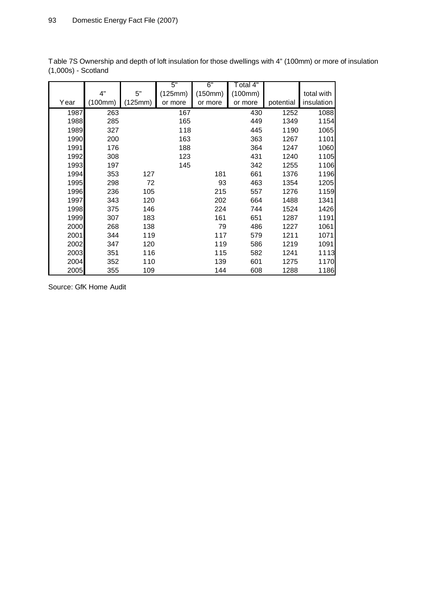|      |         |         | 5"      | 6"      | Total 4" |           |            |
|------|---------|---------|---------|---------|----------|-----------|------------|
|      | 4"      | 5"      | (125mm) | (150mm) | (100mm)  |           | total with |
| Year | (100mm) | (125mm) | or more | or more | or more  | potential | insulation |
| 1987 | 263     |         | 167     |         | 430      | 1252      | 1088       |
| 1988 | 285     |         | 165     |         | 449      | 1349      | 1154       |
| 1989 | 327     |         | 118     |         | 445      | 1190      | 1065       |
| 1990 | 200     |         | 163     |         | 363      | 1267      | 1101       |
| 1991 | 176     |         | 188     |         | 364      | 1247      | 1060       |
| 1992 | 308     |         | 123     |         | 431      | 1240      | 1105       |
| 1993 | 197     |         | 145     |         | 342      | 1255      | 1106       |
| 1994 | 353     | 127     |         | 181     | 661      | 1376      | 1196       |
| 1995 | 298     | 72      |         | 93      | 463      | 1354      | 1205       |
| 1996 | 236     | 105     |         | 215     | 557      | 1276      | 1159       |
| 1997 | 343     | 120     |         | 202     | 664      | 1488      | 1341       |
| 1998 | 375     | 146     |         | 224     | 744      | 1524      | 1426       |
| 1999 | 307     | 183     |         | 161     | 651      | 1287      | 1191       |
| 2000 | 268     | 138     |         | 79      | 486      | 1227      | 1061       |
| 2001 | 344     | 119     |         | 117     | 579      | 1211      | 1071       |
| 2002 | 347     | 120     |         | 119     | 586      | 1219      | 1091       |
| 2003 | 351     | 116     |         | 115     | 582      | 1241      | 1113       |
| 2004 | 352     | 110     |         | 139     | 601      | 1275      | 1170       |
| 2005 | 355     | 109     |         | 144     | 608      | 1288      | 1186       |

Table 7S Ownership and depth of loft insulation for those dwellings with 4" (100mm) or more of insulation (1,000s) - Scotland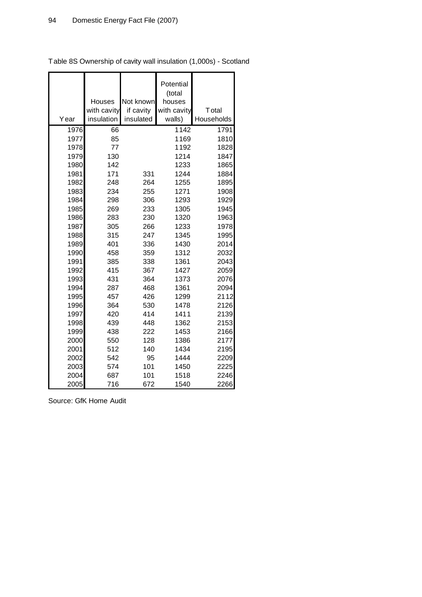|              | Houses                    | Not known              | Potential<br>(total<br>houses |                     |
|--------------|---------------------------|------------------------|-------------------------------|---------------------|
| Year         | with cavity<br>insulation | if cavity<br>insulated | with cavity<br>walls)         | Total<br>Households |
|              |                           |                        |                               |                     |
| 1976         | 66                        |                        | 1142                          | 1791                |
| 1977<br>1978 | 85<br>77                  |                        | 1169<br>1192                  | 1810<br>1828        |
|              |                           |                        |                               |                     |
| 1979         | 130                       |                        | 1214                          | 1847                |
| 1980         | 142                       |                        | 1233                          | 1865                |
| 1981         | 171                       | 331                    | 1244                          | 1884                |
| 1982         | 248                       | 264                    | 1255                          | 1895                |
| 1983         | 234                       | 255                    | 1271                          | 1908                |
| 1984         | 298                       | 306                    | 1293                          | 1929                |
| 1985         | 269                       | 233                    | 1305                          | 1945                |
| 1986         | 283                       | 230                    | 1320                          | 1963                |
| 1987         | 305                       | 266                    | 1233                          | 1978                |
| 1988         | 315                       | 247                    | 1345                          | 1995                |
| 1989<br>1990 | 401<br>458                | 336<br>359             | 1430<br>1312                  | 2014<br>2032        |
| 1991         | 385                       | 338                    | 1361                          | 2043                |
|              | 415                       |                        | 1427                          | 2059                |
| 1992         |                           | 367                    |                               |                     |
| 1993<br>1994 | 431<br>287                | 364<br>468             | 1373<br>1361                  | 2076<br>2094        |
| 1995         | 457                       | 426                    | 1299                          | 2112                |
| 1996         | 364                       | 530                    | 1478                          | 2126                |
| 1997         | 420                       | 414                    | 1411                          | 2139                |
| 1998         | 439                       | 448                    | 1362                          | 2153                |
| 1999         | 438                       | 222                    | 1453                          | 2166                |
| 2000         | 550                       | 128                    | 1386                          | 2177                |
| 2001         | 512                       | 140                    | 1434                          | 2195                |
| 2002         | 542                       | 95                     | 1444                          | 2209                |
| 2003         | 574                       | 101                    | 1450                          | 2225                |
| 2004         | 687                       | 101                    | 1518                          | 2246                |
| 2005         | 716                       | 672                    | 1540                          | 2266                |

Table 8S Ownership of cavity wall insulation (1,000s) - Scotland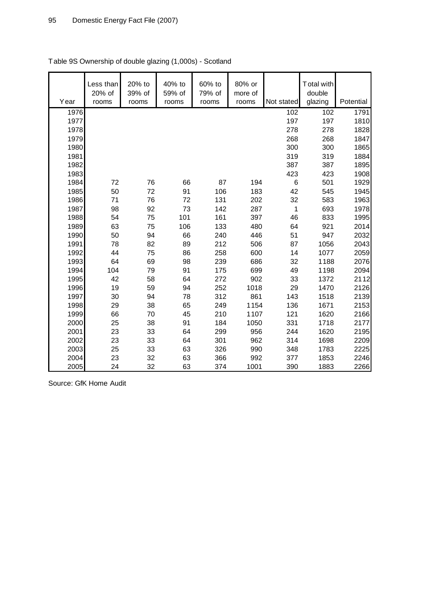| Year | Less than<br>20% of<br>rooms | 20% to<br>39% of<br>rooms | 40% to<br>59% of<br>rooms | 60% to<br>79% of<br>rooms | 80% or<br>more of<br>rooms | Not stated | Total with<br>double<br>glazing | Potential |
|------|------------------------------|---------------------------|---------------------------|---------------------------|----------------------------|------------|---------------------------------|-----------|
| 1976 |                              |                           |                           |                           |                            | 102        | 102                             | 1791      |
| 1977 |                              |                           |                           |                           |                            | 197        | 197                             | 1810      |
| 1978 |                              |                           |                           |                           |                            | 278        | 278                             | 1828      |
| 1979 |                              |                           |                           |                           |                            | 268        | 268                             | 1847      |
| 1980 |                              |                           |                           |                           |                            | 300        | 300                             | 1865      |
| 1981 |                              |                           |                           |                           |                            | 319        | 319                             | 1884      |
| 1982 |                              |                           |                           |                           |                            | 387        | 387                             | 1895      |
| 1983 |                              |                           |                           |                           |                            | 423        | 423                             | 1908      |
| 1984 | 72                           | 76                        | 66                        | 87                        | 194                        | 6          | 501                             | 1929      |
| 1985 | 50                           | 72                        | 91                        | 106                       | 183                        | 42         | 545                             | 1945      |
| 1986 | 71                           | 76                        | 72                        | 131                       | 202                        | 32         | 583                             | 1963      |
| 1987 | 98                           | 92                        | 73                        | 142                       | 287                        | 1          | 693                             | 1978      |
| 1988 | 54                           | 75                        | 101                       | 161                       | 397                        | 46         | 833                             | 1995      |
| 1989 | 63                           | 75                        | 106                       | 133                       | 480                        | 64         | 921                             | 2014      |
| 1990 | 50                           | 94                        | 66                        | 240                       | 446                        | 51         | 947                             | 2032      |
| 1991 | 78                           | 82                        | 89                        | 212                       | 506                        | 87         | 1056                            | 2043      |
| 1992 | 44                           | 75                        | 86                        | 258                       | 600                        | 14         | 1077                            | 2059      |
| 1993 | 64                           | 69                        | 98                        | 239                       | 686                        | 32         | 1188                            | 2076      |
| 1994 | 104                          | 79                        | 91                        | 175                       | 699                        | 49         | 1198                            | 2094      |
| 1995 | 42                           | 58                        | 64                        | 272                       | 902                        | 33         | 1372                            | 2112      |
| 1996 | 19                           | 59                        | 94                        | 252                       | 1018                       | 29         | 1470                            | 2126      |
| 1997 | 30                           | 94                        | 78                        | 312                       | 861                        | 143        | 1518                            | 2139      |
| 1998 | 29                           | 38                        | 65                        | 249                       | 1154                       | 136        | 1671                            | 2153      |
| 1999 | 66                           | 70                        | 45                        | 210                       | 1107                       | 121        | 1620                            | 2166      |
| 2000 | 25                           | 38                        | 91                        | 184                       | 1050                       | 331        | 1718                            | 2177      |
| 2001 | 23                           | 33                        | 64                        | 299                       | 956                        | 244        | 1620                            | 2195      |
| 2002 | 23                           | 33                        | 64                        | 301                       | 962                        | 314        | 1698                            | 2209      |
| 2003 | 25                           | 33                        | 63                        | 326                       | 990                        | 348        | 1783                            | 2225      |
| 2004 | 23                           | 32                        | 63                        | 366                       | 992                        | 377        | 1853                            | 2246      |
| 2005 | 24                           | 32                        | 63                        | 374                       | 1001                       | 390        | 1883                            | 2266      |

# Table 9S Ownership of double glazing (1,000s) - Scotland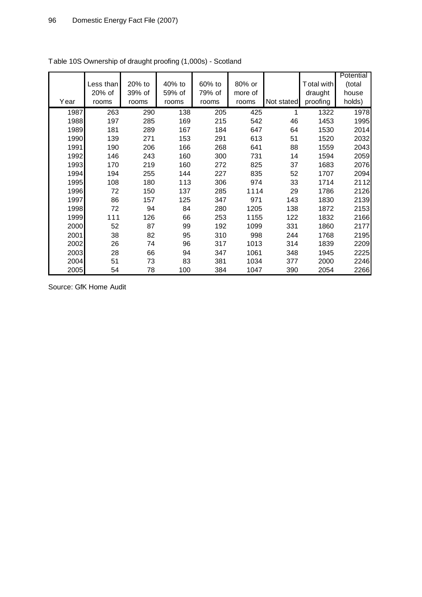|      |           |        |        |        |         |            |            | Potential |
|------|-----------|--------|--------|--------|---------|------------|------------|-----------|
|      | Less than | 20% to | 40% to | 60% to | 80% or  |            | Total with | (total    |
|      | 20% of    | 39% of | 59% of | 79% of | more of |            | draught    | house     |
| Year | rooms     | rooms  | rooms  | rooms  | rooms   | Not stated | proofing   | holds)    |
| 1987 | 263       | 290    | 138    | 205    | 425     |            | 1322       | 1978      |
| 1988 | 197       | 285    | 169    | 215    | 542     | 46         | 1453       | 1995      |
| 1989 | 181       | 289    | 167    | 184    | 647     | 64         | 1530       | 2014      |
| 1990 | 139       | 271    | 153    | 291    | 613     | 51         | 1520       | 2032      |
| 1991 | 190       | 206    | 166    | 268    | 641     | 88         | 1559       | 2043      |
| 1992 | 146       | 243    | 160    | 300    | 731     | 14         | 1594       | 2059      |
| 1993 | 170       | 219    | 160    | 272    | 825     | 37         | 1683       | 2076      |
| 1994 | 194       | 255    | 144    | 227    | 835     | 52         | 1707       | 2094      |
| 1995 | 108       | 180    | 113    | 306    | 974     | 33         | 1714       | 2112      |
| 1996 | 72        | 150    | 137    | 285    | 1114    | 29         | 1786       | 2126      |
| 1997 | 86        | 157    | 125    | 347    | 971     | 143        | 1830       | 2139      |
| 1998 | 72        | 94     | 84     | 280    | 1205    | 138        | 1872       | 2153      |
| 1999 | 111       | 126    | 66     | 253    | 1155    | 122        | 1832       | 2166      |
| 2000 | 52        | 87     | 99     | 192    | 1099    | 331        | 1860       | 2177      |
| 2001 | 38        | 82     | 95     | 310    | 998     | 244        | 1768       | 2195      |
| 2002 | 26        | 74     | 96     | 317    | 1013    | 314        | 1839       | 2209      |
| 2003 | 28        | 66     | 94     | 347    | 1061    | 348        | 1945       | 2225      |
| 2004 | 51        | 73     | 83     | 381    | 1034    | 377        | 2000       | 2246      |
| 2005 | 54        | 78     | 100    | 384    | 1047    | 390        | 2054       | 2266      |

Table 10S Ownership of draught proofing (1,000s) - Scotland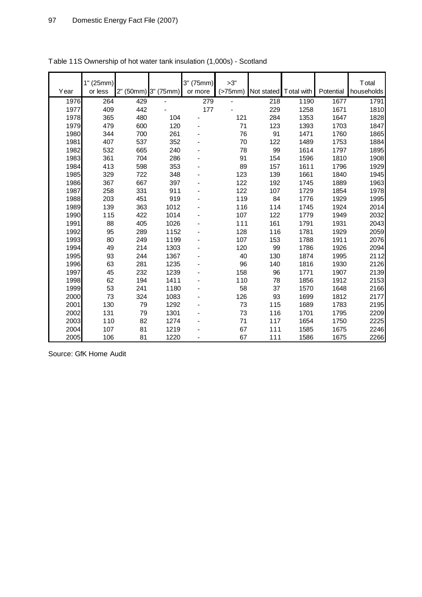| Year | 1" (25mm)<br>or less | 2" (50mm) | 3" (75mm) | 3" (75mm)<br>or more | >3"<br>(>75mm) | Not stated | T otal with | Potential | <b>T</b> otal<br>households |
|------|----------------------|-----------|-----------|----------------------|----------------|------------|-------------|-----------|-----------------------------|
| 1976 | 264                  | 429       |           | 279                  |                | 218        | 1190        | 1677      | 1791                        |
| 1977 | 409                  | 442       |           | 177                  |                | 229        | 1258        | 1671      | 1810                        |
| 1978 | 365                  | 480       | 104       |                      | 121            | 284        | 1353        | 1647      | 1828                        |
| 1979 | 479                  | 600       | 120       |                      | 71             | 123        | 1393        | 1703      | 1847                        |
| 1980 | 344                  | 700       | 261       |                      | 76             | 91         | 1471        | 1760      | 1865                        |
| 1981 | 407                  | 537       | 352       |                      | 70             | 122        | 1489        | 1753      | 1884                        |
| 1982 | 532                  | 665       | 240       |                      | 78             | 99         | 1614        | 1797      | 1895                        |
| 1983 | 361                  | 704       | 286       |                      | 91             | 154        | 1596        | 1810      | 1908                        |
| 1984 | 413                  | 598       | 353       |                      | 89             | 157        | 1611        | 1796      | 1929                        |
| 1985 | 329                  | 722       | 348       |                      | 123            | 139        | 1661        | 1840      | 1945                        |
| 1986 | 367                  | 667       | 397       |                      | 122            | 192        | 1745        | 1889      | 1963                        |
| 1987 | 258                  | 331       | 911       |                      | 122            | 107        | 1729        | 1854      | 1978                        |
| 1988 | 203                  | 451       | 919       |                      | 119            | 84         | 1776        | 1929      | 1995                        |
| 1989 | 139                  | 363       | 1012      |                      | 116            | 114        | 1745        | 1924      | 2014                        |
| 1990 | 115                  | 422       | 1014      |                      | 107            | 122        | 1779        | 1949      | 2032                        |
| 1991 | 88                   | 405       | 1026      |                      | 111            | 161        | 1791        | 1931      | 2043                        |
| 1992 | 95                   | 289       | 1152      |                      | 128            | 116        | 1781        | 1929      | 2059                        |
| 1993 | 80                   | 249       | 1199      |                      | 107            | 153        | 1788        | 1911      | 2076                        |
| 1994 | 49                   | 214       | 1303      |                      | 120            | 99         | 1786        | 1926      | 2094                        |
| 1995 | 93                   | 244       | 1367      |                      | 40             | 130        | 1874        | 1995      | 2112                        |
| 1996 | 63                   | 281       | 1235      |                      | 96             | 140        | 1816        | 1930      | 2126                        |
| 1997 | 45                   | 232       | 1239      |                      | 158            | 96         | 1771        | 1907      | 2139                        |
| 1998 | 62                   | 194       | 1411      |                      | 110            | 78         | 1856        | 1912      | 2153                        |
| 1999 | 53                   | 241       | 1180      |                      | 58             | 37         | 1570        | 1648      | 2166                        |
| 2000 | 73                   | 324       | 1083      |                      | 126            | 93         | 1699        | 1812      | 2177                        |
| 2001 | 130                  | 79        | 1292      |                      | 73             | 115        | 1689        | 1783      | 2195                        |
| 2002 | 131                  | 79        | 1301      |                      | 73             | 116        | 1701        | 1795      | 2209                        |
| 2003 | 110                  | 82        | 1274      |                      | 71             | 117        | 1654        | 1750      | 2225                        |
| 2004 | 107                  | 81        | 1219      |                      | 67             | 111        | 1585        | 1675      | 2246                        |
| 2005 | 106                  | 81        | 1220      |                      | 67             | 111        | 1586        | 1675      | 2266                        |

Table 11S Ownership of hot water tank insulation (1,000s) - Scotland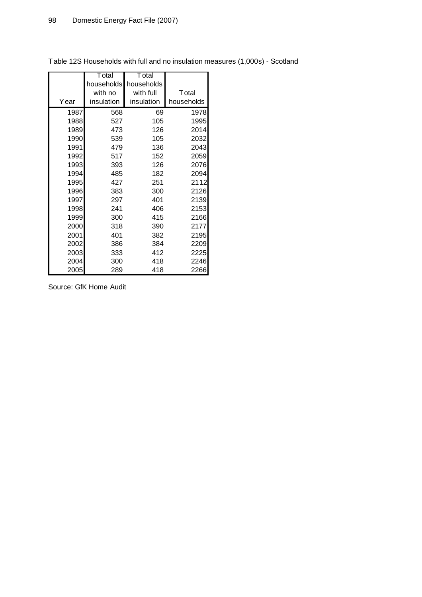|      | T otal     | T otal     |            |
|------|------------|------------|------------|
|      | households | households |            |
|      | with no    | with full  | Total      |
| Year | insulation | insulation | households |
| 1987 | 568        | 69         | 1978       |
| 1988 | 527        | 105        | 1995       |
| 1989 | 473        | 126        | 2014       |
| 1990 | 539        | 105        | 2032       |
| 1991 | 479        | 136        | 2043       |
| 1992 | 517        | 152        | 2059       |
| 1993 | 393        | 126        | 2076       |
| 1994 | 485        | 182        | 2094       |
| 1995 | 427        | 251        | 2112       |
| 1996 | 383        | 300        | 2126       |
| 1997 | 297        | 401        | 2139       |
| 1998 | 241        | 406        | 2153       |
| 1999 | 300        | 415        | 2166       |
| 2000 | 318        | 390        | 2177       |
| 2001 | 401        | 382        | 2195       |
| 2002 | 386        | 384        | 2209       |
| 2003 | 333        | 412        | 2225       |
| 2004 | 300        | 418        | 2246       |
| 2005 | 289        | 418        | 2266       |

Table 12S Households with full and no insulation measures (1,000s) - Scotland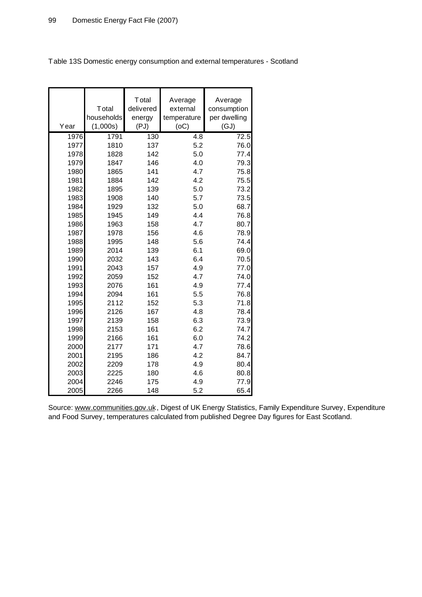| Year | Total<br>households<br>(1,000s) | Total<br>delivered<br>energy<br>(PJ) | Average<br>external<br>temperature<br>(OC) | Average<br>consumption<br>per dwelling<br>(GJ) |
|------|---------------------------------|--------------------------------------|--------------------------------------------|------------------------------------------------|
| 1976 | 1791                            | 130                                  | 4.8                                        | 72.5                                           |
| 1977 | 1810                            | 137                                  | 5.2                                        | 76.0                                           |
| 1978 | 1828                            | 142                                  | 5.0                                        | 77.4                                           |
| 1979 | 1847                            | 146                                  | 4.0                                        | 79.3                                           |
| 1980 | 1865                            | 141                                  | 4.7                                        | 75.8                                           |
| 1981 | 1884                            | 142                                  | 4.2                                        | 75.5                                           |
| 1982 | 1895                            | 139                                  | 5.0                                        | 73.2                                           |
| 1983 | 1908                            | 140                                  | 5.7                                        | 73.5                                           |
| 1984 | 1929                            | 132                                  | 5.0                                        | 68.7                                           |
| 1985 | 1945                            | 149                                  | 4.4                                        | 76.8                                           |
| 1986 | 1963                            | 158                                  | 4.7                                        | 80.7                                           |
| 1987 | 1978                            | 156                                  | 4.6                                        | 78.9                                           |
| 1988 | 1995                            | 148                                  | 5.6                                        | 74.4                                           |
| 1989 | 2014                            | 139                                  | 6.1                                        | 69.0                                           |
| 1990 | 2032                            | 143                                  | 6.4                                        | 70.5                                           |
| 1991 | 2043                            | 157                                  | 4.9                                        | 77.0                                           |
| 1992 | 2059                            | 152                                  | 4.7                                        | 74.0                                           |
| 1993 | 2076                            | 161                                  | 4.9                                        | 77.4                                           |
| 1994 | 2094                            | 161                                  | 5.5                                        | 76.8                                           |
| 1995 | 2112                            | 152                                  | 5.3                                        | 71.8                                           |
| 1996 | 2126                            | 167                                  | 4.8                                        | 78.4                                           |
| 1997 | 2139                            | 158                                  | 6.3                                        | 73.9                                           |
| 1998 | 2153                            | 161                                  | 6.2                                        | 74.7                                           |
| 1999 | 2166                            | 161                                  | 6.0                                        | 74.2                                           |
| 2000 | 2177                            | 171                                  | 4.7                                        | 78.6                                           |
| 2001 | 2195                            | 186                                  | 4.2                                        | 84.7                                           |
| 2002 | 2209                            | 178                                  | 4.9                                        | 80.4                                           |
| 2003 | 2225                            | 180                                  | 4.6                                        | 80.8                                           |
| 2004 | 2246                            | 175                                  | 4.9                                        | 77.9                                           |
| 2005 | 2266                            | 148                                  | 5.2                                        | 65.4                                           |

Table 13S Domestic energy consumption and external temperatures - Scotland

Source: [www.communities.gov.uk](http://www.communities.gov.uk), Digest of UK Energy Statistics, Family Expenditure Survey, Expenditure and Food Survey, temperatures calculated from published Degree Day figures for East Scotland.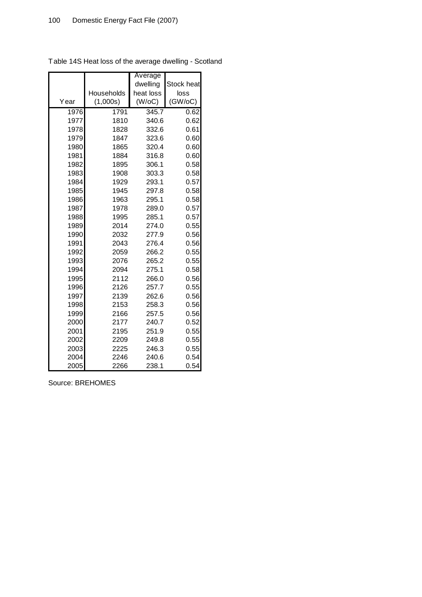|      |            | Average   |            |
|------|------------|-----------|------------|
|      |            | dwelling  | Stock heat |
|      | Households | heat loss | loss       |
| Year | (1,000s)   | (W/OC)    | (GW/OC)    |
| 1976 | 1791       | 345.7     | 0.62       |
| 1977 | 1810       | 340.6     | 0.62       |
| 1978 | 1828       | 332.6     | 0.61       |
| 1979 | 1847       | 323.6     | 0.60       |
| 1980 | 1865       | 320.4     | 0.60       |
| 1981 | 1884       | 316.8     | 0.60       |
| 1982 | 1895       | 306.1     | 0.58       |
| 1983 | 1908       | 303.3     | 0.58       |
| 1984 | 1929       | 293.1     | 0.57       |
| 1985 | 1945       | 297.8     | 0.58       |
| 1986 | 1963       | 295.1     | 0.58       |
| 1987 | 1978       | 289.0     | 0.57       |
| 1988 | 1995       | 285.1     | 0.57       |
| 1989 | 2014       | 274.0     | 0.55       |
| 1990 | 2032       | 277.9     | 0.56       |
| 1991 | 2043       | 276.4     | 0.56       |
| 1992 | 2059       | 266.2     | 0.55       |
| 1993 | 2076       | 265.2     | 0.55       |
| 1994 | 2094       | 275.1     | 0.58       |
| 1995 | 2112       | 266.0     | 0.56       |
| 1996 | 2126       | 257.7     | 0.55       |
| 1997 | 2139       | 262.6     | 0.56       |
| 1998 | 2153       | 258.3     | 0.56       |
| 1999 | 2166       | 257.5     | 0.56       |
| 2000 | 2177       | 240.7     | 0.52       |
| 2001 | 2195       | 251.9     | 0.55       |
| 2002 | 2209       | 249.8     | 0.55       |
| 2003 | 2225       | 246.3     | 0.55       |
| 2004 | 2246       | 240.6     | 0.54       |
| 2005 | 2266       | 238.1     | 0.54       |

Table 14S Heat loss of the average dwelling - Scotland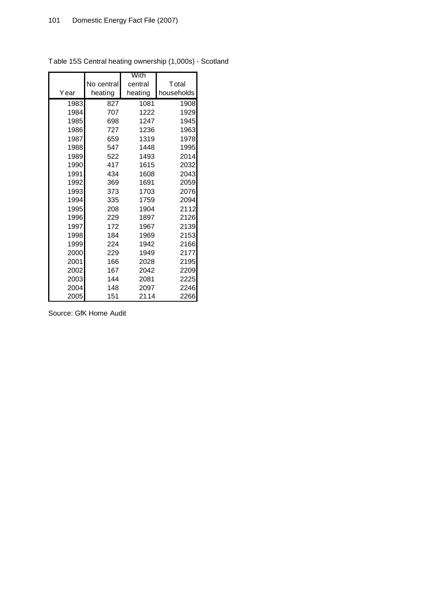|      |            | With    |               |
|------|------------|---------|---------------|
|      | No central | central | <b>T</b> otal |
| Year | heating    | heating | households    |
| 1983 | 827        | 1081    | 1908          |
| 1984 | 707        | 1222    | 1929          |
| 1985 | 698        | 1247    | 1945          |
| 1986 | 727        | 1236    | 1963          |
| 1987 | 659        | 1319    | 1978          |
| 1988 | 547        | 1448    | 1995          |
| 1989 | 522        | 1493    | 2014          |
| 1990 | 417        | 1615    | 2032          |
| 1991 | 434        | 1608    | 2043          |
| 1992 | 369        | 1691    | 2059          |
| 1993 | 373        | 1703    | 2076          |
| 1994 | 335        | 1759    | 2094          |
| 1995 | 208        | 1904    | 2112          |
| 1996 | 229        | 1897    | 2126          |
| 1997 | 172        | 1967    | 2139          |
| 1998 | 184        | 1969    | 2153          |
| 1999 | 224        | 1942    | 2166          |
| 2000 | 229        | 1949    | 2177          |
| 2001 | 166        | 2028    | 2195          |
| 2002 | 167        | 2042    | 2209          |
| 2003 | 144        | 2081    | 2225          |
| 2004 | 148        | 2097    | 2246          |
| 2005 | 151        | 2114    | 2266          |

Table 15S Central heating ownership (1,000s) - Scotland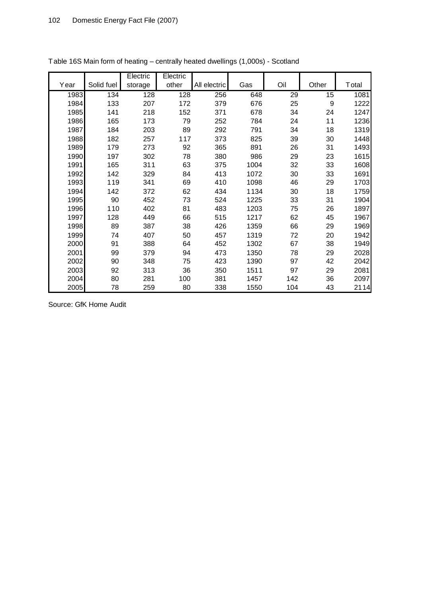|      |            | Electric | Electric |              |      |                 |                  |       |
|------|------------|----------|----------|--------------|------|-----------------|------------------|-------|
| Year | Solid fuel | storage  | other    | All electric | Gas  | Oil             | Other            | Total |
| 1983 | 134        | 128      | 128      | 256          | 648  | $\overline{29}$ | 15               | 1081  |
| 1984 | 133        | 207      | 172      | 379          | 676  | 25              | $\boldsymbol{9}$ | 1222  |
| 1985 | 141        | 218      | 152      | 371          | 678  | 34              | 24               | 1247  |
| 1986 | 165        | 173      | 79       | 252          | 784  | 24              | 11               | 1236  |
| 1987 | 184        | 203      | 89       | 292          | 791  | 34              | 18               | 1319  |
| 1988 | 182        | 257      | 117      | 373          | 825  | 39              | 30               | 1448  |
| 1989 | 179        | 273      | 92       | 365          | 891  | 26              | 31               | 1493  |
| 1990 | 197        | 302      | 78       | 380          | 986  | 29              | 23               | 1615  |
| 1991 | 165        | 311      | 63       | 375          | 1004 | 32              | 33               | 1608  |
| 1992 | 142        | 329      | 84       | 413          | 1072 | 30              | 33               | 1691  |
| 1993 | 119        | 341      | 69       | 410          | 1098 | 46              | 29               | 1703  |
| 1994 | 142        | 372      | 62       | 434          | 1134 | 30              | 18               | 1759  |
| 1995 | 90         | 452      | 73       | 524          | 1225 | 33              | 31               | 1904  |
| 1996 | 110        | 402      | 81       | 483          | 1203 | 75              | 26               | 1897  |
| 1997 | 128        | 449      | 66       | 515          | 1217 | 62              | 45               | 1967  |
| 1998 | 89         | 387      | 38       | 426          | 1359 | 66              | 29               | 1969  |
| 1999 | 74         | 407      | 50       | 457          | 1319 | 72              | 20               | 1942  |
| 2000 | 91         | 388      | 64       | 452          | 1302 | 67              | 38               | 1949  |
| 2001 | 99         | 379      | 94       | 473          | 1350 | 78              | 29               | 2028  |
| 2002 | 90         | 348      | 75       | 423          | 1390 | 97              | 42               | 2042  |
| 2003 | 92         | 313      | 36       | 350          | 1511 | 97              | 29               | 2081  |
| 2004 | 80         | 281      | 100      | 381          | 1457 | 142             | 36               | 2097  |
| 2005 | 78         | 259      | 80       | 338          | 1550 | 104             | 43               | 2114  |

Table 16S Main form of heating – centrally heated dwellings (1,000s) - Scotland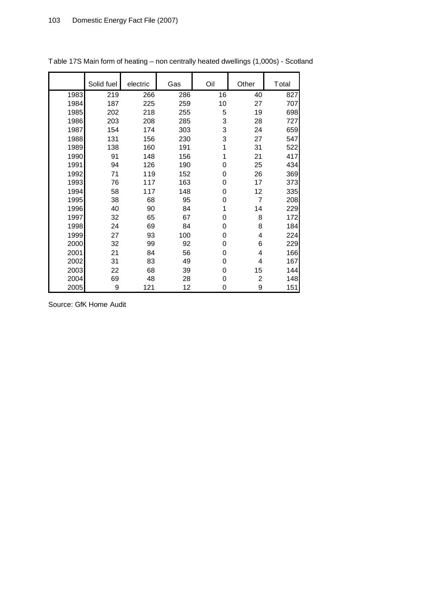|      | Solid fuel | electric | Gas | Oil | Other          | Total |
|------|------------|----------|-----|-----|----------------|-------|
| 1983 | 219        | 266      | 286 | 16  | 40             | 827   |
| 1984 | 187        | 225      | 259 | 10  | 27             | 707   |
| 1985 | 202        | 218      | 255 | 5   | 19             | 698   |
| 1986 | 203        | 208      | 285 | 3   | 28             | 727   |
| 1987 | 154        | 174      | 303 | 3   | 24             | 659   |
| 1988 | 131        | 156      | 230 | 3   | 27             | 547   |
| 1989 | 138        | 160      | 191 | 1   | 31             | 522   |
| 1990 | 91         | 148      | 156 | 1   | 21             | 417   |
| 1991 | 94         | 126      | 190 | 0   | 25             | 434   |
| 1992 | 71         | 119      | 152 | 0   | 26             | 369   |
| 1993 | 76         | 117      | 163 | 0   | 17             | 373   |
| 1994 | 58         | 117      | 148 | 0   | 12             | 335   |
| 1995 | 38         | 68       | 95  | 0   | 7              | 208   |
| 1996 | 40         | 90       | 84  | 1   | 14             | 229   |
| 1997 | 32         | 65       | 67  | 0   | 8              | 172   |
| 1998 | 24         | 69       | 84  | 0   | 8              | 184   |
| 1999 | 27         | 93       | 100 | 0   | 4              | 224   |
| 2000 | 32         | 99       | 92  | 0   | 6              | 229   |
| 2001 | 21         | 84       | 56  | 0   | 4              | 166   |
| 2002 | 31         | 83       | 49  | 0   | 4              | 167   |
| 2003 | 22         | 68       | 39  | 0   | 15             | 144   |
| 2004 | 69         | 48       | 28  | 0   | $\overline{c}$ | 148   |
| 2005 | 9          | 121      | 12  | 0   | 9              | 151   |

Table 17S Main form of heating – non centrally heated dwellings (1,000s) - Scotland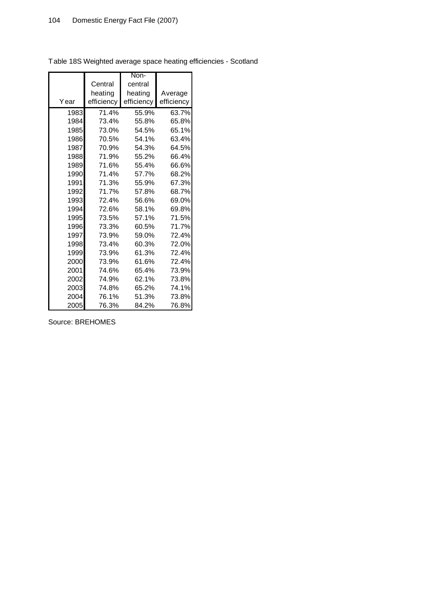|      |            | Non-       |            |
|------|------------|------------|------------|
|      | Central    | central    |            |
|      | heating    | heating    | Average    |
| Year | efficiency | efficiency | efficiency |
| 1983 | 71.4%      | 55.9%      | 63.7%      |
| 1984 | 73.4%      | 55.8%      | 65.8%      |
| 1985 | 73.0%      | 54.5%      | 65.1%      |
| 1986 | 70.5%      | 54.1%      | 63.4%      |
| 1987 | 70.9%      | 54.3%      | 64.5%      |
| 1988 | 71.9%      | 55.2%      | 66.4%      |
| 1989 | 71.6%      | 55.4%      | 66.6%      |
| 1990 | 71.4%      | 57.7%      | 68.2%      |
| 1991 | 71.3%      | 55.9%      | 67.3%      |
| 1992 | 71.7%      | 57.8%      | 68.7%      |
| 1993 | 72.4%      | 56.6%      | 69.0%      |
| 1994 | 72.6%      | 58.1%      | 69.8%      |
| 1995 | 73.5%      | 57.1%      | 71.5%      |
| 1996 | 73.3%      | 60.5%      | 71.7%      |
| 1997 | 73.9%      | 59.0%      | 72.4%      |
| 1998 | 73.4%      | 60.3%      | 72.0%      |
| 1999 | 73.9%      | 61.3%      | 72.4%      |
| 2000 | 73.9%      | 61.6%      | 72.4%      |
| 2001 | 74.6%      | 65.4%      | 73.9%      |
| 2002 | 74.9%      | 62.1%      | 73.8%      |
| 2003 | 74.8%      | 65.2%      | 74.1%      |
| 2004 | 76.1%      | 51.3%      | 73.8%      |
| 2005 | 76.3%      | 84.2%      | 76.8%      |

Table 18S Weighted average space heating efficiencies - Scotland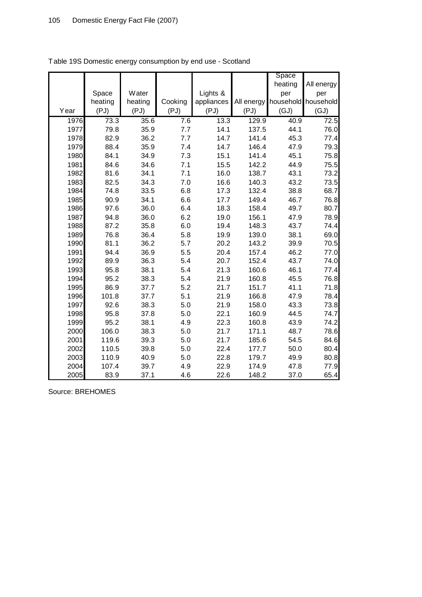|      |         |         |         |            |            | Space     |            |
|------|---------|---------|---------|------------|------------|-----------|------------|
|      |         |         |         |            |            | heating   | All energy |
|      | Space   | Water   |         | Lights &   |            | per       | per        |
|      | heating | heating | Cooking | appliances | All energy | household | household  |
| Year | (PJ)    | (PJ)    | (PJ)    | (PJ)       | (PJ)       | (GJ)      | (GJ)       |
| 1976 | 73.3    | 35.6    | 7.6     | 13.3       | 129.9      | 40.9      | 72.5       |
| 1977 | 79.8    | 35.9    | 7.7     | 14.1       | 137.5      | 44.1      | 76.0       |
| 1978 | 82.9    | 36.2    | 7.7     | 14.7       | 141.4      | 45.3      | 77.4       |
| 1979 | 88.4    | 35.9    | 7.4     | 14.7       | 146.4      | 47.9      | 79.3       |
| 1980 | 84.1    | 34.9    | 7.3     | 15.1       | 141.4      | 45.1      | 75.8       |
| 1981 | 84.6    | 34.6    | 7.1     | 15.5       | 142.2      | 44.9      | 75.5       |
| 1982 | 81.6    | 34.1    | 7.1     | 16.0       | 138.7      | 43.1      | 73.2       |
| 1983 | 82.5    | 34.3    | 7.0     | 16.6       | 140.3      | 43.2      | 73.5       |
| 1984 | 74.8    | 33.5    | 6.8     | 17.3       | 132.4      | 38.8      | 68.7       |
| 1985 | 90.9    | 34.1    | 6.6     | 17.7       | 149.4      | 46.7      | 76.8       |
| 1986 | 97.6    | 36.0    | 6.4     | 18.3       | 158.4      | 49.7      | 80.7       |
| 1987 | 94.8    | 36.0    | 6.2     | 19.0       | 156.1      | 47.9      | 78.9       |
| 1988 | 87.2    | 35.8    | 6.0     | 19.4       | 148.3      | 43.7      | 74.4       |
| 1989 | 76.8    | 36.4    | 5.8     | 19.9       | 139.0      | 38.1      | 69.0       |
| 1990 | 81.1    | 36.2    | 5.7     | 20.2       | 143.2      | 39.9      | 70.5       |
| 1991 | 94.4    | 36.9    | 5.5     | 20.4       | 157.4      | 46.2      | 77.0       |
| 1992 | 89.9    | 36.3    | 5.4     | 20.7       | 152.4      | 43.7      | 74.0       |
| 1993 | 95.8    | 38.1    | 5.4     | 21.3       | 160.6      | 46.1      | 77.4       |
| 1994 | 95.2    | 38.3    | 5.4     | 21.9       | 160.8      | 45.5      | 76.8       |
| 1995 | 86.9    | 37.7    | 5.2     | 21.7       | 151.7      | 41.1      | 71.8       |
| 1996 | 101.8   | 37.7    | 5.1     | 21.9       | 166.8      | 47.9      | 78.4       |
| 1997 | 92.6    | 38.3    | 5.0     | 21.9       | 158.0      | 43.3      | 73.8       |
| 1998 | 95.8    | 37.8    | 5.0     | 22.1       | 160.9      | 44.5      | 74.7       |
| 1999 | 95.2    | 38.1    | 4.9     | 22.3       | 160.8      | 43.9      | 74.2       |
| 2000 | 106.0   | 38.3    | 5.0     | 21.7       | 171.1      | 48.7      | 78.6       |
| 2001 | 119.6   | 39.3    | 5.0     | 21.7       | 185.6      | 54.5      | 84.6       |
| 2002 | 110.5   | 39.8    | 5.0     | 22.4       | 177.7      | 50.0      | 80.4       |
| 2003 | 110.9   | 40.9    | 5.0     | 22.8       | 179.7      | 49.9      | 80.8       |
| 2004 | 107.4   | 39.7    | 4.9     | 22.9       | 174.9      | 47.8      | 77.9       |
| 2005 | 83.9    | 37.1    | 4.6     | 22.6       | 148.2      | 37.0      | 65.4       |

Table 19S Domestic energy consumption by end use - Scotland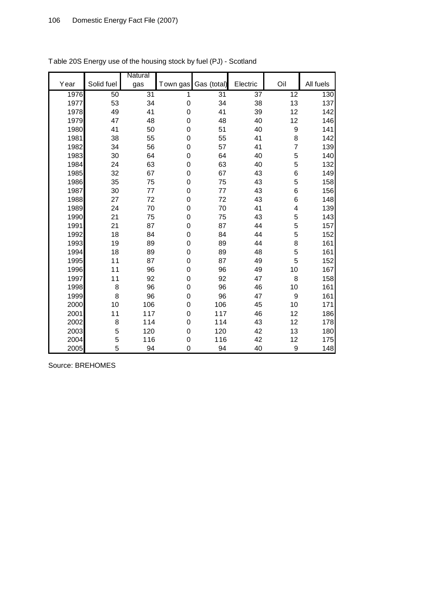|      |            | Natural         |                  |                 |                 |                  |           |
|------|------------|-----------------|------------------|-----------------|-----------------|------------------|-----------|
| Year | Solid fuel | gas             | Town gas         | Gas (total)     | Electric        | Oil              | All fuels |
| 1976 | 50         | $\overline{31}$ | 1                | $\overline{31}$ | $\overline{37}$ | 12               | 130       |
| 1977 | 53         | 34              | $\mathbf 0$      | 34              | 38              | 13               | 137       |
| 1978 | 49         | 41              | $\mathbf 0$      | 41              | 39              | 12               | 142       |
| 1979 | 47         | 48              | $\boldsymbol{0}$ | 48              | 40              | 12               | 146       |
| 1980 | 41         | 50              | $\mathbf 0$      | 51              | 40              | $\boldsymbol{9}$ | 141       |
| 1981 | 38         | 55              | 0                | 55              | 41              | 8                | 142       |
| 1982 | 34         | 56              | $\boldsymbol{0}$ | 57              | 41              | 7                | 139       |
| 1983 | 30         | 64              | $\boldsymbol{0}$ | 64              | 40              | 5                | 140       |
| 1984 | 24         | 63              | 0                | 63              | 40              | 5                | 132       |
| 1985 | 32         | 67              | $\mathbf 0$      | 67              | 43              | 6                | 149       |
| 1986 | 35         | 75              | 0                | 75              | 43              | 5                | 158       |
| 1987 | 30         | 77              | $\boldsymbol{0}$ | 77              | 43              | 6                | 156       |
| 1988 | 27         | 72              | $\mathbf 0$      | 72              | 43              | 6                | 148       |
| 1989 | 24         | 70              | 0                | 70              | 41              | 4                | 139       |
| 1990 | 21         | 75              | $\mathbf 0$      | 75              | 43              | 5                | 143       |
| 1991 | 21         | 87              | $\mathbf 0$      | 87              | 44              | 5                | 157       |
| 1992 | 18         | 84              | $\boldsymbol{0}$ | 84              | 44              | 5                | 152       |
| 1993 | 19         | 89              | $\boldsymbol{0}$ | 89              | 44              | 8                | 161       |
| 1994 | 18         | 89              | $\mathbf 0$      | 89              | 48              | 5                | 161       |
| 1995 | 11         | 87              | $\mathbf 0$      | 87              | 49              | 5                | 152       |
| 1996 | 11         | 96              | $\boldsymbol{0}$ | 96              | 49              | 10               | 167       |
| 1997 | 11         | 92              | $\boldsymbol{0}$ | 92              | 47              | 8                | 158       |
| 1998 | 8          | 96              | $\mathbf 0$      | 96              | 46              | 10               | 161       |
| 1999 | 8          | 96              | 0                | 96              | 47              | $\boldsymbol{9}$ | 161       |
| 2000 | 10         | 106             | $\mathbf 0$      | 106             | 45              | 10               | 171       |
| 2001 | 11         | 117             | $\boldsymbol{0}$ | 117             | 46              | 12               | 186       |
| 2002 | 8          | 114             | 0                | 114             | 43              | 12               | 178       |
| 2003 | 5          | 120             | $\mathbf 0$      | 120             | 42              | 13               | 180       |
| 2004 | 5          | 116             | 0                | 116             | 42              | 12               | 175       |
| 2005 | 5          | 94              | 0                | 94              | 40              | 9                | 148       |

Table 20S Energy use of the housing stock by fuel (PJ) - Scotland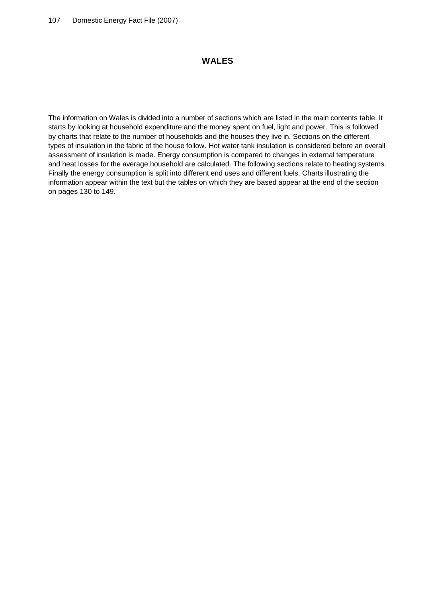## **WALES**

The information on Wales is divided into a number of sections which are listed in the main contents table. It starts by looking at household expenditure and the money spent on fuel, light and power. This is followed by charts that relate to the number of households and the houses they live in. Sections on the different types of insulation in the fabric of the house follow. Hot water tank insulation is considered before an overall assessment of insulation is made. Energy consumption is compared to changes in external temperature and heat losses for the average household are calculated. The following sections relate to heating systems. Finally the energy consumption is split into different end uses and different fuels. Charts illustrating the information appear within the text but the tables on which they are based appear at the end of the section on pages 130 to 149.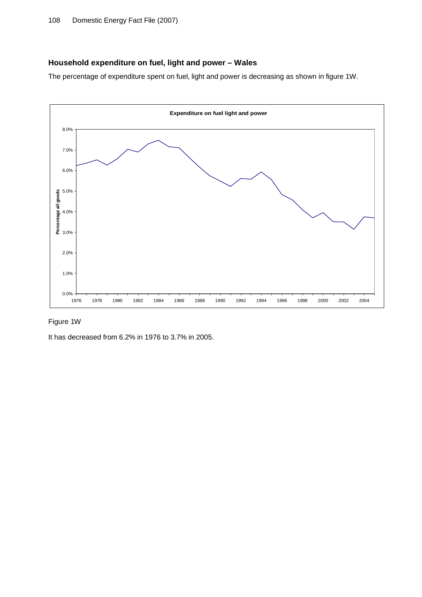# **Household expenditure on fuel, light and power – Wales**

The percentage of expenditure spent on fuel, light and power is decreasing as shown in figure 1W.



## Figure 1W

It has decreased from 6.2% in 1976 to 3.7% in 2005.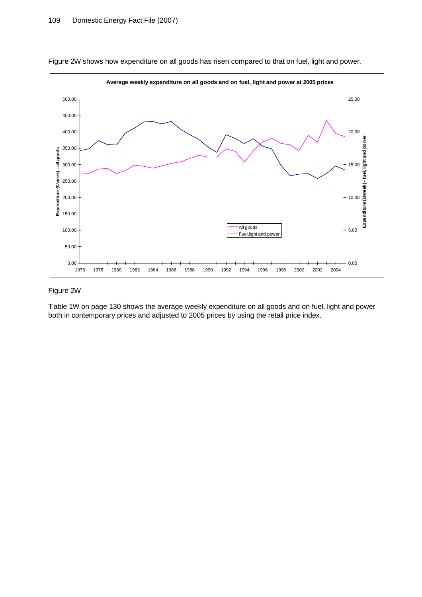

Figure 2W shows how expenditure on all goods has risen compared to that on fuel, light and power.

#### Figure 2W

Table 1W on page 130 shows the average weekly expenditure on all goods and on fuel, light and power both in contemporary prices and adjusted to 2005 prices by using the retail price index.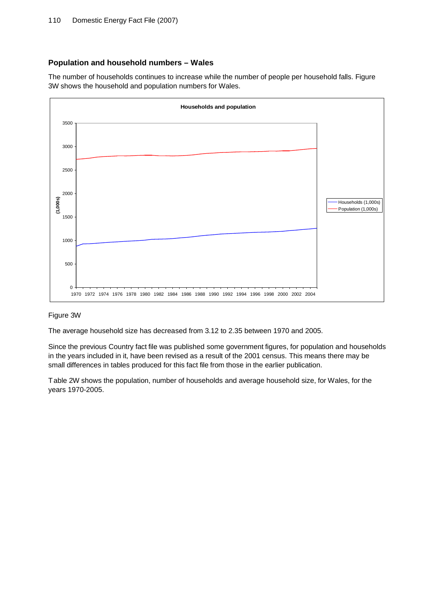# **Population and household numbers – Wales**

The number of households continues to increase while the number of people per household falls. Figure 3W shows the household and population numbers for Wales.



# Figure 3W

The average household size has decreased from 3.12 to 2.35 between 1970 and 2005.

Since the previous Country fact file was published some government figures, for population and households in the years included in it, have been revised as a result of the 2001 census. This means there may be small differences in tables produced for this fact file from those in the earlier publication.

Table 2W shows the population, number of households and average household size, for Wales, for the years 1970-2005.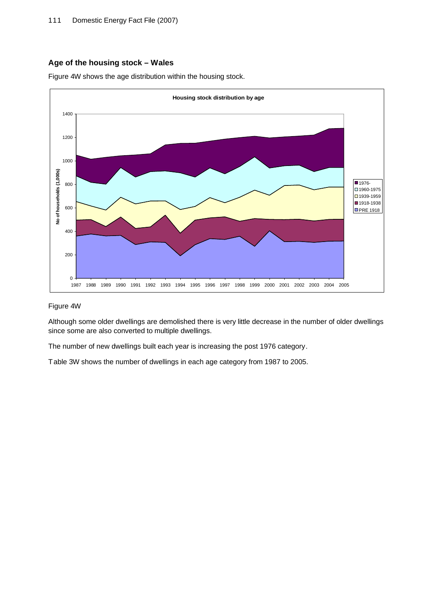# **Age of the housing stock – Wales**

Figure 4W shows the age distribution within the housing stock.



#### Figure 4W

Although some older dwellings are demolished there is very little decrease in the number of older dwellings since some are also converted to multiple dwellings.

The number of new dwellings built each year is increasing the post 1976 category.

Table 3W shows the number of dwellings in each age category from 1987 to 2005.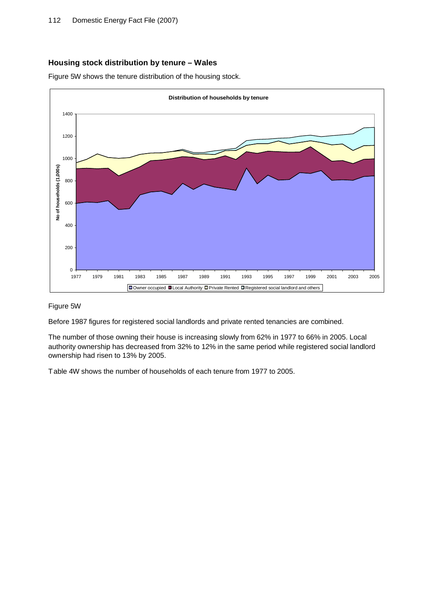# **Housing stock distribution by tenure – Wales**

Figure 5W shows the tenure distribution of the housing stock.



#### Figure 5W

Before 1987 figures for registered social landlords and private rented tenancies are combined.

The number of those owning their house is increasing slowly from 62% in 1977 to 66% in 2005. Local authority ownership has decreased from 32% to 12% in the same period while registered social landlord ownership had risen to 13% by 2005.

Table 4W shows the number of households of each tenure from 1977 to 2005.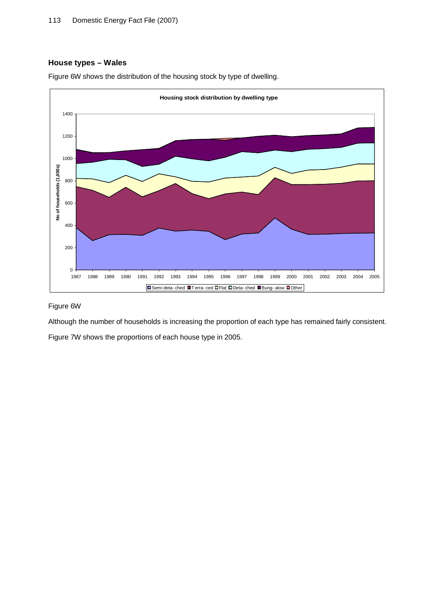# **House types – Wales**



Figure 6W shows the distribution of the housing stock by type of dwelling.

# Figure 6W

Although the number of households is increasing the proportion of each type has remained fairly consistent. Figure 7W shows the proportions of each house type in 2005.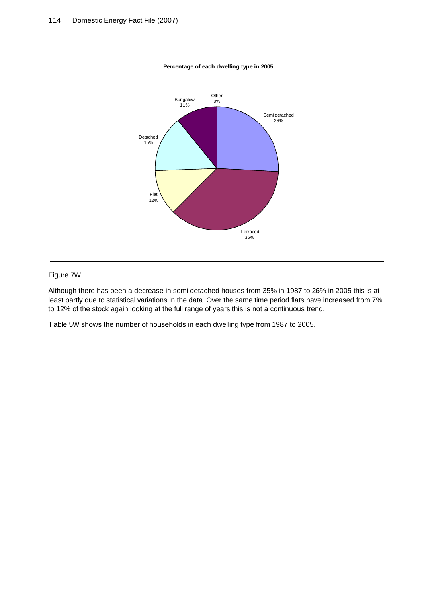

# Figure 7W

Although there has been a decrease in semi detached houses from 35% in 1987 to 26% in 2005 this is at least partly due to statistical variations in the data. Over the same time period flats have increased from 7% to 12% of the stock again looking at the full range of years this is not a continuous trend.

Table 5W shows the number of households in each dwelling type from 1987 to 2005.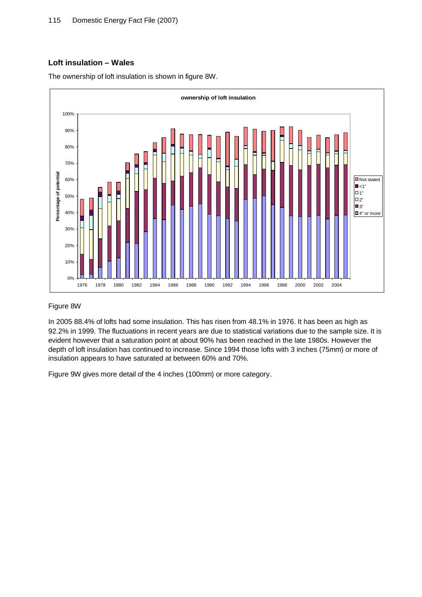# **Loft insulation – Wales**

The ownership of loft insulation is shown in figure 8W.



#### Figure 8W

In 2005 88.4% of lofts had some insulation. This has risen from 48.1% in 1976. It has been as high as 92.2% in 1999. The fluctuations in recent years are due to statistical variations due to the sample size. It is evident however that a saturation point at about 90% has been reached in the late 1980s. However the depth of loft insulation has continued to increase. Since 1994 those lofts with 3 inches (75mm) or more of insulation appears to have saturated at between 60% and 70%.

Figure 9W gives more detail of the 4 inches (100mm) or more category.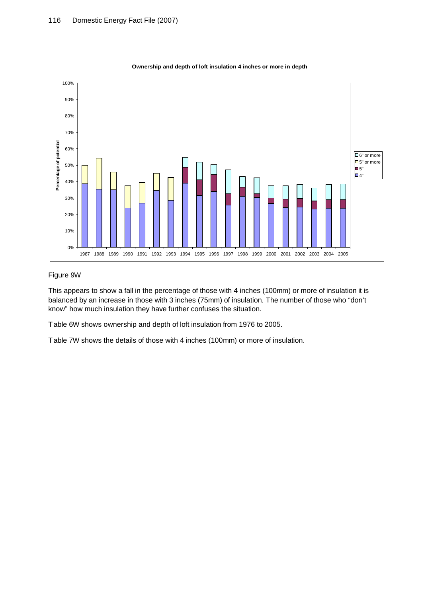

## Figure 9W

This appears to show a fall in the percentage of those with 4 inches (100mm) or more of insulation it is balanced by an increase in those with 3 inches (75mm) of insulation. The number of those who "don't know" how much insulation they have further confuses the situation.

Table 6W shows ownership and depth of loft insulation from 1976 to 2005.

Table 7W shows the details of those with 4 inches (100mm) or more of insulation.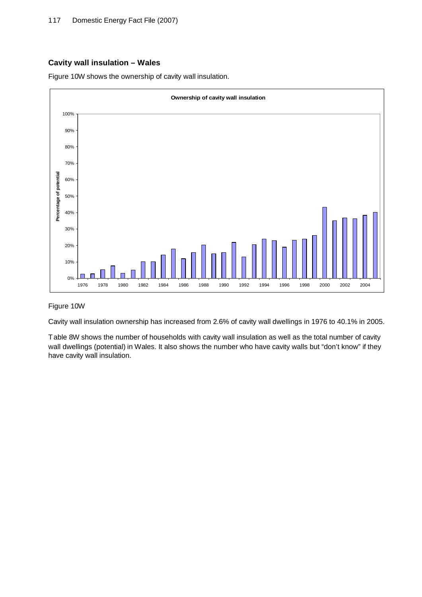## **Cavity wall insulation – Wales**

Figure 10W shows the ownership of cavity wall insulation.



#### Figure 10W

Cavity wall insulation ownership has increased from 2.6% of cavity wall dwellings in 1976 to 40.1% in 2005.

Table 8W shows the number of households with cavity wall insulation as well as the total number of cavity wall dwellings (potential) in Wales. It also shows the number who have cavity walls but "don't know" if they have cavity wall insulation.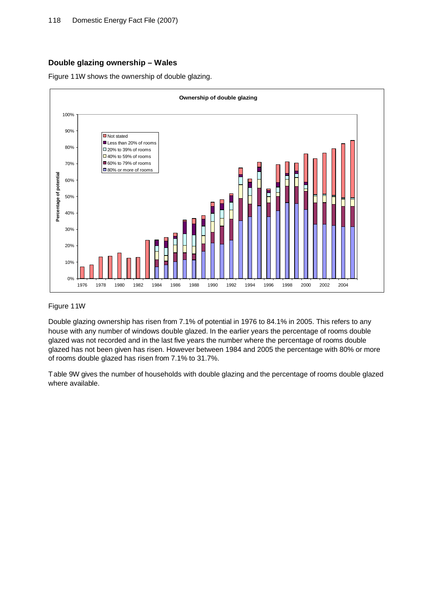# **Double glazing ownership – Wales**

Figure 11W shows the ownership of double glazing.



#### Figure 11W

Double glazing ownership has risen from 7.1% of potential in 1976 to 84.1% in 2005. This refers to any house with any number of windows double glazed. In the earlier years the percentage of rooms double glazed was not recorded and in the last five years the number where the percentage of rooms double glazed has not been given has risen. However between 1984 and 2005 the percentage with 80% or more of rooms double glazed has risen from 7.1% to 31.7%.

Table 9W gives the number of households with double glazing and the percentage of rooms double glazed where available.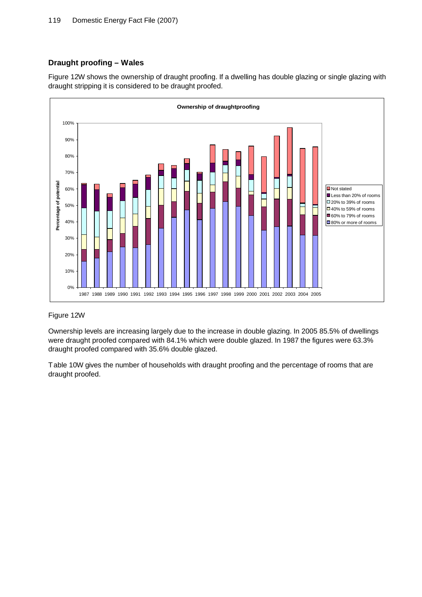# **Draught proofing – Wales**

Figure 12W shows the ownership of draught proofing. If a dwelling has double glazing or single glazing with draught stripping it is considered to be draught proofed.



# Figure 12W

Ownership levels are increasing largely due to the increase in double glazing. In 2005 85.5% of dwellings were draught proofed compared with 84.1% which were double glazed. In 1987 the figures were 63.3% draught proofed compared with 35.6% double glazed.

Table 10W gives the number of households with draught proofing and the percentage of rooms that are draught proofed.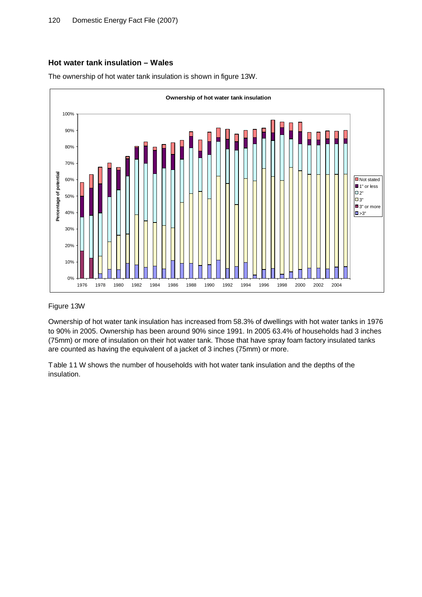## **Hot water tank insulation – Wales**





#### Figure 13W

Ownership of hot water tank insulation has increased from 58.3% of dwellings with hot water tanks in 1976 to 90% in 2005. Ownership has been around 90% since 1991. In 2005 63.4% of households had 3 inches (75mm) or more of insulation on their hot water tank. Those that have spray foam factory insulated tanks are counted as having the equivalent of a jacket of 3 inches (75mm) or more.

Table 11 W shows the number of households with hot water tank insulation and the depths of the insulation.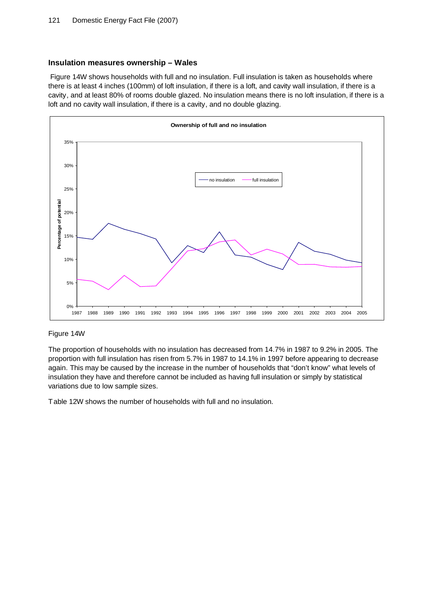#### **Insulation measures ownership – Wales**

Figure 14W shows households with full and no insulation. Full insulation is taken as households where there is at least 4 inches (100mm) of loft insulation, if there is a loft, and cavity wall insulation, if there is a cavity, and at least 80% of rooms double glazed. No insulation means there is no loft insulation, if there is a loft and no cavity wall insulation, if there is a cavity, and no double glazing.



#### Figure 14W

The proportion of households with no insulation has decreased from 14.7% in 1987 to 9.2% in 2005. The proportion with full insulation has risen from 5.7% in 1987 to 14.1% in 1997 before appearing to decrease again. This may be caused by the increase in the number of households that "don't know" what levels of insulation they have and therefore cannot be included as having full insulation or simply by statistical variations due to low sample sizes.

Table 12W shows the number of households with full and no insulation.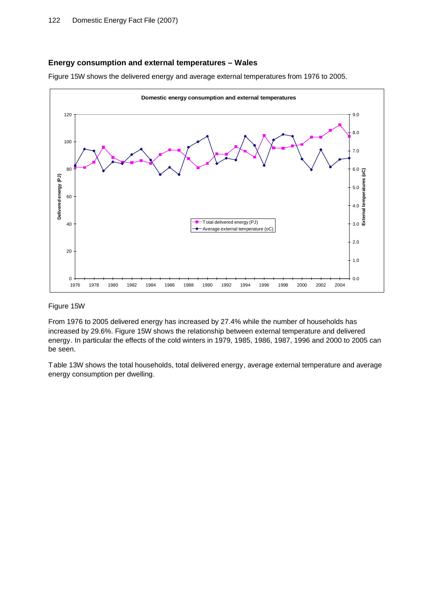## **Energy consumption and external temperatures – Wales**

Figure 15W shows the delivered energy and average external temperatures from 1976 to 2005.



#### Figure 15W

From 1976 to 2005 delivered energy has increased by 27.4% while the number of households has increased by 29.6%. Figure 15W shows the relationship between external temperature and delivered energy. In particular the effects of the cold winters in 1979, 1985, 1986, 1987, 1996 and 2000 to 2005 can be seen.

Table 13W shows the total households, total delivered energy, average external temperature and average energy consumption per dwelling.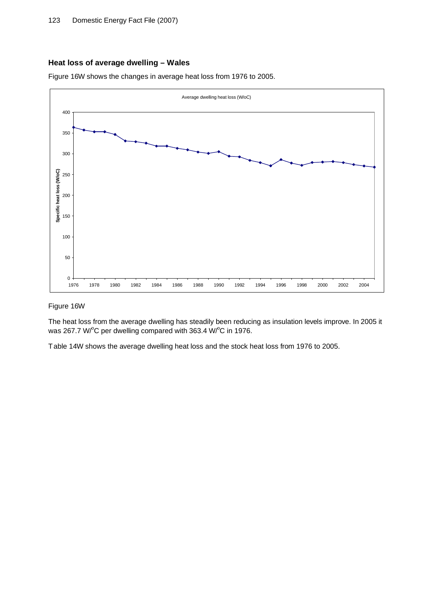# **Heat loss of average dwelling – Wales**

Figure 16W shows the changes in average heat loss from 1976 to 2005.



#### Figure 16W

The heat loss from the average dwelling has steadily been reducing as insulation levels improve. In 2005 it was 267.7 W/°C per dwelling compared with 363.4 W/°C in 1976.

Table 14W shows the average dwelling heat loss and the stock heat loss from 1976 to 2005.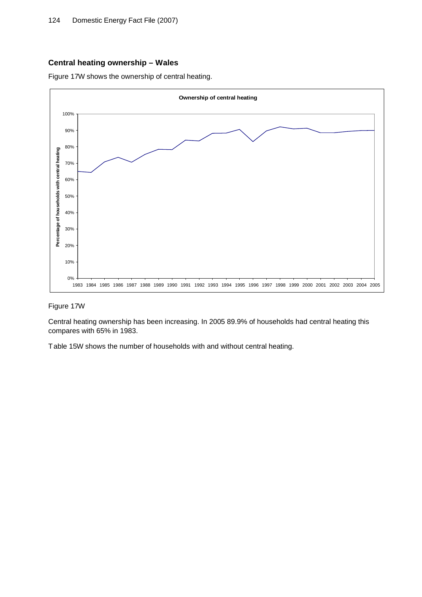## **Central heating ownership – Wales**

Figure 17W shows the ownership of central heating.



## Figure 17W

Central heating ownership has been increasing. In 2005 89.9% of households had central heating this compares with 65% in 1983.

Table 15W shows the number of households with and without central heating.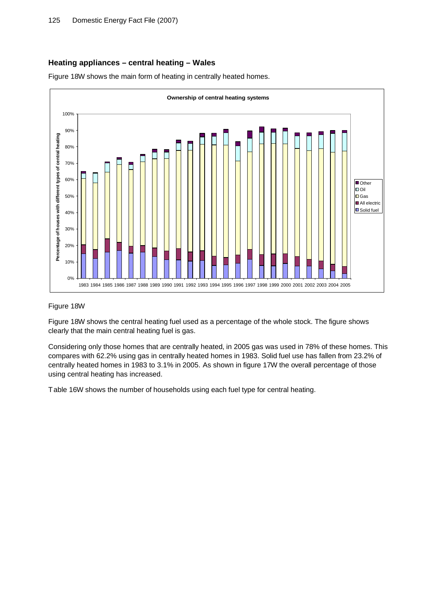# **Heating appliances – central heating – Wales**

Figure 18W shows the main form of heating in centrally heated homes.



#### Figure 18W

Figure 18W shows the central heating fuel used as a percentage of the whole stock. The figure shows clearly that the main central heating fuel is gas.

Considering only those homes that are centrally heated, in 2005 gas was used in 78% of these homes. This compares with 62.2% using gas in centrally heated homes in 1983. Solid fuel use has fallen from 23.2% of centrally heated homes in 1983 to 3.1% in 2005. As shown in figure 17W the overall percentage of those using central heating has increased.

Table 16W shows the number of households using each fuel type for central heating.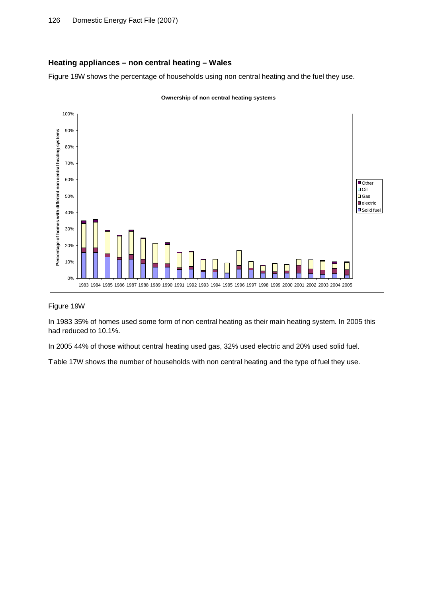## **Heating appliances – non central heating – Wales**

Figure 19W shows the percentage of households using non central heating and the fuel they use.



#### Figure 19W

In 1983 35% of homes used some form of non central heating as their main heating system. In 2005 this had reduced to 10.1%.

In 2005 44% of those without central heating used gas, 32% used electric and 20% used solid fuel.

Table 17W shows the number of households with non central heating and the type of fuel they use.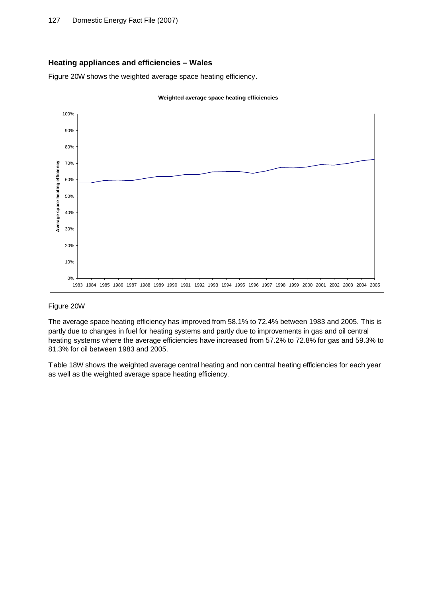## **Heating appliances and efficiencies – Wales**

Figure 20W shows the weighted average space heating efficiency.



#### Figure 20W

The average space heating efficiency has improved from 58.1% to 72.4% between 1983 and 2005. This is partly due to changes in fuel for heating systems and partly due to improvements in gas and oil central heating systems where the average efficiencies have increased from 57.2% to 72.8% for gas and 59.3% to 81.3% for oil between 1983 and 2005.

Table 18W shows the weighted average central heating and non central heating efficiencies for each year as well as the weighted average space heating efficiency.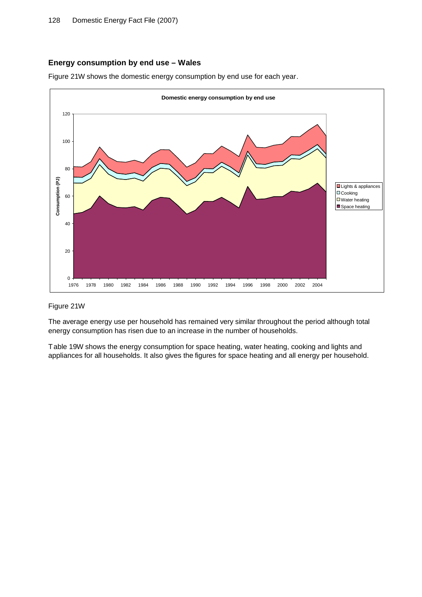## **Energy consumption by end use – Wales**

Figure 21W shows the domestic energy consumption by end use for each year.



#### Figure 21W

The average energy use per household has remained very similar throughout the period although total energy consumption has risen due to an increase in the number of households.

Table 19W shows the energy consumption for space heating, water heating, cooking and lights and appliances for all households. It also gives the figures for space heating and all energy per household.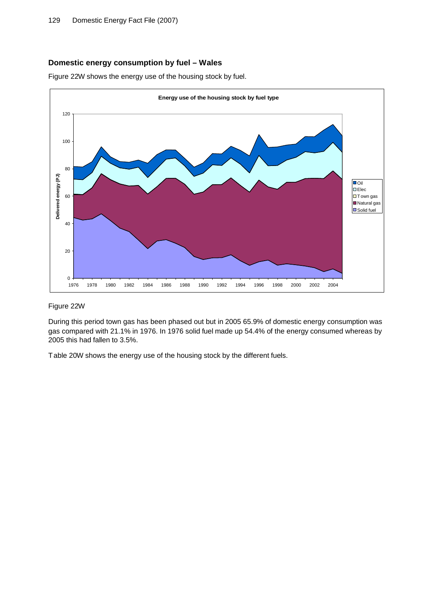## **Domestic energy consumption by fuel – Wales**

Figure 22W shows the energy use of the housing stock by fuel.



#### Figure 22W

During this period town gas has been phased out but in 2005 65.9% of domestic energy consumption was gas compared with 21.1% in 1976. In 1976 solid fuel made up 54.4% of the energy consumed whereas by 2005 this had fallen to 3.5%.

Table 20W shows the energy use of the housing stock by the different fuels.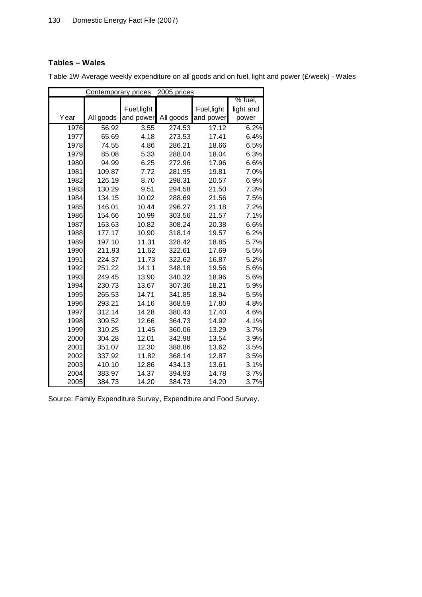# **Tables – Wales**

|      | <b>Contemporary prices</b> |             | 2005 prices |             |           |
|------|----------------------------|-------------|-------------|-------------|-----------|
|      |                            |             |             |             | % fuel,   |
|      |                            | Fuel, light |             | Fuel, light | light and |
| Year | All goods                  | and power   | All goods   | and power   | power     |
| 1976 | 56.92                      | 3.55        | 274.53      | 17.12       | 6.2%      |
| 1977 | 65.69                      | 4.18        | 273.53      | 17.41       | 6.4%      |
| 1978 | 74.55                      | 4.86        | 286.21      | 18.66       | 6.5%      |
| 1979 | 85.08                      | 5.33        | 288.04      | 18.04       | 6.3%      |
| 1980 | 94.99                      | 6.25        | 272.96      | 17.96       | 6.6%      |
| 1981 | 109.87                     | 7.72        | 281.95      | 19.81       | 7.0%      |
| 1982 | 126.19                     | 8.70        | 298.31      | 20.57       | 6.9%      |
| 1983 | 130.29                     | 9.51        | 294.58      | 21.50       | 7.3%      |
| 1984 | 134.15                     | 10.02       | 288.69      | 21.56       | 7.5%      |
| 1985 | 146.01                     | 10.44       | 296.27      | 21.18       | 7.2%      |
| 1986 | 154.66                     | 10.99       | 303.56      | 21.57       | 7.1%      |
| 1987 | 163.63                     | 10.82       | 308.24      | 20.38       | 6.6%      |
| 1988 | 177.17                     | 10.90       | 318.14      | 19.57       | 6.2%      |
| 1989 | 197.10                     | 11.31       | 328.42      | 18.85       | 5.7%      |
| 1990 | 211.93                     | 11.62       | 322.61      | 17.69       | 5.5%      |
| 1991 | 224.37                     | 11.73       | 322.62      | 16.87       | 5.2%      |
| 1992 | 251.22                     | 14.11       | 348.18      | 19.56       | 5.6%      |
| 1993 | 249.45                     | 13.90       | 340.32      | 18.96       | 5.6%      |
| 1994 | 230.73                     | 13.67       | 307.36      | 18.21       | 5.9%      |
| 1995 | 265.53                     | 14.71       | 341.85      | 18.94       | 5.5%      |
| 1996 | 293.21                     | 14.16       | 368.59      | 17.80       | 4.8%      |
| 1997 | 312.14                     | 14.28       | 380.43      | 17.40       | 4.6%      |
| 1998 | 309.52                     | 12.66       | 364.73      | 14.92       | 4.1%      |
| 1999 | 310.25                     | 11.45       | 360.06      | 13.29       | 3.7%      |
| 2000 | 304.28                     | 12.01       | 342.98      | 13.54       | 3.9%      |
| 2001 | 351.07                     | 12.30       | 388.86      | 13.62       | 3.5%      |
| 2002 | 337.92                     | 11.82       | 368.14      | 12.87       | 3.5%      |
| 2003 | 410.10                     | 12.86       | 434.13      | 13.61       | 3.1%      |
| 2004 | 383.97                     | 14.37       | 394.93      | 14.78       | 3.7%      |
| 2005 | 384.73                     | 14.20       | 384.73      | 14.20       | 3.7%      |

Table 1W Average weekly expenditure on all goods and on fuel, light and power (£/week) - Wales

Source: Family Expenditure Survey, Expenditure and Food Survey.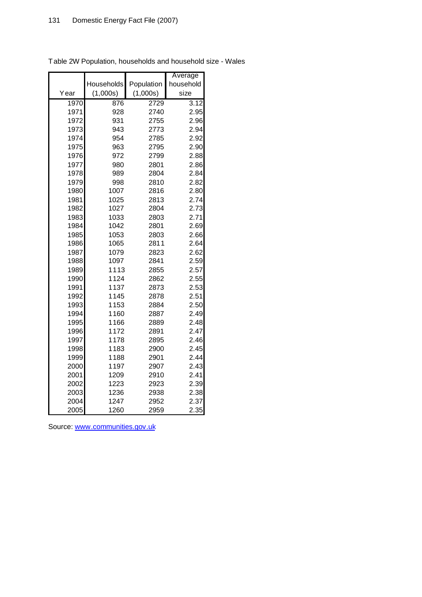|      |            |            | Average   |
|------|------------|------------|-----------|
|      | Households | Population | household |
| Year | (1,000s)   | (1,000s)   | size      |
| 1970 | 876        | 2729       | 3.12      |
| 1971 | 928        | 2740       | 2.95      |
| 1972 | 931        | 2755       | 2.96      |
| 1973 | 943        | 2773       | 2.94      |
| 1974 | 954        | 2785       | 2.92      |
| 1975 | 963        | 2795       | 2.90      |
| 1976 | 972        | 2799       | 2.88      |
| 1977 | 980        | 2801       | 2.86      |
| 1978 | 989        | 2804       | 2.84      |
| 1979 | 998        | 2810       | 2.82      |
| 1980 | 1007       | 2816       | 2.80      |
| 1981 | 1025       | 2813       | 2.74      |
| 1982 | 1027       | 2804       | 2.73      |
| 1983 | 1033       | 2803       | 2.71      |
| 1984 | 1042       | 2801       | 2.69      |
| 1985 | 1053       | 2803       | 2.66      |
| 1986 | 1065       | 2811       | 2.64      |
| 1987 | 1079       | 2823       | 2.62      |
| 1988 | 1097       | 2841       | 2.59      |
| 1989 | 1113       | 2855       | 2.57      |
| 1990 | 1124       | 2862       | 2.55      |
| 1991 | 1137       | 2873       | 2.53      |
| 1992 | 1145       | 2878       | 2.51      |
| 1993 | 1153       | 2884       | 2.50      |
| 1994 | 1160       | 2887       | 2.49      |
| 1995 | 1166       | 2889       | 2.48      |
| 1996 | 1172       | 2891       | 2.47      |
| 1997 | 1178       | 2895       | 2.46      |
| 1998 | 1183       | 2900       | 2.45      |
| 1999 | 1188       | 2901       | 2.44      |
| 2000 | 1197       | 2907       | 2.43      |
| 2001 | 1209       | 2910       | 2.41      |
| 2002 | 1223       | 2923       | 2.39      |
| 2003 | 1236       | 2938       | 2.38      |
| 2004 | 1247       | 2952       | 2.37      |
| 2005 | 1260       | 2959       | 2.35      |

Table 2W Population, households and household size - Wales

Source: [www.communities.gov.uk](http://www.communities.gov.uk)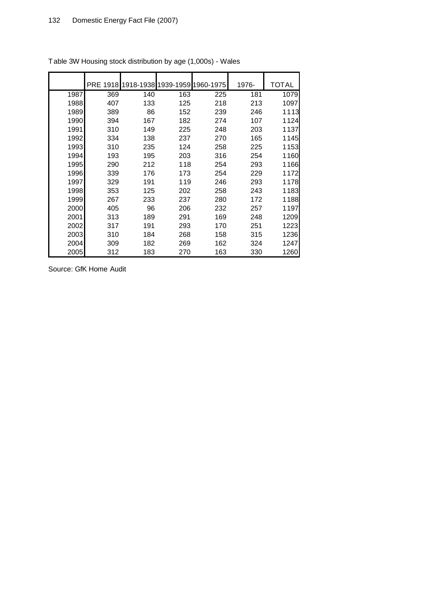|      | <b>PRE 1918</b> | 1918-1938 1939-1959 1960-1975 |     |     | 1976- | TOTAL |
|------|-----------------|-------------------------------|-----|-----|-------|-------|
| 1987 | 369             | 140                           | 163 | 225 | 181   | 1079  |
| 1988 | 407             | 133                           | 125 | 218 | 213   | 1097  |
| 1989 | 389             | 86                            | 152 | 239 | 246   | 1113  |
| 1990 | 394             | 167                           | 182 | 274 | 107   | 1124  |
| 1991 | 310             | 149                           | 225 | 248 | 203   | 1137  |
| 1992 | 334             | 138                           | 237 | 270 | 165   | 1145  |
| 1993 | 310             | 235                           | 124 | 258 | 225   | 1153  |
| 1994 | 193             | 195                           | 203 | 316 | 254   | 1160  |
| 1995 | 290             | 212                           | 118 | 254 | 293   | 1166  |
| 1996 | 339             | 176                           | 173 | 254 | 229   | 1172  |
| 1997 | 329             | 191                           | 119 | 246 | 293   | 1178  |
| 1998 | 353             | 125                           | 202 | 258 | 243   | 1183  |
| 1999 | 267             | 233                           | 237 | 280 | 172   | 1188  |
| 2000 | 405             | 96                            | 206 | 232 | 257   | 1197  |
| 2001 | 313             | 189                           | 291 | 169 | 248   | 1209  |
| 2002 | 317             | 191                           | 293 | 170 | 251   | 1223  |
| 2003 | 310             | 184                           | 268 | 158 | 315   | 1236  |
| 2004 | 309             | 182                           | 269 | 162 | 324   | 1247  |
| 2005 | 312             | 183                           | 270 | 163 | 330   | 1260  |

Table 3W Housing stock distribution by age (1,000s) - Wales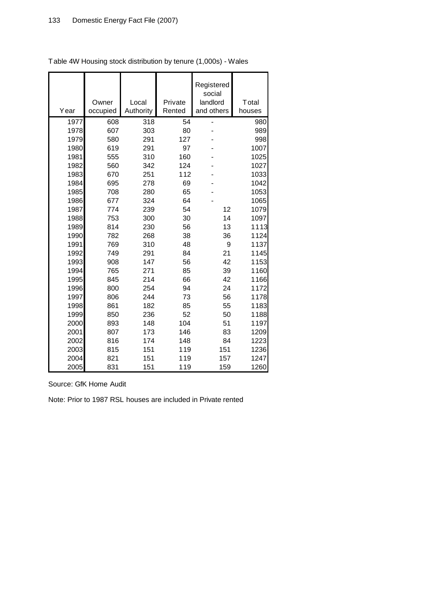| Year | Owner<br>occupied | Local<br>Authority | Private<br>Rented | Registered<br>social<br>landlord<br>and others | Total<br>houses |
|------|-------------------|--------------------|-------------------|------------------------------------------------|-----------------|
| 1977 | 608               | 318                | 54                |                                                | 980             |
| 1978 | 607               | 303                | 80                |                                                | 989             |
| 1979 | 580               | 291                | 127               |                                                | 998             |
| 1980 | 619               | 291                | 97                |                                                | 1007            |
| 1981 | 555               | 310                | 160               |                                                | 1025            |
| 1982 | 560               | 342                | 124               |                                                | 1027            |
| 1983 | 670               | 251                | 112               |                                                | 1033            |
| 1984 | 695               | 278                | 69                |                                                | 1042            |
| 1985 | 708               | 280                | 65                |                                                | 1053            |
| 1986 | 677               | 324                | 64                |                                                | 1065            |
| 1987 | 774               | 239                | 54                | 12                                             | 1079            |
| 1988 | 753               | 300                | 30                | 14                                             | 1097            |
| 1989 | 814               | 230                | 56                | 13                                             | 1113            |
| 1990 | 782               | 268                | 38                | 36                                             | 1124            |
| 1991 | 769               | 310                | 48                | 9                                              | 1137            |
| 1992 | 749               | 291                | 84                | 21                                             | 1145            |
| 1993 | 908               | 147                | 56                | 42                                             | 1153            |
| 1994 | 765               | 271                | 85                | 39                                             | 1160            |
| 1995 | 845               | 214                | 66                | 42                                             | 1166            |
| 1996 | 800               | 254                | 94                | 24                                             | 1172            |
| 1997 | 806               | 244                | 73                | 56                                             | 1178            |
| 1998 | 861               | 182                | 85                | 55                                             | 1183            |
| 1999 | 850               | 236                | 52                | 50                                             | 1188            |
| 2000 | 893               | 148                | 104               | 51                                             | 1197            |
| 2001 | 807               | 173                | 146               | 83                                             | 1209            |
| 2002 | 816               | 174                | 148               | 84                                             | 1223            |
| 2003 | 815               | 151                | 119               | 151                                            | 1236            |
| 2004 | 821               | 151                | 119               | 157                                            | 1247            |
| 2005 | 831               | 151                | 119               | 159                                            | 1260            |

Table 4W Housing stock distribution by tenure (1,000s) - Wales

Source: GfK Home Audit

Note: Prior to 1987 RSL houses are included in Private rented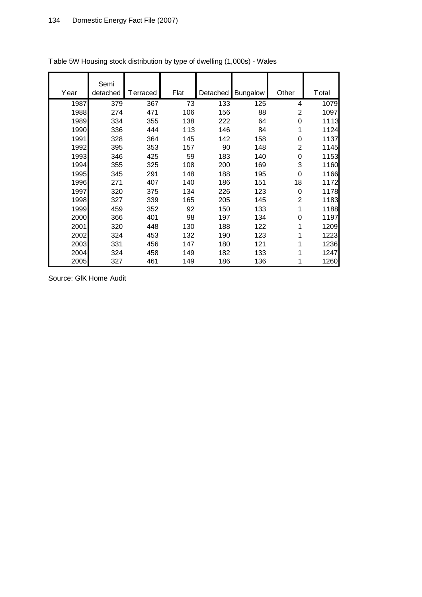|      | Semi     |          |      |          |                 |                |       |
|------|----------|----------|------|----------|-----------------|----------------|-------|
| Year | detached | Terraced | Flat | Detached | <b>Bungalow</b> | Other          | Total |
| 1987 | 379      | 367      | 73   | 133      | 125             | 4              | 1079  |
| 1988 | 274      | 471      | 106  | 156      | 88              | 2              | 1097  |
| 1989 | 334      | 355      | 138  | 222      | 64              | 0              | 1113  |
| 1990 | 336      | 444      | 113  | 146      | 84              | 1              | 1124  |
| 1991 | 328      | 364      | 145  | 142      | 158             | $\mathbf 0$    | 1137  |
| 1992 | 395      | 353      | 157  | 90       | 148             | $\overline{2}$ | 1145  |
| 1993 | 346      | 425      | 59   | 183      | 140             | 0              | 1153  |
| 1994 | 355      | 325      | 108  | 200      | 169             | 3              | 1160  |
| 1995 | 345      | 291      | 148  | 188      | 195             | 0              | 1166  |
| 1996 | 271      | 407      | 140  | 186      | 151             | 18             | 1172  |
| 1997 | 320      | 375      | 134  | 226      | 123             | 0              | 1178  |
| 1998 | 327      | 339      | 165  | 205      | 145             | $\overline{2}$ | 1183  |
| 1999 | 459      | 352      | 92   | 150      | 133             | 1              | 1188  |
| 2000 | 366      | 401      | 98   | 197      | 134             | 0              | 1197  |
| 2001 | 320      | 448      | 130  | 188      | 122             | 1              | 1209  |
| 2002 | 324      | 453      | 132  | 190      | 123             | 1              | 1223  |
| 2003 | 331      | 456      | 147  | 180      | 121             | 1              | 1236  |
| 2004 | 324      | 458      | 149  | 182      | 133             | 1              | 1247  |
| 2005 | 327      | 461      | 149  | 186      | 136             | 1              | 1260  |

Table 5W Housing stock distribution by type of dwelling (1,000s) - Wales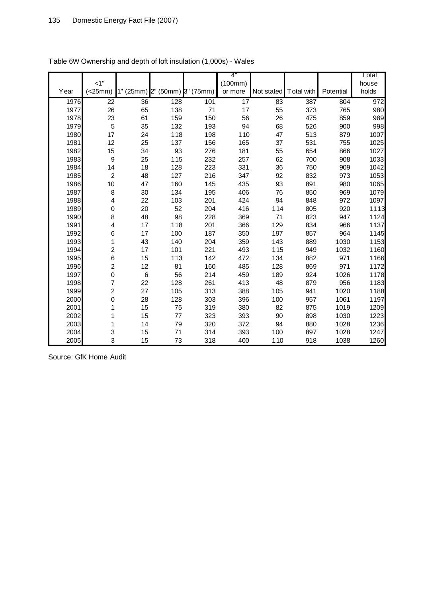|      | $<1$ "         |                 |     |                  | 4"<br>(100mm)   |            |            |           | T otal<br>house |
|------|----------------|-----------------|-----|------------------|-----------------|------------|------------|-----------|-----------------|
| Year | (<25mm)        | 1" (25mm) 2"    |     | (50mm) 3" (75mm) | or more         | Not stated | Total with | Potential | holds           |
| 1976 | 22             | $\overline{36}$ | 128 | 101              | $\overline{17}$ | 83         | 387        | 804       | 972             |
| 1977 | 26             | 65              | 138 | 71               | 17              | 55         | 373        | 765       | 980             |
| 1978 | 23             | 61              | 159 | 150              | 56              | 26         | 475        | 859       | 989             |
| 1979 | 5              | 35              | 132 | 193              | 94              | 68         | 526        | 900       | 998             |
| 1980 | 17             | 24              | 118 | 198              | 110             | 47         | 513        | 879       | 1007            |
| 1981 | 12             | 25              | 137 | 156              | 165             | 37         | 531        | 755       | 1025            |
| 1982 | 15             | 34              | 93  | 276              | 181             | 55         | 654        | 866       | 1027            |
| 1983 | 9              | 25              | 115 | 232              | 257             | 62         | 700        | 908       | 1033            |
| 1984 | 14             | 18              | 128 | 223              | 331             | 36         | 750        | 909       | 1042            |
| 1985 | $\overline{c}$ | 48              | 127 | 216              | 347             | 92         | 832        | 973       | 1053            |
| 1986 | 10             | 47              | 160 | 145              | 435             | 93         | 891        | 980       | 1065            |
| 1987 | 8              | 30              | 134 | 195              | 406             | 76         | 850        | 969       | 1079            |
| 1988 | 4              | 22              | 103 | 201              | 424             | 94         | 848        | 972       | 1097            |
| 1989 | 0              | 20              | 52  | 204              | 416             | 114        | 805        | 920       | 1113            |
| 1990 | 8              | 48              | 98  | 228              | 369             | 71         | 823        | 947       | 1124            |
| 1991 | 4              | 17              | 118 | 201              | 366             | 129        | 834        | 966       | 1137            |
| 1992 | 6              | 17              | 100 | 187              | 350             | 197        | 857        | 964       | 1145            |
| 1993 | 1              | 43              | 140 | 204              | 359             | 143        | 889        | 1030      | 1153            |
| 1994 | $\overline{c}$ | 17              | 101 | 221              | 493             | 115        | 949        | 1032      | 1160            |
| 1995 | 6              | 15              | 113 | 142              | 472             | 134        | 882        | 971       | 1166            |
| 1996 | $\overline{c}$ | 12              | 81  | 160              | 485             | 128        | 869        | 971       | 1172            |
| 1997 | 0              | $\,6$           | 56  | 214              | 459             | 189        | 924        | 1026      | 1178            |
| 1998 | $\overline{7}$ | 22              | 128 | 261              | 413             | 48         | 879        | 956       | 1183            |
| 1999 | $\overline{c}$ | 27              | 105 | 313              | 388             | 105        | 941        | 1020      | 1188            |
| 2000 | 0              | 28              | 128 | 303              | 396             | 100        | 957        | 1061      | 1197            |
| 2001 | 1              | 15              | 75  | 319              | 380             | 82         | 875        | 1019      | 1209            |
| 2002 | 1              | 15              | 77  | 323              | 393             | 90         | 898        | 1030      | 1223            |
| 2003 | 1              | 14              | 79  | 320              | 372             | 94         | 880        | 1028      | 1236            |
| 2004 | 3              | 15              | 71  | 314              | 393             | 100        | 897        | 1028      | 1247            |
| 2005 | 3              | 15              | 73  | 318              | 400             | 110        | 918        | 1038      | 1260            |

|  | Table 6W Ownership and depth of loft insulation (1,000s) - Wales |  |  |  |  |
|--|------------------------------------------------------------------|--|--|--|--|
|--|------------------------------------------------------------------|--|--|--|--|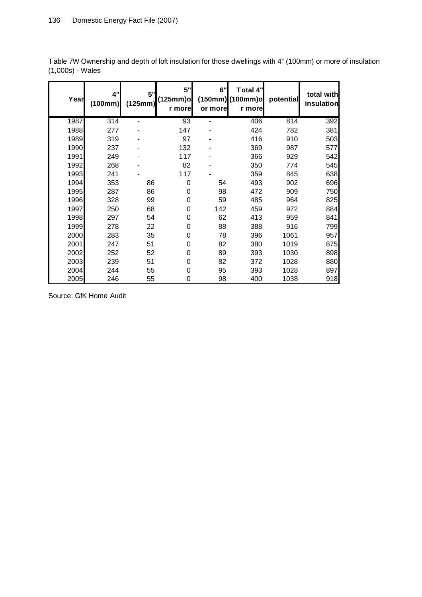| Year | 4"<br>(100mm) | 5"<br>(125mm) | 5"<br>(125mm)o <br>r more | 6"<br>or more | <b>Total 4"</b><br>(150mm) (100mm)o<br>r more | potential | total with<br>insulation |
|------|---------------|---------------|---------------------------|---------------|-----------------------------------------------|-----------|--------------------------|
| 1987 | 314           |               | 93                        | ۰             | 406                                           | 814       | 392                      |
| 1988 | 277           |               | 147                       |               | 424                                           | 782       | 381                      |
| 1989 | 319           |               | 97                        |               | 416                                           | 910       | 503                      |
| 1990 | 237           |               | 132                       |               | 369                                           | 987       | 577                      |
| 1991 | 249           |               | 117                       |               | 366                                           | 929       | 542                      |
| 1992 | 268           |               | 82                        |               | 350                                           | 774       | 545                      |
| 1993 | 241           |               | 117                       |               | 359                                           | 845       | 638                      |
| 1994 | 353           | 86            | 0                         | 54            | 493                                           | 902       | 696                      |
| 1995 | 287           | 86            | 0                         | 98            | 472                                           | 909       | 750                      |
| 1996 | 328           | 99            | 0                         | 59            | 485                                           | 964       | 825                      |
| 1997 | 250           | 68            | 0                         | 142           | 459                                           | 972       | 884                      |
| 1998 | 297           | 54            | 0                         | 62            | 413                                           | 959       | 841                      |
| 1999 | 278           | 22            | 0                         | 88            | 388                                           | 916       | 799                      |
| 2000 | 283           | 35            | 0                         | 78            | 396                                           | 1061      | 957                      |
| 2001 | 247           | 51            | 0                         | 82            | 380                                           | 1019      | 875                      |
| 2002 | 252           | 52            | 0                         | 89            | 393                                           | 1030      | 898                      |
| 2003 | 239           | 51            | 0                         | 82            | 372                                           | 1028      | 880                      |
| 2004 | 244           | 55            | 0                         | 95            | 393                                           | 1028      | 897                      |
| 2005 | 246           | 55            | 0                         | 98            | 400                                           | 1038      | 918                      |

Table 7W Ownership and depth of loft insulation for those dwellings with 4" (100mm) or more of insulation (1,000s) - Wales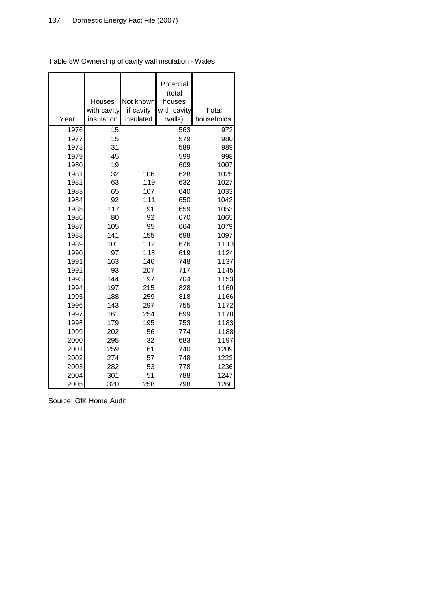|      |             |           | Potential   |               |
|------|-------------|-----------|-------------|---------------|
|      |             |           | (total      |               |
|      | Houses      | Not known | houses      |               |
|      | with cavity | if cavity | with cavity | <b>T</b> otal |
| Year | insulation  | insulated | walls)      | households    |
| 1976 | 15          |           | 563         | 972           |
| 1977 | 15          |           | 579         | 980           |
| 1978 | 31          |           | 589         | 989           |
| 1979 | 45          |           | 599         | 998           |
| 1980 | 19          |           | 609         | 1007          |
| 1981 | 32          | 106       | 628         | 1025          |
| 1982 | 63          | 119       | 632         | 1027          |
| 1983 | 65          | 107       | 640         | 1033          |
| 1984 | 92          | 111       | 650         | 1042          |
| 1985 | 117         | 91        | 659         | 1053          |
| 1986 | 80          | 92        | 670         | 1065          |
| 1987 | 105         | 95        | 664         | 1079          |
| 1988 | 141         | 155       | 698         | 1097          |
| 1989 | 101         | 112       | 676         | 1113          |
| 1990 | 97          | 118       | 619         | 1124          |
| 1991 | 163         | 146       | 748         | 1137          |
| 1992 | 93          | 207       | 717         | 1145          |
| 1993 | 144         | 197       | 704         | 1153          |
| 1994 | 197         | 215       | 828         | 1160          |
| 1995 | 188         | 259       | 818         | 1166          |
| 1996 | 143         | 297       | 755         | 1172          |
| 1997 | 161         | 254       | 699         | 1178          |
| 1998 | 179         | 195       | 753         | 1183          |
| 1999 | 202         | 56        | 774         | 1188          |
| 2000 | 295         | 32        | 683         | 1197          |
| 2001 | 259         | 61        | 740         | 1209          |
| 2002 | 274         | 57        | 748         | 1223          |
| 2003 | 282         | 53        | 778         | 1236          |
| 2004 | 301         | 51        | 788         | 1247          |
| 2005 | 320         | 258       | 798         | 1260          |

Table 8W Ownership of cavity wall insulation - Wales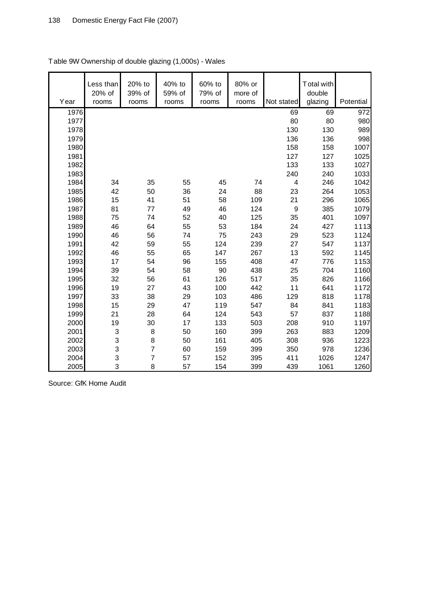| Year | Less than<br>20% of<br>rooms | 20% to<br>39% of<br>rooms | 40% to<br>59% of<br>rooms | 60% to<br>79% of<br>rooms | 80% or<br>more of<br>rooms | Not stated | Total with<br>double<br>glazing | Potential |
|------|------------------------------|---------------------------|---------------------------|---------------------------|----------------------------|------------|---------------------------------|-----------|
| 1976 |                              |                           |                           |                           |                            | 69         | 69                              | 972       |
| 1977 |                              |                           |                           |                           |                            | 80         | 80                              | 980       |
| 1978 |                              |                           |                           |                           |                            | 130        | 130                             | 989       |
| 1979 |                              |                           |                           |                           |                            | 136        | 136                             | 998       |
| 1980 |                              |                           |                           |                           |                            | 158        | 158                             | 1007      |
| 1981 |                              |                           |                           |                           |                            | 127        | 127                             | 1025      |
| 1982 |                              |                           |                           |                           |                            | 133        | 133                             | 1027      |
| 1983 |                              |                           |                           |                           |                            | 240        | 240                             | 1033      |
| 1984 | 34                           | 35                        | 55                        | 45                        | 74                         | 4          | 246                             | 1042      |
| 1985 | 42                           | 50                        | 36                        | 24                        | 88                         | 23         | 264                             | 1053      |
| 1986 | 15                           | 41                        | 51                        | 58                        | 109                        | 21         | 296                             | 1065      |
| 1987 | 81                           | 77                        | 49                        | 46                        | 124                        | 9          | 385                             | 1079      |
| 1988 | 75                           | 74                        | 52                        | 40                        | 125                        | 35         | 401                             | 1097      |
| 1989 | 46                           | 64                        | 55                        | 53                        | 184                        | 24         | 427                             | 1113      |
| 1990 | 46                           | 56                        | 74                        | 75                        | 243                        | 29         | 523                             | 1124      |
| 1991 | 42                           | 59                        | 55                        | 124                       | 239                        | 27         | 547                             | 1137      |
| 1992 | 46                           | 55                        | 65                        | 147                       | 267                        | 13         | 592                             | 1145      |
| 1993 | 17                           | 54                        | 96                        | 155                       | 408                        | 47         | 776                             | 1153      |
| 1994 | 39                           | 54                        | 58                        | 90                        | 438                        | 25         | 704                             | 1160      |
| 1995 | 32                           | 56                        | 61                        | 126                       | 517                        | 35         | 826                             | 1166      |
| 1996 | 19                           | 27                        | 43                        | 100                       | 442                        | 11         | 641                             | 1172      |
| 1997 | 33                           | 38                        | 29                        | 103                       | 486                        | 129        | 818                             | 1178      |
| 1998 | 15                           | 29                        | 47                        | 119                       | 547                        | 84         | 841                             | 1183      |
| 1999 | 21                           | 28                        | 64                        | 124                       | 543                        | 57         | 837                             | 1188      |
| 2000 | 19                           | 30                        | 17                        | 133                       | 503                        | 208        | 910                             | 1197      |
| 2001 | 3                            | 8                         | 50                        | 160                       | 399                        | 263        | 883                             | 1209      |
| 2002 | 3                            | 8                         | 50                        | 161                       | 405                        | 308        | 936                             | 1223      |
| 2003 | 3                            | $\overline{7}$            | 60                        | 159                       | 399                        | 350        | 978                             | 1236      |
| 2004 | 3                            | $\overline{7}$            | 57                        | 152                       | 395                        | 411        | 1026                            | 1247      |
| 2005 | 3                            | 8                         | 57                        | 154                       | 399                        | 439        | 1061                            | 1260      |

# Table 9W Ownership of double glazing (1,000s) - Wales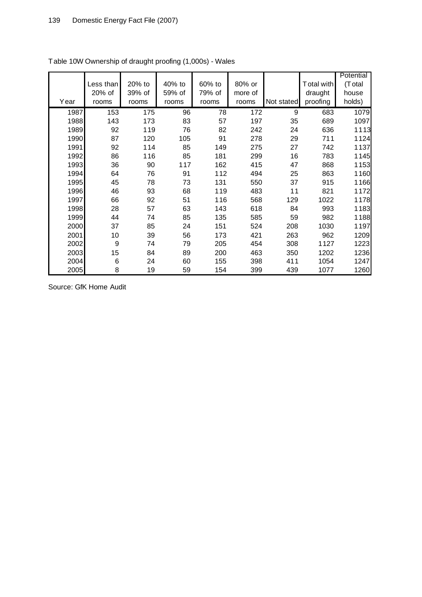|      |                  |        |        |        |         |            |            | Potential |
|------|------------------|--------|--------|--------|---------|------------|------------|-----------|
|      | Less than        | 20% to | 40% to | 60% to | 80% or  |            | Total with | (Total    |
|      | 20% of           | 39% of | 59% of | 79% of | more of |            | draught    | house     |
| Year | rooms            | rooms  | rooms  | rooms  | rooms   | Not stated | proofing   | holds)    |
| 1987 | 153              | 175    | 96     | 78     | 172     | 9          | 683        | 1079      |
| 1988 | 143              | 173    | 83     | 57     | 197     | 35         | 689        | 1097      |
| 1989 | 92               | 119    | 76     | 82     | 242     | 24         | 636        | 1113      |
| 1990 | 87               | 120    | 105    | 91     | 278     | 29         | 711        | 1124      |
| 1991 | 92               | 114    | 85     | 149    | 275     | 27         | 742        | 1137      |
| 1992 | 86               | 116    | 85     | 181    | 299     | 16         | 783        | 1145      |
| 1993 | 36               | 90     | 117    | 162    | 415     | 47         | 868        | 1153      |
| 1994 | 64               | 76     | 91     | 112    | 494     | 25         | 863        | 1160      |
| 1995 | 45               | 78     | 73     | 131    | 550     | 37         | 915        | 1166      |
| 1996 | 46               | 93     | 68     | 119    | 483     | 11         | 821        | 1172      |
| 1997 | 66               | 92     | 51     | 116    | 568     | 129        | 1022       | 1178      |
| 1998 | 28               | 57     | 63     | 143    | 618     | 84         | 993        | 1183      |
| 1999 | 44               | 74     | 85     | 135    | 585     | 59         | 982        | 1188      |
| 2000 | 37               | 85     | 24     | 151    | 524     | 208        | 1030       | 1197      |
| 2001 | 10               | 39     | 56     | 173    | 421     | 263        | 962        | 1209      |
| 2002 | $\boldsymbol{9}$ | 74     | 79     | 205    | 454     | 308        | 1127       | 1223      |
| 2003 | 15               | 84     | 89     | 200    | 463     | 350        | 1202       | 1236      |
| 2004 | 6                | 24     | 60     | 155    | 398     | 411        | 1054       | 1247      |
| 2005 | 8                | 19     | 59     | 154    | 399     | 439        | 1077       | 1260      |

Table 10W Ownership of draught proofing (1,000s) - Wales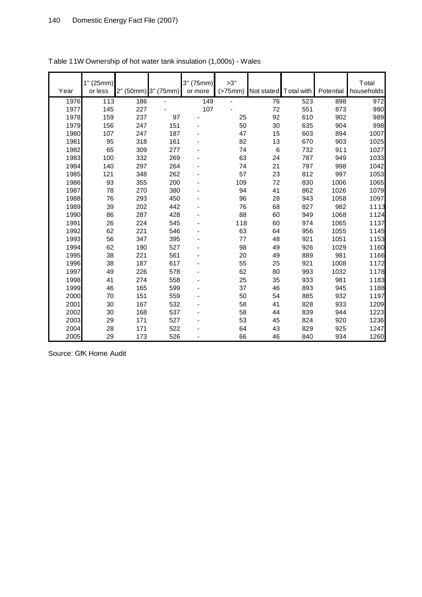| Year | 1" (25mm)<br>or less | 2" (50mm) 3" (75mm) |     | 3" (75mm)<br>or more | >3"<br>(>75mm) | Not stated | T otal with | Potential | <b>T</b> otal<br>households |
|------|----------------------|---------------------|-----|----------------------|----------------|------------|-------------|-----------|-----------------------------|
| 1976 | 113                  | 186                 |     | 149                  |                | 76         | 523         | 898       | 972                         |
| 1977 | 145                  | 227                 |     | 107                  |                | 72         | 551         | 873       | 980                         |
| 1978 | 159                  | 237                 | 97  |                      | 25             | 92         | 610         | 902       | 989                         |
| 1979 | 156                  | 247                 | 151 |                      | 50             | 30         | 635         | 904       | 998                         |
| 1980 | 107                  | 247                 | 187 |                      | 47             | 15         | 603         | 894       | 1007                        |
| 1981 | 95                   | 318                 | 161 |                      | 82             | 13         | 670         | 903       | 1025                        |
| 1982 | 65                   | 309                 | 277 |                      | 74             | $\,6\,$    | 732         | 911       | 1027                        |
| 1983 | 100                  | 332                 | 269 |                      | 63             | 24         | 787         | 949       | 1033                        |
| 1984 | 140                  | 297                 | 264 |                      | 74             | 21         | 797         | 998       | 1042                        |
| 1985 | 121                  | 348                 | 262 |                      | 57             | 23         | 812         | 997       | 1053                        |
| 1986 | 93                   | 355                 | 200 |                      | 109            | 72         | 830         | 1006      | 1065                        |
| 1987 | 78                   | 270                 | 380 |                      | 94             | 41         | 862         | 1026      | 1079                        |
| 1988 | 76                   | 293                 | 450 |                      | 96             | 28         | 943         | 1058      | 1097                        |
| 1989 | 39                   | 202                 | 442 |                      | 76             | 68         | 827         | 982       | 1113                        |
| 1990 | 86                   | 287                 | 428 |                      | 88             | 60         | 949         | 1068      | 1124                        |
| 1991 | 26                   | 224                 | 545 |                      | 118            | 60         | 974         | 1065      | 1137                        |
| 1992 | 62                   | 221                 | 546 |                      | 63             | 64         | 956         | 1055      | 1145                        |
| 1993 | 56                   | 347                 | 395 |                      | 77             | 48         | 921         | 1051      | 1153                        |
| 1994 | 62                   | 190                 | 527 |                      | 98             | 49         | 926         | 1029      | 1160                        |
| 1995 | 38                   | 221                 | 561 |                      | 20             | 49         | 889         | 981       | 1166                        |
| 1996 | 38                   | 187                 | 617 |                      | 55             | 25         | 921         | 1008      | 1172                        |
| 1997 | 49                   | 226                 | 578 |                      | 62             | 80         | 993         | 1032      | 1178                        |
| 1998 | 41                   | 274                 | 558 |                      | 25             | 35         | 933         | 981       | 1183                        |
| 1999 | 46                   | 165                 | 599 |                      | 37             | 46         | 893         | 945       | 1188                        |
| 2000 | 70                   | 151                 | 559 |                      | 50             | 54         | 885         | 932       | 1197                        |
| 2001 | 30                   | 167                 | 532 |                      | 58             | 41         | 828         | 933       | 1209                        |
| 2002 | 30                   | 168                 | 537 |                      | 58             | 44         | 839         | 944       | 1223                        |
| 2003 | 29                   | 171                 | 527 |                      | 53             | 45         | 824         | 920       | 1236                        |
| 2004 | 28                   | 171                 | 522 |                      | 64             | 43         | 829         | 925       | 1247                        |
| 2005 | 29                   | 173                 | 526 |                      | 66             | 46         | 840         | 934       | 1260                        |

| Table 11W Ownership of hot water tank insulation (1,000s) - Wales |  |
|-------------------------------------------------------------------|--|
|                                                                   |  |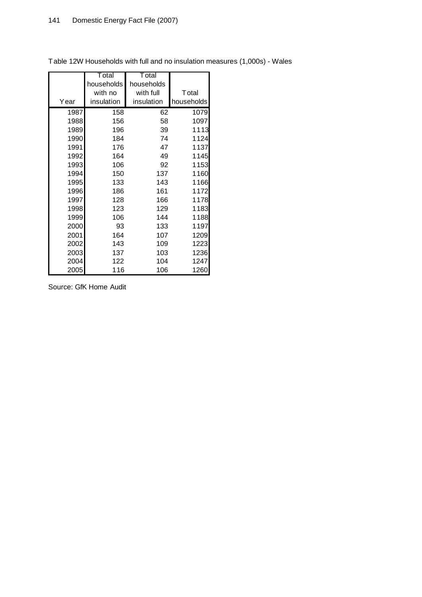F

|      | <b>T</b> otal | T otal     |               |
|------|---------------|------------|---------------|
|      | households    | households |               |
|      | with no       | with full  | <b>T</b> otal |
| Year | insulation    | insulation | households    |
| 1987 | 158           | 62         | 1079          |
| 1988 | 156           | 58         | 1097          |
| 1989 | 196           | 39         | 1113          |
| 1990 | 184           | 74         | 1124          |
| 1991 | 176           | 47         | 1137          |
| 1992 | 164           | 49         | 1145          |
| 1993 | 106           | 92         | 1153          |
| 1994 | 150           | 137        | 1160          |
| 1995 | 133           | 143        | 1166          |
| 1996 | 186           | 161        | 1172          |
| 1997 | 128           | 166        | 1178          |
| 1998 | 123           | 129        | 1183          |
| 1999 | 106           | 144        | 1188          |
| 2000 | 93            | 133        | 1197          |
| 2001 | 164           | 107        | 1209          |
| 2002 | 143           | 109        | 1223          |
| 2003 | 137           | 103        | 1236          |
| 2004 | 122           | 104        | 1247          |
| 2005 | 116           | 106        | 1260          |

Table 12W Households with full and no insulation measures (1,000s) - Wales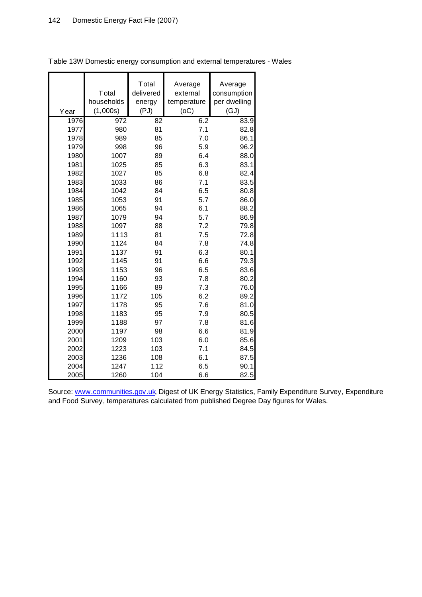| Year | <b>T</b> otal<br>households<br>(1,000s) | Total<br>delivered<br>energy<br>(PJ) | Average<br>external<br>temperature<br>(OC) | Average<br>consumption<br>per dwelling<br>(GJ) |
|------|-----------------------------------------|--------------------------------------|--------------------------------------------|------------------------------------------------|
| 1976 | 972                                     | 82                                   | 6.2                                        | 83.9                                           |
| 1977 | 980                                     | 81                                   | 7.1                                        | 82.8                                           |
| 1978 | 989                                     | 85                                   | 7.0                                        | 86.1                                           |
| 1979 | 998                                     | 96                                   | 5.9                                        | 96.2                                           |
| 1980 | 1007                                    | 89                                   | 6.4                                        | 88.0                                           |
| 1981 | 1025                                    | 85                                   | 6.3                                        | 83.1                                           |
| 1982 | 1027                                    | 85                                   | 6.8                                        | 82.4                                           |
| 1983 | 1033                                    | 86                                   | 7.1                                        | 83.5                                           |
| 1984 | 1042                                    | 84                                   | 6.5                                        | 80.8                                           |
| 1985 | 1053                                    | 91                                   | 5.7                                        | 86.0                                           |
| 1986 | 1065                                    | 94                                   | 6.1                                        | 88.2                                           |
| 1987 | 1079                                    | 94                                   | 5.7                                        | 86.9                                           |
| 1988 | 1097                                    | 88                                   | 7.2                                        | 79.8                                           |
| 1989 | 1113                                    | 81                                   | 7.5                                        | 72.8                                           |
| 1990 | 1124                                    | 84                                   | 7.8                                        | 74.8                                           |
| 1991 | 1137                                    | 91                                   | 6.3                                        | 80.1                                           |
| 1992 | 1145                                    | 91                                   | 6.6                                        | 79.3                                           |
| 1993 | 1153                                    | 96                                   | 6.5                                        | 83.6                                           |
| 1994 | 1160                                    | 93                                   | 7.8                                        | 80.2                                           |
| 1995 | 1166                                    | 89                                   | 7.3                                        | 76.0                                           |
| 1996 | 1172                                    | 105                                  | 6.2                                        | 89.2                                           |
| 1997 | 1178                                    | 95                                   | 7.6                                        | 81.0                                           |
| 1998 | 1183                                    | 95                                   | 7.9                                        | 80.5                                           |
| 1999 | 1188                                    | 97                                   | 7.8                                        | 81.6                                           |
| 2000 | 1197                                    | 98                                   | 6.6                                        | 81.9                                           |
| 2001 | 1209                                    | 103                                  | 6.0                                        | 85.6                                           |
| 2002 | 1223                                    | 103                                  | 7.1                                        | 84.5                                           |
| 2003 | 1236                                    | 108                                  | 6.1                                        | 87.5                                           |
| 2004 | 1247                                    | 112                                  | 6.5                                        | 90.1                                           |
| 2005 | 1260                                    | 104                                  | 6.6                                        | 82.5                                           |

Table 13W Domestic energy consumption and external temperatures - Wales

Source: [www.communities.gov.uk](http://www.communities.gov.uk), Digest of UK Energy Statistics, Family Expenditure Survey, Expenditure and Food Survey, temperatures calculated from published Degree Day figures for Wales.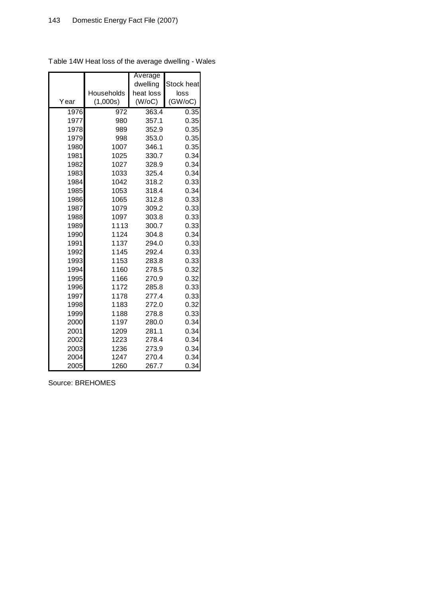|      |            | Average   |            |
|------|------------|-----------|------------|
|      |            | dwelling  | Stock heat |
|      | Households | heat loss | loss       |
| Year | (1,000s)   | (W/OC)    | (GW/OC)    |
| 1976 | 972        | 363.4     | 0.35       |
| 1977 | 980        | 357.1     | 0.35       |
| 1978 | 989        | 352.9     | 0.35       |
| 1979 | 998        | 353.0     | 0.35       |
| 1980 | 1007       | 346.1     | 0.35       |
| 1981 | 1025       | 330.7     | 0.34       |
| 1982 | 1027       | 328.9     | 0.34       |
| 1983 | 1033       | 325.4     | 0.34       |
| 1984 | 1042       | 318.2     | 0.33       |
| 1985 | 1053       | 318.4     | 0.34       |
| 1986 | 1065       | 312.8     | 0.33       |
| 1987 | 1079       | 309.2     | 0.33       |
| 1988 | 1097       | 303.8     | 0.33       |
| 1989 | 1113       | 300.7     | 0.33       |
| 1990 | 1124       | 304.8     | 0.34       |
| 1991 | 1137       | 294.0     | 0.33       |
| 1992 | 1145       | 292.4     | 0.33       |
| 1993 | 1153       | 283.8     | 0.33       |
| 1994 | 1160       | 278.5     | 0.32       |
| 1995 | 1166       | 270.9     | 0.32       |
| 1996 | 1172       | 285.8     | 0.33       |
| 1997 | 1178       | 277.4     | 0.33       |
| 1998 | 1183       | 272.0     | 0.32       |
| 1999 | 1188       | 278.8     | 0.33       |
| 2000 | 1197       | 280.0     | 0.34       |
| 2001 | 1209       | 281.1     | 0.34       |
| 2002 | 1223       | 278.4     | 0.34       |
| 2003 | 1236       | 273.9     | 0.34       |
| 2004 | 1247       | 270.4     | 0.34       |
| 2005 | 1260       | 267.7     | 0.34       |

Table 14W Heat loss of the average dwelling - Wales

Source: BREHOMES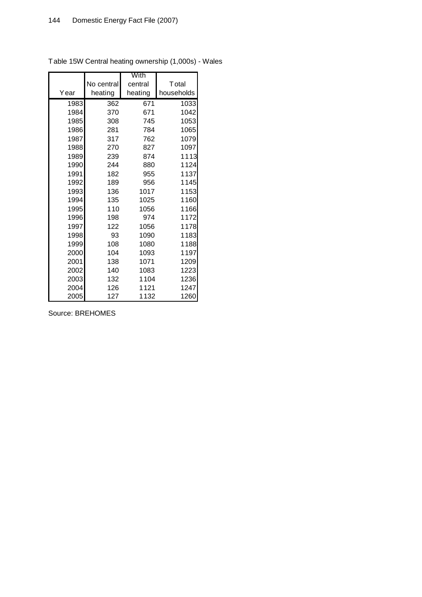|      |            | With    |               |
|------|------------|---------|---------------|
|      | No central | central | <b>T</b> otal |
| Year | heating    | heating | households    |
| 1983 | 362        | 671     | 1033          |
| 1984 | 370        | 671     | 1042          |
| 1985 | 308        | 745     | 1053          |
| 1986 | 281        | 784     | 1065          |
| 1987 | 317        | 762     | 1079          |
| 1988 | 270        | 827     | 1097          |
| 1989 | 239        | 874     | 1113          |
| 1990 | 244        | 880     | 1124          |
| 1991 | 182        | 955     | 1137          |
| 1992 | 189        | 956     | 1145          |
| 1993 | 136        | 1017    | 1153          |
| 1994 | 135        | 1025    | 1160          |
| 1995 | 110        | 1056    | 1166          |
| 1996 | 198        | 974     | 1172          |
| 1997 | 122        | 1056    | 1178          |
| 1998 | 93         | 1090    | 1183          |
| 1999 | 108        | 1080    | 1188          |
| 2000 | 104        | 1093    | 1197          |
| 2001 | 138        | 1071    | 1209          |
| 2002 | 140        | 1083    | 1223          |
| 2003 | 132        | 1104    | 1236          |
| 2004 | 126        | 1121    | 1247          |
| 2005 | 127        | 1132    | 1260          |

Table 15W Central heating ownership (1,000s) - Wales

Source: BREHOMES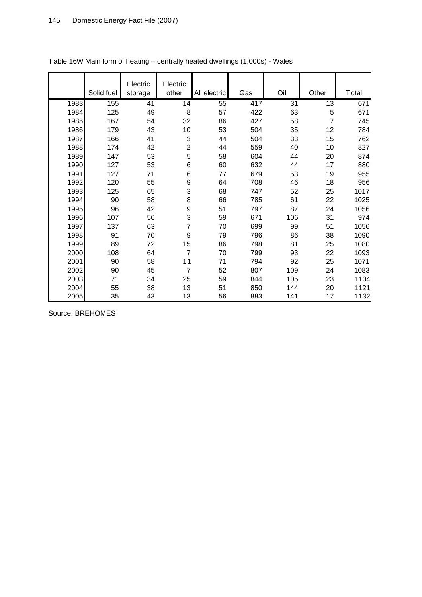|      | Solid fuel | Electric<br>storage | Electric<br>other | All electric | Gas | Oil | Other | Total |
|------|------------|---------------------|-------------------|--------------|-----|-----|-------|-------|
| 1983 | 155        | 41                  | 14                | 55           | 417 | 31  | 13    | 671   |
| 1984 | 125        | 49                  | 8                 | 57           | 422 | 63  | 5     | 671   |
| 1985 | 167        | 54                  | 32                | 86           | 427 | 58  | 7     | 745   |
| 1986 | 179        | 43                  | 10                | 53           | 504 | 35  | 12    | 784   |
| 1987 | 166        | 41                  | 3                 | 44           | 504 | 33  | 15    | 762   |
| 1988 | 174        | 42                  | $\overline{2}$    | 44           | 559 | 40  | 10    | 827   |
| 1989 | 147        | 53                  | 5                 | 58           | 604 | 44  | 20    | 874   |
| 1990 | 127        | 53                  | 6                 | 60           | 632 | 44  | 17    | 880   |
| 1991 | 127        | 71                  | 6                 | 77           | 679 | 53  | 19    | 955   |
| 1992 | 120        | 55                  | 9                 | 64           | 708 | 46  | 18    | 956   |
| 1993 | 125        | 65                  | 3                 | 68           | 747 | 52  | 25    | 1017  |
| 1994 | 90         | 58                  | 8                 | 66           | 785 | 61  | 22    | 1025  |
| 1995 | 96         | 42                  | 9                 | 51           | 797 | 87  | 24    | 1056  |
| 1996 | 107        | 56                  | 3                 | 59           | 671 | 106 | 31    | 974   |
| 1997 | 137        | 63                  | 7                 | 70           | 699 | 99  | 51    | 1056  |
| 1998 | 91         | 70                  | 9                 | 79           | 796 | 86  | 38    | 1090  |
| 1999 | 89         | 72                  | 15                | 86           | 798 | 81  | 25    | 1080  |
| 2000 | 108        | 64                  | 7                 | 70           | 799 | 93  | 22    | 1093  |
| 2001 | 90         | 58                  | 11                | 71           | 794 | 92  | 25    | 1071  |
| 2002 | 90         | 45                  | 7                 | 52           | 807 | 109 | 24    | 1083  |
| 2003 | 71         | 34                  | 25                | 59           | 844 | 105 | 23    | 1104  |
| 2004 | 55         | 38                  | 13                | 51           | 850 | 144 | 20    | 1121  |
| 2005 | 35         | 43                  | 13                | 56           | 883 | 141 | 17    | 1132  |

# Table 16W Main form of heating – centrally heated dwellings (1,000s) - Wales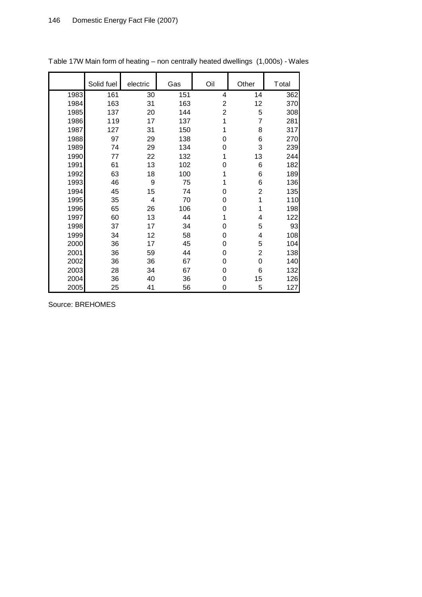|      | Solid fuel | electric | Gas | Oil                     | Other          | Total |
|------|------------|----------|-----|-------------------------|----------------|-------|
|      |            |          |     |                         |                |       |
| 1983 | 161        | 30       | 151 | 4                       | 14             | 362   |
| 1984 | 163        | 31       | 163 | $\overline{\mathbf{c}}$ | 12             | 370   |
| 1985 | 137        | 20       | 144 | $\overline{c}$          | 5              | 308   |
| 1986 | 119        | 17       | 137 | 1                       | 7              | 281   |
| 1987 | 127        | 31       | 150 |                         | 8              | 317   |
| 1988 | 97         | 29       | 138 | 0                       | 6              | 270   |
| 1989 | 74         | 29       | 134 | 0                       | 3              | 239   |
| 1990 | 77         | 22       | 132 | 1                       | 13             | 244   |
| 1991 | 61         | 13       | 102 | 0                       | 6              | 182   |
| 1992 | 63         | 18       | 100 | 1                       | 6              | 189   |
| 1993 | 46         | 9        | 75  | 1                       | 6              | 136   |
| 1994 | 45         | 15       | 74  | 0                       | $\overline{c}$ | 135   |
| 1995 | 35         | 4        | 70  | 0                       | 1              | 110   |
| 1996 | 65         | 26       | 106 | 0                       | 1              | 198   |
| 1997 | 60         | 13       | 44  | 1                       | 4              | 122   |
| 1998 | 37         | 17       | 34  | 0                       | 5              | 93    |
| 1999 | 34         | 12       | 58  | 0                       | 4              | 108   |
| 2000 | 36         | 17       | 45  | 0                       | 5              | 104   |
| 2001 | 36         | 59       | 44  | 0                       | 2              | 138   |
| 2002 | 36         | 36       | 67  | 0                       | $\mathbf 0$    | 140   |
| 2003 | 28         | 34       | 67  | 0                       | 6              | 132   |
| 2004 | 36         | 40       | 36  | 0                       | 15             | 126   |
| 2005 | 25         | 41       | 56  | 0                       | 5              | 127   |

Table 17W Main form of heating – non centrally heated dwellings (1,000s) - Wales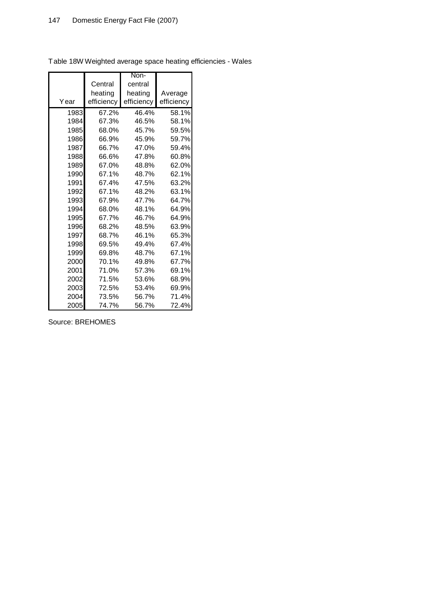|      |            | Non-       |            |
|------|------------|------------|------------|
|      | Central    | central    |            |
|      | heating    | heating    | Average    |
| Year | efficiency | efficiency | efficiency |
| 1983 | 67.2%      | 46.4%      | 58.1%      |
| 1984 | 67.3%      | 46.5%      | 58.1%      |
| 1985 | 68.0%      | 45.7%      | 59.5%      |
| 1986 | 66.9%      | 45.9%      | 59.7%      |
| 1987 | 66.7%      | 47.0%      | 59.4%      |
| 1988 | 66.6%      | 47.8%      | 60.8%      |
| 1989 | 67.0%      | 48.8%      | 62.0%      |
| 1990 | 67.1%      | 48.7%      | 62.1%      |
| 1991 | 67.4%      | 47.5%      | 63.2%      |
| 1992 | 67.1%      | 48.2%      | 63.1%      |
| 1993 | 67.9%      | 47.7%      | 64.7%      |
| 1994 | 68.0%      | 48.1%      | 64.9%      |
| 1995 | 67.7%      | 46.7%      | 64.9%      |
| 1996 | 68.2%      | 48.5%      | 63.9%      |
| 1997 | 68.7%      | 46.1%      | 65.3%      |
| 1998 | 69.5%      | 49.4%      | 67.4%      |
| 1999 | 69.8%      | 48.7%      | 67.1%      |
| 2000 | 70.1%      | 49.8%      | 67.7%      |
| 2001 | 71.0%      | 57.3%      | 69.1%      |
| 2002 | 71.5%      | 53.6%      | 68.9%      |
| 2003 | 72.5%      | 53.4%      | 69.9%      |
| 2004 | 73.5%      | 56.7%      | 71.4%      |
| 2005 | 74.7%      | 56.7%      | 72.4%      |

Table 18W Weighted average space heating efficiencies - Wales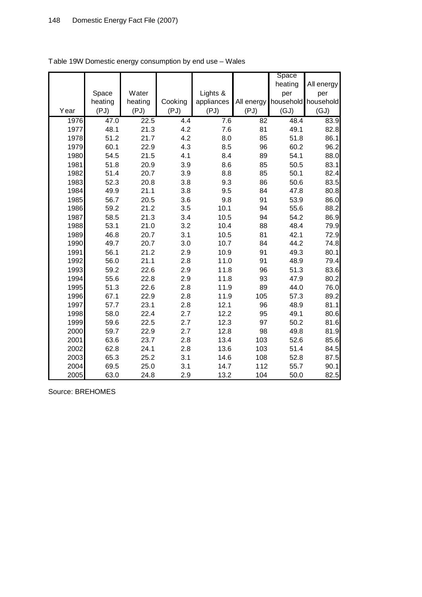|      |         |         |         |            |            | Space     |            |
|------|---------|---------|---------|------------|------------|-----------|------------|
|      |         |         |         |            |            | heating   | All energy |
|      | Space   | Water   |         | Lights &   |            | per       | per        |
|      | heating | heating | Cooking | appliances | All energy | household | household  |
| Year | (PJ)    | (PJ)    | (PJ)    | (PJ)       | (PJ)       | (GJ)      | (GJ)       |
| 1976 | 47.0    | 22.5    | 4.4     | 7.6        | 82         | 48.4      | 83.9       |
| 1977 | 48.1    | 21.3    | 4.2     | 7.6        | 81         | 49.1      | 82.8       |
| 1978 | 51.2    | 21.7    | 4.2     | 8.0        | 85         | 51.8      | 86.1       |
| 1979 | 60.1    | 22.9    | 4.3     | 8.5        | 96         | 60.2      | 96.2       |
| 1980 | 54.5    | 21.5    | 4.1     | 8.4        | 89         | 54.1      | 88.0       |
| 1981 | 51.8    | 20.9    | 3.9     | 8.6        | 85         | 50.5      | 83.1       |
| 1982 | 51.4    | 20.7    | 3.9     | 8.8        | 85         | 50.1      | 82.4       |
| 1983 | 52.3    | 20.8    | 3.8     | 9.3        | 86         | 50.6      | 83.5       |
| 1984 | 49.9    | 21.1    | 3.8     | 9.5        | 84         | 47.8      | 80.8       |
| 1985 | 56.7    | 20.5    | 3.6     | 9.8        | 91         | 53.9      | 86.0       |
| 1986 | 59.2    | 21.2    | 3.5     | 10.1       | 94         | 55.6      | 88.2       |
| 1987 | 58.5    | 21.3    | 3.4     | 10.5       | 94         | 54.2      | 86.9       |
| 1988 | 53.1    | 21.0    | 3.2     | 10.4       | 88         | 48.4      | 79.9       |
| 1989 | 46.8    | 20.7    | 3.1     | 10.5       | 81         | 42.1      | 72.9       |
| 1990 | 49.7    | 20.7    | 3.0     | 10.7       | 84         | 44.2      | 74.8       |
| 1991 | 56.1    | 21.2    | 2.9     | 10.9       | 91         | 49.3      | 80.1       |
| 1992 | 56.0    | 21.1    | 2.8     | 11.0       | 91         | 48.9      | 79.4       |
| 1993 | 59.2    | 22.6    | 2.9     | 11.8       | 96         | 51.3      | 83.6       |
| 1994 | 55.6    | 22.8    | 2.9     | 11.8       | 93         | 47.9      | 80.2       |
| 1995 | 51.3    | 22.6    | 2.8     | 11.9       | 89         | 44.0      | 76.0       |
| 1996 | 67.1    | 22.9    | 2.8     | 11.9       | 105        | 57.3      | 89.2       |
| 1997 | 57.7    | 23.1    | 2.8     | 12.1       | 96         | 48.9      | 81.1       |
| 1998 | 58.0    | 22.4    | 2.7     | 12.2       | 95         | 49.1      | 80.6       |
| 1999 | 59.6    | 22.5    | 2.7     | 12.3       | 97         | 50.2      | 81.6       |
| 2000 | 59.7    | 22.9    | 2.7     | 12.8       | 98         | 49.8      | 81.9       |
| 2001 | 63.6    | 23.7    | 2.8     | 13.4       | 103        | 52.6      | 85.6       |
| 2002 | 62.8    | 24.1    | 2.8     | 13.6       | 103        | 51.4      | 84.5       |
| 2003 | 65.3    | 25.2    | 3.1     | 14.6       | 108        | 52.8      | 87.5       |
| 2004 | 69.5    | 25.0    | 3.1     | 14.7       | 112        | 55.7      | 90.1       |
| 2005 | 63.0    | 24.8    | 2.9     | 13.2       | 104        | 50.0      | 82.5       |

Table 19W Domestic energy consumption by end use – Wales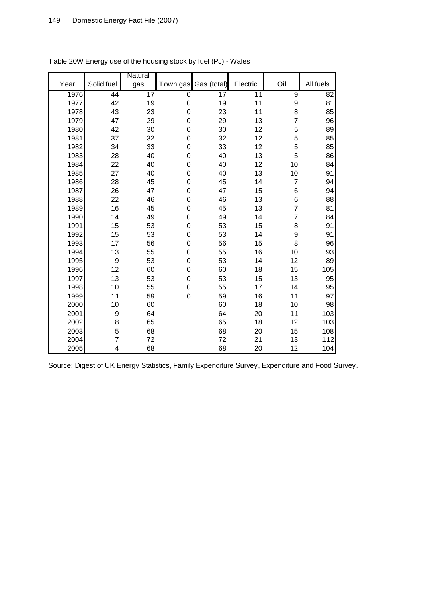|      |                  | Natural         |                  |                 |          |                |                 |
|------|------------------|-----------------|------------------|-----------------|----------|----------------|-----------------|
| Year | Solid fuel       | gas             | Town gas         | Gas (total)     | Electric | Oil            | All fuels       |
| 1976 | 44               | $\overline{17}$ | $\overline{0}$   | $\overline{17}$ | 11       | $\overline{9}$ | $\overline{82}$ |
| 1977 | 42               | 19              | $\boldsymbol{0}$ | 19              | 11       | 9              | 81              |
| 1978 | 43               | 23              | $\mathbf 0$      | 23              | 11       | 8              | 85              |
| 1979 | 47               | 29              | $\mathbf 0$      | 29              | 13       | $\overline{7}$ | 96              |
| 1980 | 42               | 30              | 0                | 30              | 12       | 5              | 89              |
| 1981 | 37               | 32              | $\boldsymbol{0}$ | 32              | 12       | 5              | 85              |
| 1982 | 34               | 33              | $\boldsymbol{0}$ | 33              | 12       | 5              | 85              |
| 1983 | 28               | 40              | $\boldsymbol{0}$ | 40              | 13       | 5              | 86              |
| 1984 | 22               | 40              | $\mathbf 0$      | 40              | 12       | 10             | 84              |
| 1985 | 27               | 40              | $\boldsymbol{0}$ | 40              | 13       | $10$           | 91              |
| 1986 | 28               | 45              | $\mathbf 0$      | 45              | 14       | 7              | 94              |
| 1987 | 26               | 47              | $\mathbf 0$      | 47              | 15       | $\,6$          | 94              |
| 1988 | 22               | 46              | $\boldsymbol{0}$ | 46              | 13       | 6              | 88              |
| 1989 | 16               | 45              | $\boldsymbol{0}$ | 45              | 13       | 7              | 81              |
| 1990 | 14               | 49              | $\mathbf 0$      | 49              | 14       | $\overline{7}$ | 84              |
| 1991 | 15               | 53              | $\mathbf 0$      | 53              | 15       | 8              | 91              |
| 1992 | 15               | 53              | $\mathbf 0$      | 53              | 14       | 9              | 91              |
| 1993 | 17               | 56              | 0                | 56              | 15       | 8              | 96              |
| 1994 | 13               | 55              | $\mathbf 0$      | 55              | 16       | 10             | 93              |
| 1995 | $\boldsymbol{9}$ | 53              | $\boldsymbol{0}$ | 53              | 14       | 12             | 89              |
| 1996 | 12               | 60              | $\mathbf 0$      | 60              | 18       | 15             | 105             |
| 1997 | 13               | 53              | $\mathbf 0$      | 53              | 15       | 13             | 95              |
| 1998 | 10               | 55              | $\boldsymbol{0}$ | 55              | 17       | 14             | 95              |
| 1999 | 11               | 59              | $\mathbf 0$      | 59              | 16       | 11             | 97              |
| 2000 | 10               | 60              |                  | 60              | 18       | 10             | 98              |
| 2001 | 9                | 64              |                  | 64              | 20       | 11             | 103             |
| 2002 | 8                | 65              |                  | 65              | 18       | 12             | 103             |
| 2003 | 5                | 68              |                  | 68              | 20       | 15             | 108             |
| 2004 | 7                | 72              |                  | 72              | 21       | 13             | 112             |
| 2005 | 4                | 68              |                  | 68              | 20       | 12             | 104             |

Table 20W Energy use of the housing stock by fuel (PJ) - Wales

Source: Digest of UK Energy Statistics, Family Expenditure Survey, Expenditure and Food Survey.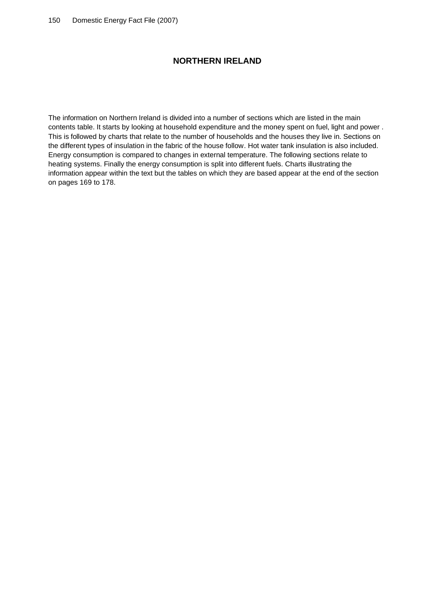# **NORTHERN IRELAND**

The information on Northern Ireland is divided into a number of sections which are listed in the main contents table. It starts by looking at household expenditure and the money spent on fuel, light and power . This is followed by charts that relate to the number of households and the houses they live in. Sections on the different types of insulation in the fabric of the house follow. Hot water tank insulation is also included. Energy consumption is compared to changes in external temperature. The following sections relate to heating systems. Finally the energy consumption is split into different fuels. Charts illustrating the information appear within the text but the tables on which they are based appear at the end of the section on pages 169 to 178.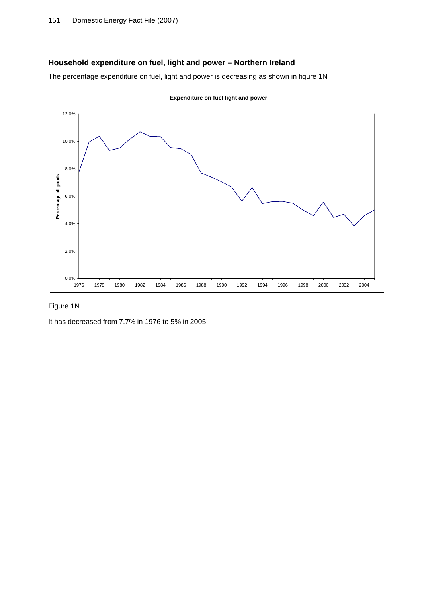# **Household expenditure on fuel, light and power – Northern Ireland**

The percentage expenditure on fuel, light and power is decreasing as shown in figure 1N



# Figure 1N

It has decreased from 7.7% in 1976 to 5% in 2005.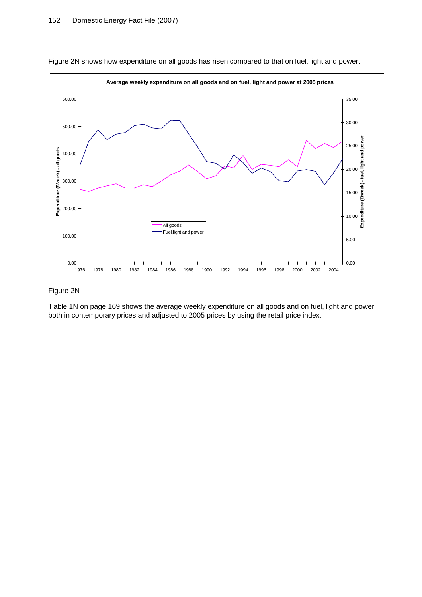

Figure 2N shows how expenditure on all goods has risen compared to that on fuel, light and power.

#### Figure 2N

Table 1N on page 169 shows the average weekly expenditure on all goods and on fuel, light and power both in contemporary prices and adjusted to 2005 prices by using the retail price index.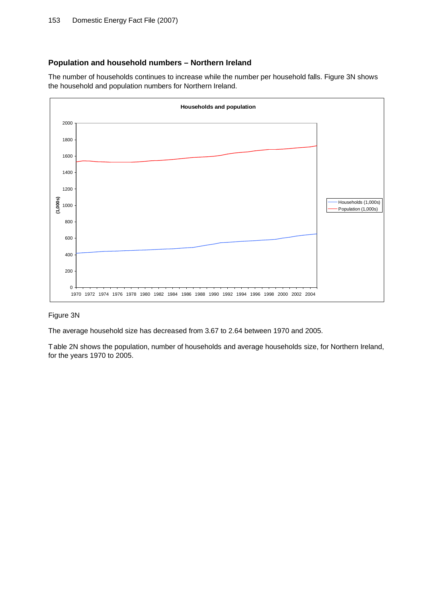# **Population and household numbers – Northern Ireland**

The number of households continues to increase while the number per household falls. Figure 3N shows the household and population numbers for Northern Ireland.



#### Figure 3N

The average household size has decreased from 3.67 to 2.64 between 1970 and 2005.

Table 2N shows the population, number of households and average households size, for Northern Ireland, for the years 1970 to 2005.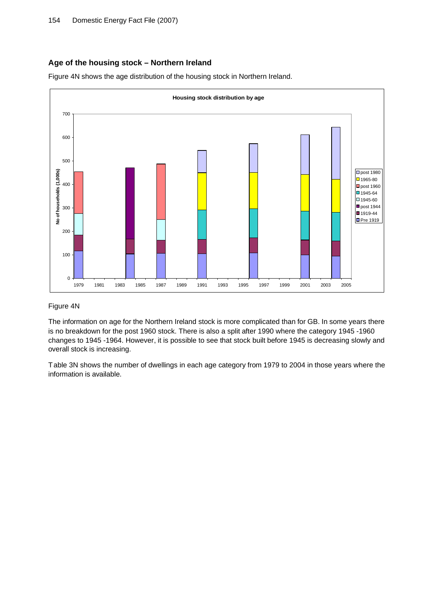# **Age of the housing stock – Northern Ireland**

Figure 4N shows the age distribution of the housing stock in Northern Ireland.



#### Figure 4N

The information on age for the Northern Ireland stock is more complicated than for GB. In some years there is no breakdown for the post 1960 stock. There is also a split after 1990 where the category 1945 -1960 changes to 1945 -1964. However, it is possible to see that stock built before 1945 is decreasing slowly and overall stock is increasing.

Table 3N shows the number of dwellings in each age category from 1979 to 2004 in those years where the information is available.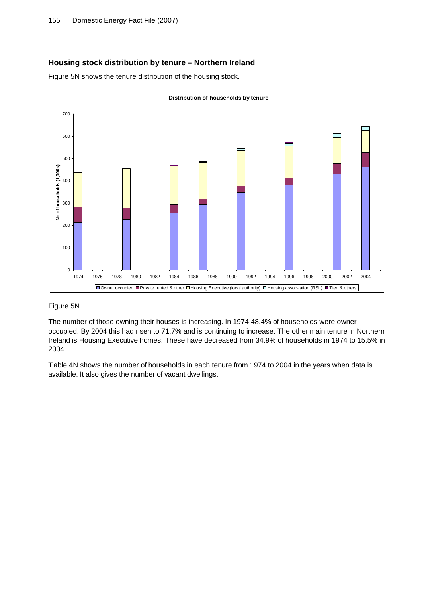# **Housing stock distribution by tenure – Northern Ireland**

Figure 5N shows the tenure distribution of the housing stock.



#### Figure 5N

The number of those owning their houses is increasing. In 1974 48.4% of households were owner occupied. By 2004 this had risen to 71.7% and is continuing to increase. The other main tenure in Northern Ireland is Housing Executive homes. These have decreased from 34.9% of households in 1974 to 15.5% in 2004.

Table 4N shows the number of households in each tenure from 1974 to 2004 in the years when data is available. It also gives the number of vacant dwellings.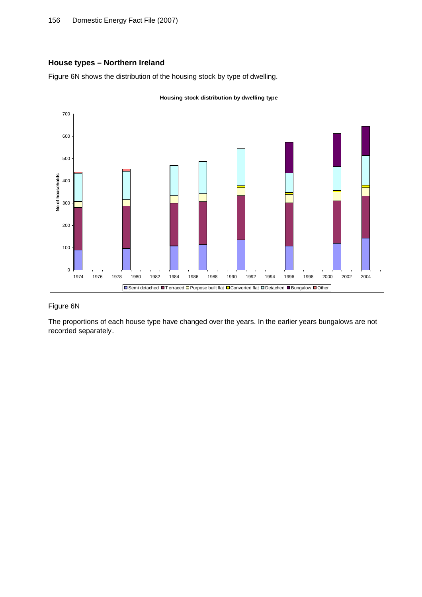# **House types – Northern Ireland**

Figure 6N shows the distribution of the housing stock by type of dwelling.



#### Figure 6N

The proportions of each house type have changed over the years. In the earlier years bungalows are not recorded separately.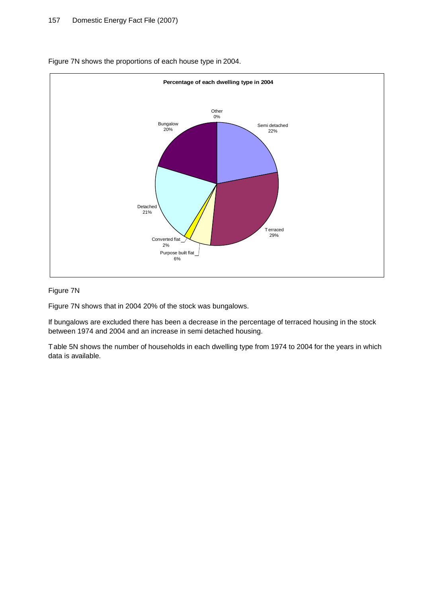

Figure 7N shows the proportions of each house type in 2004.

## Figure 7N

Figure 7N shows that in 2004 20% of the stock was bungalows.

If bungalows are excluded there has been a decrease in the percentage of terraced housing in the stock between 1974 and 2004 and an increase in semi detached housing.

Table 5N shows the number of households in each dwelling type from 1974 to 2004 for the years in which data is available.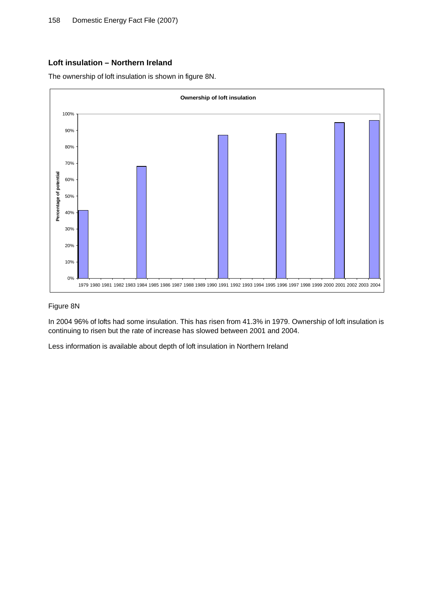# **Loft insulation – Northern Ireland**

The ownership of loft insulation is shown in figure 8N.



#### Figure 8N

In 2004 96% of lofts had some insulation. This has risen from 41.3% in 1979. Ownership of loft insulation is continuing to risen but the rate of increase has slowed between 2001 and 2004.

Less information is available about depth of loft insulation in Northern Ireland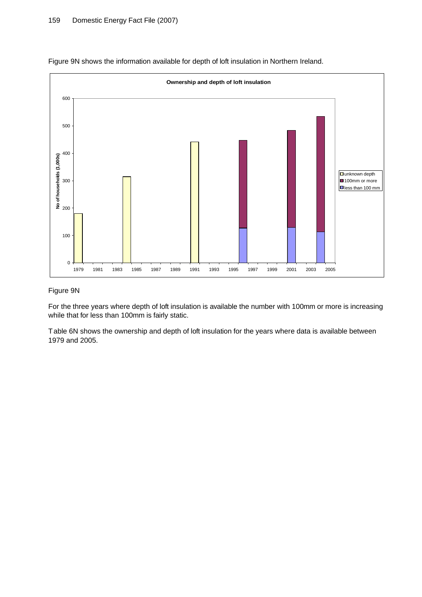

Figure 9N shows the information available for depth of loft insulation in Northern Ireland.

#### Figure 9N

For the three years where depth of loft insulation is available the number with 100mm or more is increasing while that for less than 100mm is fairly static.

Table 6N shows the ownership and depth of loft insulation for the years where data is available between 1979 and 2005.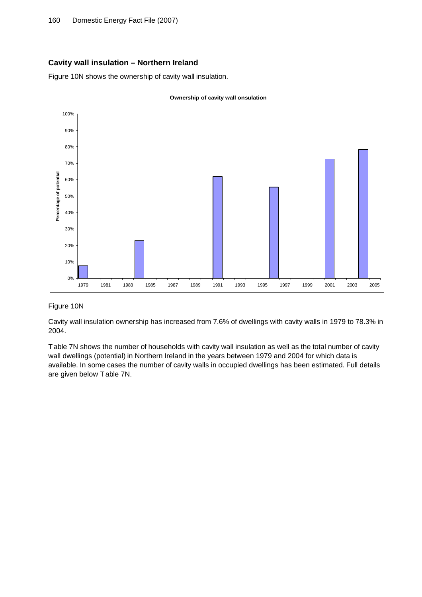# **Cavity wall insulation – Northern Ireland**

Figure 10N shows the ownership of cavity wall insulation.



#### Figure 10N

Cavity wall insulation ownership has increased from 7.6% of dwellings with cavity walls in 1979 to 78.3% in 2004.

Table 7N shows the number of households with cavity wall insulation as well as the total number of cavity wall dwellings (potential) in Northern Ireland in the years between 1979 and 2004 for which data is available. In some cases the number of cavity walls in occupied dwellings has been estimated. Full details are given below Table 7N.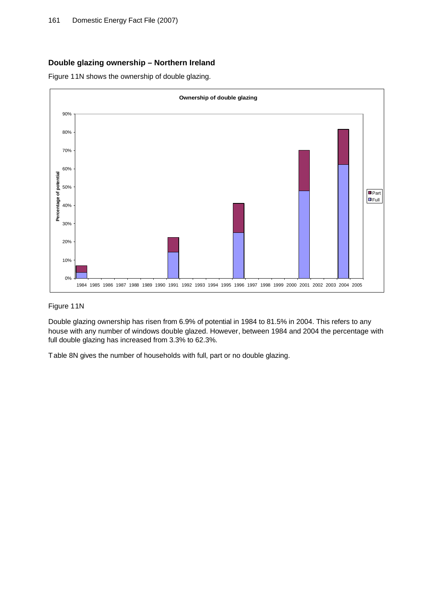# **Double glazing ownership – Northern Ireland**

Figure 11N shows the ownership of double glazing.



#### Figure 11N

Double glazing ownership has risen from 6.9% of potential in 1984 to 81.5% in 2004. This refers to any house with any number of windows double glazed. However, between 1984 and 2004 the percentage with full double glazing has increased from 3.3% to 62.3%.

Table 8N gives the number of households with full, part or no double glazing.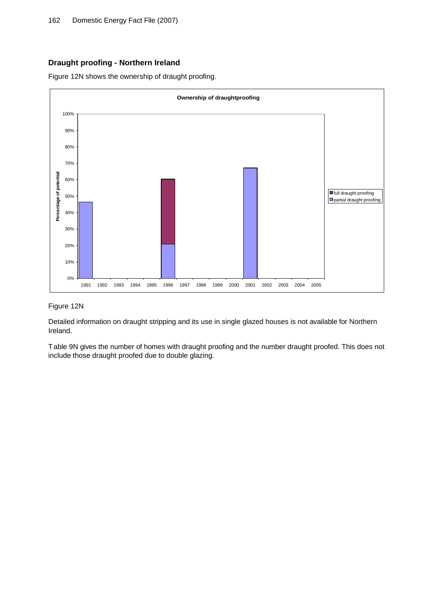# **Draught proofing - Northern Ireland**

Figure 12N shows the ownership of draught proofing.



#### Figure 12N

Detailed information on draught stripping and its use in single glazed houses is not available for Northern Ireland.

Table 9N gives the number of homes with draught proofing and the number draught proofed. This does not include those draught proofed due to double glazing.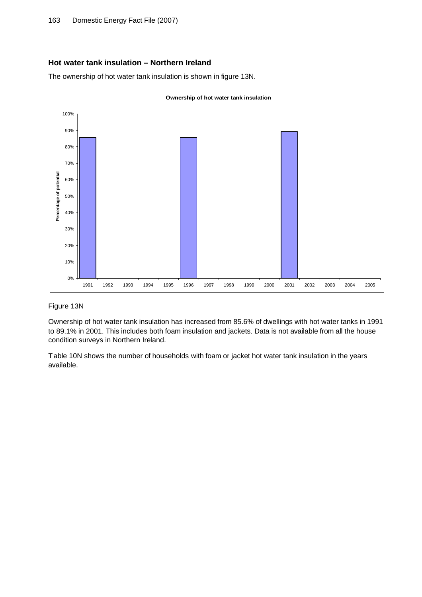# **Hot water tank insulation – Northern Ireland**

The ownership of hot water tank insulation is shown in figure 13N.



#### Figure 13N

Ownership of hot water tank insulation has increased from 85.6% of dwellings with hot water tanks in 1991 to 89.1% in 2001. This includes both foam insulation and jackets. Data is not available from all the house condition surveys in Northern Ireland.

Table 10N shows the number of households with foam or jacket hot water tank insulation in the years available.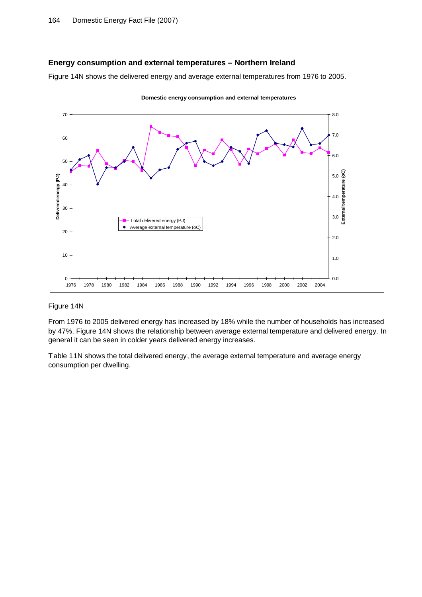#### **Energy consumption and external temperatures – Northern Ireland**

Figure 14N shows the delivered energy and average external temperatures from 1976 to 2005.



#### Figure 14N

From 1976 to 2005 delivered energy has increased by 18% while the number of households has increased by 47%. Figure 14N shows the relationship between average external temperature and delivered energy. In general it can be seen in colder years delivered energy increases.

Table 11N shows the total delivered energy, the average external temperature and average energy consumption per dwelling.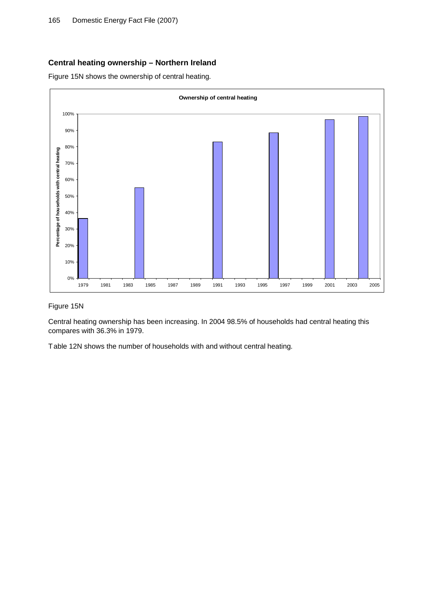## **Central heating ownership – Northern Ireland**

Figure 15N shows the ownership of central heating.



#### Figure 15N

Central heating ownership has been increasing. In 2004 98.5% of households had central heating this compares with 36.3% in 1979.

Table 12N shows the number of households with and without central heating.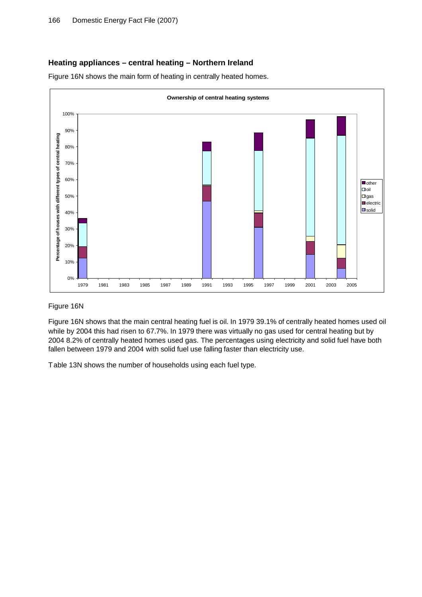#### **Heating appliances – central heating – Northern Ireland**

Figure 16N shows the main form of heating in centrally heated homes.



#### Figure 16N

Figure 16N shows that the main central heating fuel is oil. In 1979 39.1% of centrally heated homes used oil while by 2004 this had risen to 67.7%. In 1979 there was virtually no gas used for central heating but by 2004 8.2% of centrally heated homes used gas. The percentages using electricity and solid fuel have both fallen between 1979 and 2004 with solid fuel use falling faster than electricity use.

Table 13N shows the number of households using each fuel type.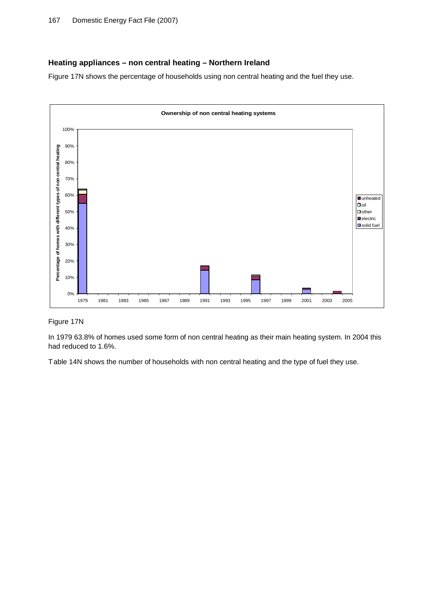# **Heating appliances – non central heating – Northern Ireland**

Figure 17N shows the percentage of households using non central heating and the fuel they use.



## Figure 17N

In 1979 63.8% of homes used some form of non central heating as their main heating system. In 2004 this had reduced to 1.6%.

Table 14N shows the number of households with non central heating and the type of fuel they use.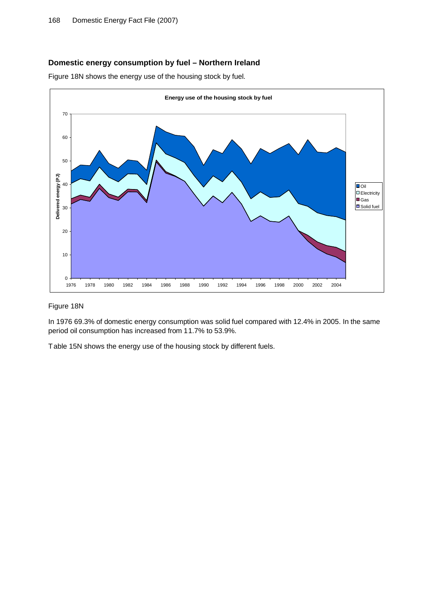# **Domestic energy consumption by fuel – Northern Ireland**

Figure 18N shows the energy use of the housing stock by fuel.



#### Figure 18N

In 1976 69.3% of domestic energy consumption was solid fuel compared with 12.4% in 2005. In the same period oil consumption has increased from 11.7% to 53.9%.

Table 15N shows the energy use of the housing stock by different fuels.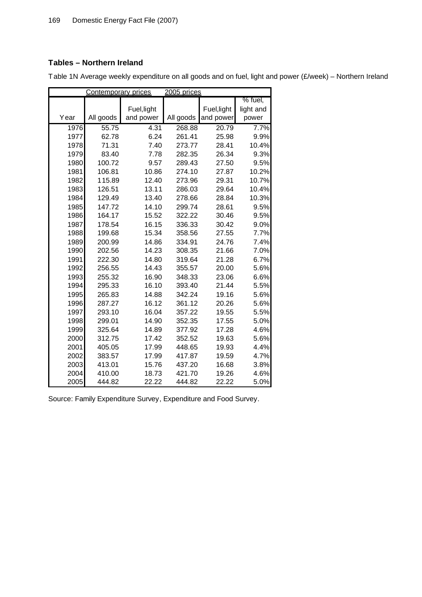# **Tables – Northern Ireland**

Contemporary prices 2005 prices Year All goods Fuel,light and power All goods Fuel,light and power % fuel, light and power 55.75 4.31 268.88 20.79 7.7% 62.78 6.24 261.41 25.98 9.9% 71.31 7.40 273.77 28.41 10.4% 83.40 7.78 282.35 26.34 9.3% 100.72 9.57 289.43 27.50 9.5% 106.81 10.86 274.10 27.87 10.2% 115.89 12.40 273.96 29.31 10.7% 126.51 13.11 286.03 29.64 10.4% 129.49 13.40 278.66 28.84 10.3% 147.72 14.10 299.74 28.61 9.5% 164.17 15.52 322.22 30.46 9.5% 178.54 16.15 336.33 30.42 9.0% 199.68 15.34 358.56 27.55 7.7% 200.99 14.86 334.91 24.76 7.4% 202.56 14.23 308.35 21.66 7.0% 222.30 14.80 319.64 21.28 6.7% 256.55 14.43 355.57 20.00 5.6% 255.32 16.90 348.33 23.06 6.6% 295.33 16.10 393.40 21.44 5.5% 265.83 14.88 342.24 19.16 5.6% 287.27 16.12 361.12 20.26 5.6% 293.10 16.04 357.22 19.55 5.5% 299.01 14.90 352.35 17.55 5.0% 325.64 14.89 377.92 17.28 4.6% 312.75 17.42 352.52 19.63 5.6% 405.05 17.99 448.65 19.93 4.4% 383.57 17.99 417.87 19.59 4.7% 413.01 15.76 437.20 16.68 3.8% 410.00 18.73 421.70 19.26 4.6% 444.82 22.22 444.82 22.22 5.0%

Table 1N Average weekly expenditure on all goods and on fuel, light and power (£/week) – Northern Ireland

Source: Family Expenditure Survey, Expenditure and Food Survey.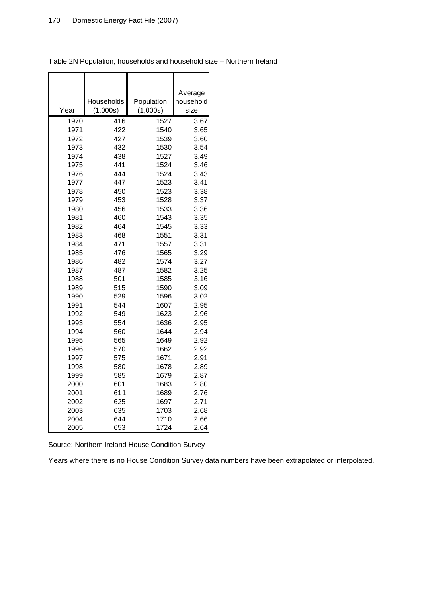|              |            |              | Average      |
|--------------|------------|--------------|--------------|
|              | Households | Population   | household    |
| Year         | (1,000s)   | (1,000s)     | size         |
| 1970         | 416        | 1527         | 3.67         |
| 1971         | 422        | 1540         | 3.65         |
| 1972         | 427        | 1539         | 3.60         |
| 1973         | 432        | 1530         | 3.54         |
| 1974         | 438        | 1527         | 3.49         |
| 1975         | 441        | 1524         | 3.46         |
| 1976         | 444        | 1524         | 3.43         |
| 1977         | 447        | 1523         | 3.41         |
| 1978         | 450        | 1523         | 3.38         |
| 1979         | 453        | 1528         | 3.37         |
| 1980         | 456        | 1533         | 3.36         |
| 1981         | 460        | 1543         | 3.35         |
| 1982         | 464        | 1545         | 3.33         |
| 1983         | 468        | 1551         | 3.31         |
| 1984         | 471        | 1557         | 3.31         |
| 1985         | 476        | 1565         | 3.29         |
| 1986         | 482        | 1574         | 3.27         |
| 1987         | 487        | 1582         | 3.25         |
| 1988         | 501        | 1585         | 3.16         |
| 1989         | 515        | 1590         | 3.09         |
| 1990         | 529        | 1596         | 3.02         |
| 1991         | 544        | 1607         | 2.95         |
| 1992         | 549        | 1623         | 2.96         |
| 1993<br>1994 | 554<br>560 | 1636<br>1644 | 2.95<br>2.94 |
| 1995         | 565        | 1649         | 2.92         |
| 1996         | 570        | 1662         | 2.92         |
| 1997         | 575        | 1671         | 2.91         |
| 1998         | 580        | 1678         | 2.89         |
| 1999         | 585        | 1679         | 2.87         |
| 2000         | 601        | 1683         | 2.80         |
| 2001         | 611        | 1689         | 2.76         |
| 2002         | 625        | 1697         | 2.71         |
| 2003         | 635        | 1703         | 2.68         |
| 2004         | 644        | 1710         | 2.66         |
| 2005         | 653        | 1724         | 2.64         |

Table 2N Population, households and household size – Northern Ireland

Source: Northern Ireland House Condition Survey

Years where there is no House Condition Survey data numbers have been extrapolated or interpolated.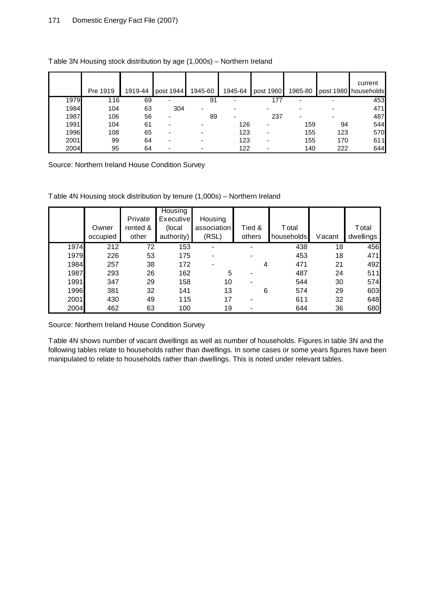|      | Pre 1919 | 1919-44 | post 1944 | 1945-60 | 1945-64 | post 1960 | 1965-80 |     | current<br>post 1980 households |
|------|----------|---------|-----------|---------|---------|-----------|---------|-----|---------------------------------|
| 1979 | 116      | 69      | -         | 91      | -       | 177       | -       |     | 453                             |
| 1984 | 104      | 63      | 304       |         |         |           |         |     | 471                             |
| 1987 | 106      | 56      |           | 89      |         | 237       |         |     | 487                             |
| 1991 | 104      | 61      |           |         | 126     | -         | 159     | 94  | 544                             |
| 1996 | 108      | 65      |           |         | 123     | ٠         | 155     | 123 | 570                             |
| 2001 | 99       | 64      |           |         | 123     | ٠         | 155     | 170 | 611                             |
| 2004 | 95       | 64      |           |         | 122     |           | 140     | 222 | 644                             |

## Table 3N Housing stock distribution by age (1,000s) – Northern Ireland

Source: Northern Ireland House Condition Survey

Table 4N Housing stock distribution by tenure (1,000s) – Northern Ireland

|      |          | Private  | Housing<br><b>Executive</b> | Housing     |        |               |        |           |
|------|----------|----------|-----------------------------|-------------|--------|---------------|--------|-----------|
|      | Owner    | rented & | (local                      | association | Tied & | <b>T</b> otal |        | Total     |
|      | occupied | other    | authority)                  | (RSL)       | others | households    | Vacant | dwellings |
| 1974 | 212      | 72       | 153                         | ۰           |        | 438           | 18     | 456       |
| 1979 | 226      | 53       | 175                         |             |        | 453           | 18     | 471       |
| 1984 | 257      | 38       | 172                         |             | 4      | 471           | 21     | 492       |
| 1987 | 293      | 26       | 162                         | 5           |        | 487           | 24     | 511       |
| 1991 | 347      | 29       | 158                         | 10          |        | 544           | 30     | 574       |
| 1996 | 381      | 32       | 141                         | 13          | 6      | 574           | 29     | 603       |
| 2001 | 430      | 49       | 115                         | 17          |        | 611           | 32     | 648       |
| 2004 | 462      | 63       | 100                         | 19          |        | 644           | 36     | 680       |

Source: Northern Ireland House Condition Survey

Table 4N shows number of vacant dwellings as well as number of households. Figures in table 3N and the following tables relate to households rather than dwellings. In some cases or some years figures have been manipulated to relate to households rather than dwellings. This is noted under relevant tables.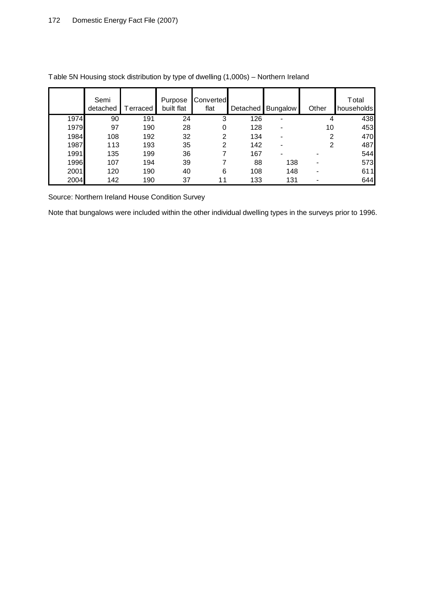|      | Semi<br>detached | erraced | Purpose<br>built flat | Converted<br>flat |     | Detached Bungalow        | Other | Total<br>households |
|------|------------------|---------|-----------------------|-------------------|-----|--------------------------|-------|---------------------|
| 1974 | 90               | 191     | 24                    | 3                 | 126 | -                        | 4     | 438                 |
| 1979 | 97               | 190     | 28                    | 0                 | 128 |                          | 10    | 453                 |
| 1984 | 108              | 192     | 32                    | 2                 | 134 |                          | 2     | 470                 |
| 1987 | 113              | 193     | 35                    | 2                 | 142 |                          | 2     | 487                 |
| 1991 | 135              | 199     | 36                    |                   | 167 | $\overline{\phantom{a}}$ |       | 544                 |
| 1996 | 107              | 194     | 39                    |                   | 88  | 138                      |       | 573                 |
| 2001 | 120              | 190     | 40                    | 6                 | 108 | 148                      |       | 611                 |
| 2004 | 142              | 190     | 37                    |                   | 133 | 131                      |       | 644                 |

Table 5N Housing stock distribution by type of dwelling (1,000s) – Northern Ireland

Source: Northern Ireland House Condition Survey

Note that bungalows were included within the other individual dwelling types in the surveys prior to 1996.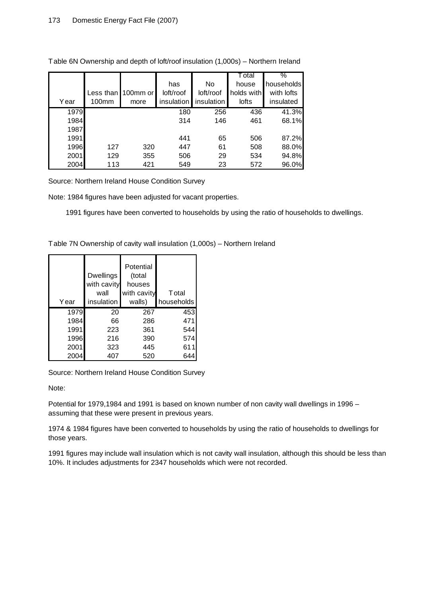|      |       |                             |            |            | T otal     | $\frac{1}{2}$ |
|------|-------|-----------------------------|------------|------------|------------|---------------|
|      |       |                             | has        | No         | house      | households    |
|      |       | Less than <b>I</b> 100mm or | loft/roof  | loft/roof  | holds with | with lofts    |
| Year | 100mm | more                        | insulation | insulation | lofts      | insulated     |
| 1979 |       |                             | 180        | 256        | 436        | 41.3%         |
| 1984 |       |                             | 314        | 146        | 461        | 68.1%         |
| 1987 |       |                             |            |            |            |               |
| 1991 |       |                             | 441        | 65         | 506        | 87.2%         |
| 1996 | 127   | 320                         | 447        | 61         | 508        | 88.0%         |
| 2001 | 129   | 355                         | 506        | 29         | 534        | 94.8%         |
| 2004 | 113   | 421                         | 549        | 23         | 572        | 96.0%         |

Table 6N Ownership and depth of loft/roof insulation (1,000s) – Northern Ireland

Source: Northern Ireland House Condition Survey

Note: 1984 figures have been adjusted for vacant properties.

1991 figures have been converted to households by using the ratio of households to dwellings.

Table 7N Ownership of cavity wall insulation (1,000s) – Northern Ireland

| Year | <b>Dwellings</b><br>with cavity<br>wall<br>insulation | Potential<br>(total<br>houses<br>with cavity<br>walls) | Total<br>households |
|------|-------------------------------------------------------|--------------------------------------------------------|---------------------|
| 1979 | 20                                                    | 267                                                    | 453                 |
| 1984 | 66                                                    | 286                                                    | 471                 |
| 1991 | 223                                                   | 361                                                    | 544                 |
| 1996 | 216                                                   | 390                                                    | 574                 |
| 2001 | 323                                                   | 445                                                    | 611                 |
| 2004 | 407                                                   | 520                                                    | 64                  |

Source: Northern Ireland House Condition Survey

Note:

Potential for 1979,1984 and 1991 is based on known number of non cavity wall dwellings in 1996 – assuming that these were present in previous years.

1974 & 1984 figures have been converted to households by using the ratio of households to dwellings for those years.

1991 figures may include wall insulation which is not cavity wall insulation, although this should be less than 10%. It includes adjustments for 2347 households which were not recorded.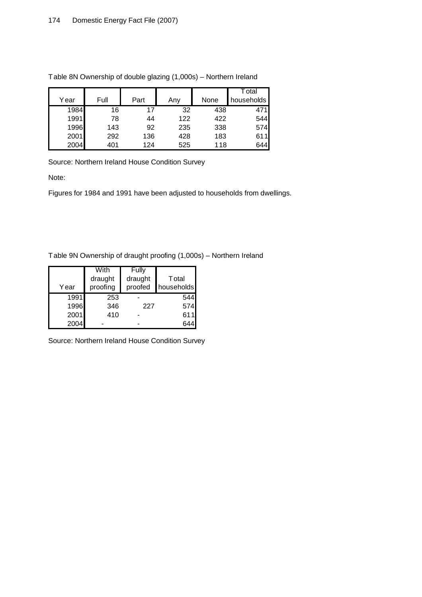|      |      |      |     |      | <sup>-</sup> otal |
|------|------|------|-----|------|-------------------|
| Year | Full | Part | Any | None | households        |
| 1984 | 16   | 17   | 32  | 438  |                   |
| 1991 | 78   | 44   | 122 | 422  | 544               |
| 1996 | 143  | 92   | 235 | 338  | 574               |
| 2001 | 292  | 136  | 428 | 183  | 611               |
| 2004 | 401  | 124  | 525 | 118  | 644               |

Table 8N Ownership of double glazing (1,000s) – Northern Ireland

Source: Northern Ireland House Condition Survey

Note:

Figures for 1984 and 1991 have been adjusted to households from dwellings.

Table 9N Ownership of draught proofing (1,000s) – Northern Ireland

|      | With     | Fully   |            |  |
|------|----------|---------|------------|--|
|      | draught  | draught | Total      |  |
| Year | proofing | proofed | households |  |
| 1991 | 253      |         | 544        |  |
| 1996 | 346      | 227     | 574        |  |
| 2001 | 410      |         | 611        |  |
| 2004 |          |         |            |  |

Source: Northern Ireland House Condition Survey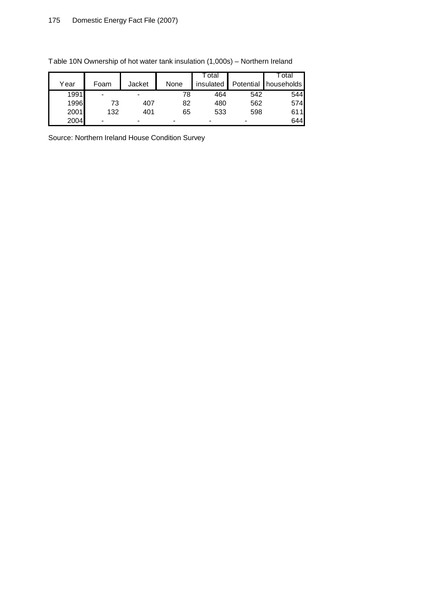|      |      |        |      | ⊺otal     |           | ⊺otal      |
|------|------|--------|------|-----------|-----------|------------|
| Year | Foam | Jacket | None | insulated | Potential | households |
| 1991 | -    |        | 78   | 464       | 542       | 5441       |
| 1996 |      | 407    | 82   | 480       | 562       | 574        |
| 2001 | 132  | 401    | 65   | 533       | 598       | 611        |
| 2004 |      |        | ۰    | -         | -         | 6441       |

Table 10N Ownership of hot water tank insulation (1,000s) – Northern Ireland

Source: Northern Ireland House Condition Survey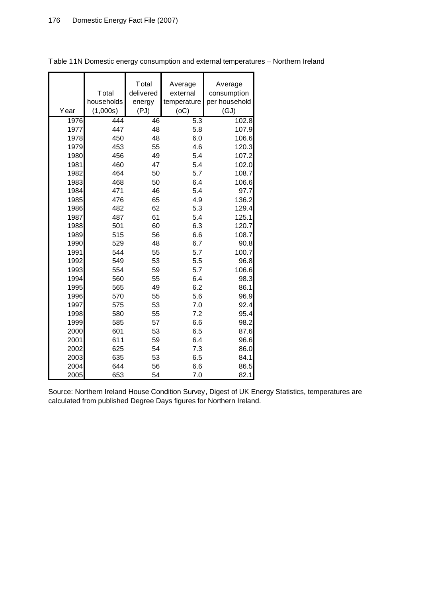| Year | Total<br>households<br>(1,000s) | Total<br>delivered<br>energy<br>(PJ) | Average<br>external<br>temperature<br>(OC) | Average<br>consumption<br>per household<br>(GJ) |
|------|---------------------------------|--------------------------------------|--------------------------------------------|-------------------------------------------------|
| 1976 | 444                             | 46                                   | 5.3                                        | 102.8                                           |
| 1977 | 447                             | 48                                   | 5.8                                        | 107.9                                           |
| 1978 | 450                             | 48                                   | 6.0                                        | 106.6                                           |
| 1979 | 453                             | 55                                   | 4.6                                        | 120.3                                           |
| 1980 | 456                             | 49                                   | 5.4                                        | 107.2                                           |
| 1981 | 460                             | 47                                   | 5.4                                        | 102.0                                           |
| 1982 | 464                             | 50                                   | 5.7                                        | 108.7                                           |
| 1983 | 468                             | 50                                   | 6.4                                        | 106.6                                           |
| 1984 | 471                             | 46                                   | 5.4                                        | 97.7                                            |
| 1985 | 476                             | 65                                   | 4.9                                        | 136.2                                           |
| 1986 | 482                             | 62                                   | 5.3                                        | 129.4                                           |
| 1987 | 487                             | 61                                   | 5.4                                        | 125.1                                           |
| 1988 | 501                             | 60                                   | 6.3                                        | 120.7                                           |
| 1989 | 515                             | 56                                   | 6.6                                        | 108.7                                           |
| 1990 | 529                             | 48                                   | 6.7                                        | 90.8                                            |
| 1991 | 544                             | 55                                   | 5.7                                        | 100.7                                           |
| 1992 | 549                             | 53                                   | 5.5                                        | 96.8                                            |
| 1993 | 554                             | 59                                   | 5.7                                        | 106.6                                           |
| 1994 | 560                             | 55                                   | 6.4                                        | 98.3                                            |
| 1995 | 565                             | 49                                   | 6.2                                        | 86.1                                            |
| 1996 | 570                             | 55                                   | 5.6                                        | 96.9                                            |
| 1997 | 575                             | 53                                   | 7.0                                        | 92.4                                            |
| 1998 | 580                             | 55                                   | 7.2                                        | 95.4                                            |
| 1999 | 585                             | 57                                   | 6.6                                        | 98.2                                            |
| 2000 | 601                             | 53                                   | 6.5                                        | 87.6                                            |
| 2001 | 611                             | 59                                   | 6.4                                        | 96.6                                            |
| 2002 | 625                             | 54                                   | 7.3                                        | 86.0                                            |
| 2003 | 635                             | 53                                   | 6.5                                        | 84.1                                            |
| 2004 | 644                             | 56                                   | 6.6                                        | 86.5                                            |
| 2005 | 653                             | 54                                   | 7.0                                        | 82.1                                            |

Table 11N Domestic energy consumption and external temperatures – Northern Ireland

Source: Northern Ireland House Condition Survey, Digest of UK Energy Statistics, temperatures are calculated from published Degree Days figures for Northern Ireland.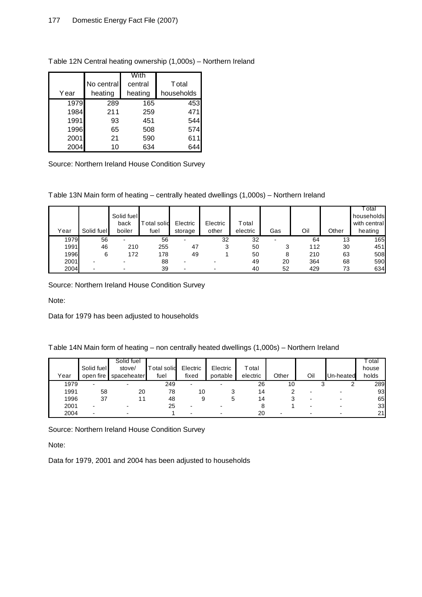|      |            | With    |            |
|------|------------|---------|------------|
|      | No central | central | Total      |
| Year | heating    | heating | households |
| 1979 | 289        | 165     | 453        |
| 1984 | 211        | 259     | 471        |
| 1991 | 93         | 451     | 544        |
| 1996 | 65         | 508     | 574        |
| 2001 | 21         | 590     | 611        |
| 2004 | 10         | 634     |            |

Table 12N Central heating ownership (1,000s) – Northern Ireland

Source: Northern Ireland House Condition Survey

Table 13N Main form of heating – centrally heated dwellings (1,000s) – Northern Ireland

|      |            |            |            |                          |          |          |                          |     |       | otal         |
|------|------------|------------|------------|--------------------------|----------|----------|--------------------------|-----|-------|--------------|
|      |            | Solid fuel |            |                          |          |          |                          |     |       | households   |
|      |            | back       | otal solid | Electric                 | Electric | Total    |                          |     |       | with central |
| Year | Solid fuel | boiler     | fuel       | storage                  | other    | electric | Gas                      | Oil | Other | heating      |
| 1979 | 56         | -          | 56         | -                        | 32       | 32       | $\overline{\phantom{0}}$ | 64  | 13    | 165          |
| 1991 | 46         | 210        | 255        | 47                       | 3        | 50       |                          | 112 | 30    | 451          |
| 1996 | 6          | 172        | 178        | 49                       |          | 50       | 8                        | 210 | 63    | 508          |
| 2001 | -          |            | 88         |                          |          | 49       | 20                       | 364 | 68    | 590          |
| 2004 |            |            | 39         | $\overline{\phantom{0}}$ |          | 40       | 52                       | 429 | 73    | 634          |

Source: Northern Ireland House Condition Survey

Note:

Data for 1979 has been adjusted to households

| Table 14N Main form of heating – non centrally heated dwellings (1,000s) – Northern Ireland |  |  |  |
|---------------------------------------------------------------------------------------------|--|--|--|
|---------------------------------------------------------------------------------------------|--|--|--|

| Year | Solid fuel<br>open fire  | Solid fuel<br>stove/<br>spaceheater | <b>Total solid</b><br>fuel | Electric<br>fixed | Electric<br>portable | $\tau$ otal<br>electric | Other | Oil | Un-heated | ˈotal<br>house<br>holds |
|------|--------------------------|-------------------------------------|----------------------------|-------------------|----------------------|-------------------------|-------|-----|-----------|-------------------------|
| 1979 | $\overline{\phantom{0}}$ | $\overline{\phantom{0}}$            | 249                        |                   |                      | 26                      | 10    |     |           | 289                     |
| 1991 | 58                       | 20                                  | 78                         | 10                |                      | 14                      |       |     |           | 93                      |
| 1996 | 37                       |                                     | 48                         |                   |                      | 14                      |       |     |           | 65                      |
| 2001 |                          |                                     | 25                         |                   |                      |                         |       |     |           | 33                      |
| 2004 |                          |                                     |                            |                   |                      | 20                      |       |     |           | 21                      |

Source: Northern Ireland House Condition Survey

Note:

Data for 1979, 2001 and 2004 has been adjusted to households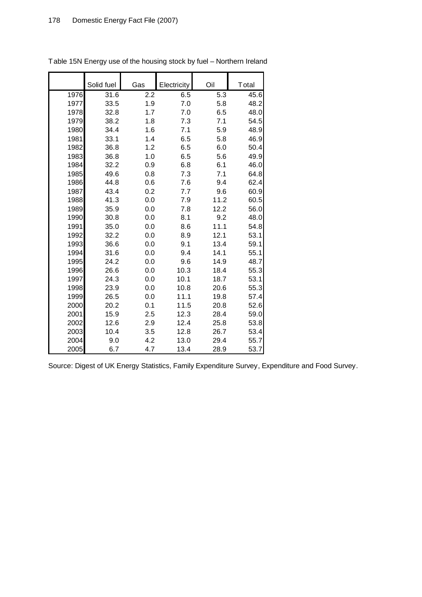|      | Solid fuel | Gas | Electricity | Oil  | Total |
|------|------------|-----|-------------|------|-------|
| 1976 | 31.6       | 2.2 | 6.5         | 5.3  | 45.6  |
| 1977 | 33.5       | 1.9 | 7.0         | 5.8  | 48.2  |
| 1978 | 32.8       | 1.7 | 7.0         | 6.5  | 48.0  |
| 1979 | 38.2       | 1.8 | 7.3         | 7.1  | 54.5  |
| 1980 | 34.4       | 1.6 | 7.1         | 5.9  | 48.9  |
| 1981 | 33.1       | 1.4 | 6.5         | 5.8  | 46.9  |
| 1982 | 36.8       | 1.2 | 6.5         | 6.0  | 50.4  |
| 1983 | 36.8       | 1.0 | 6.5         | 5.6  | 49.9  |
| 1984 | 32.2       | 0.9 | 6.8         | 6.1  | 46.0  |
| 1985 | 49.6       | 0.8 | 7.3         | 7.1  | 64.8  |
| 1986 | 44.8       | 0.6 | 7.6         | 9.4  | 62.4  |
| 1987 | 43.4       | 0.2 | 7.7         | 9.6  | 60.9  |
| 1988 | 41.3       | 0.0 | 7.9         | 11.2 | 60.5  |
| 1989 | 35.9       | 0.0 | 7.8         | 12.2 | 56.0  |
| 1990 | 30.8       | 0.0 | 8.1         | 9.2  | 48.0  |
| 1991 | 35.0       | 0.0 | 8.6         | 11.1 | 54.8  |
| 1992 | 32.2       | 0.0 | 8.9         | 12.1 | 53.1  |
| 1993 | 36.6       | 0.0 | 9.1         | 13.4 | 59.1  |
| 1994 | 31.6       | 0.0 | 9.4         | 14.1 | 55.1  |
| 1995 | 24.2       | 0.0 | 9.6         | 14.9 | 48.7  |
| 1996 | 26.6       | 0.0 | 10.3        | 18.4 | 55.3  |
| 1997 | 24.3       | 0.0 | 10.1        | 18.7 | 53.1  |
| 1998 | 23.9       | 0.0 | 10.8        | 20.6 | 55.3  |
| 1999 | 26.5       | 0.0 | 11.1        | 19.8 | 57.4  |
| 2000 | 20.2       | 0.1 | 11.5        | 20.8 | 52.6  |
| 2001 | 15.9       | 2.5 | 12.3        | 28.4 | 59.0  |
| 2002 | 12.6       | 2.9 | 12.4        | 25.8 | 53.8  |
| 2003 | 10.4       | 3.5 | 12.8        | 26.7 | 53.4  |
| 2004 | 9.0        | 4.2 | 13.0        | 29.4 | 55.7  |
| 2005 | 6.7        | 4.7 | 13.4        | 28.9 | 53.7  |

Table 15N Energy use of the housing stock by fuel – Northern Ireland

Source: Digest of UK Energy Statistics, Family Expenditure Survey, Expenditure and Food Survey.